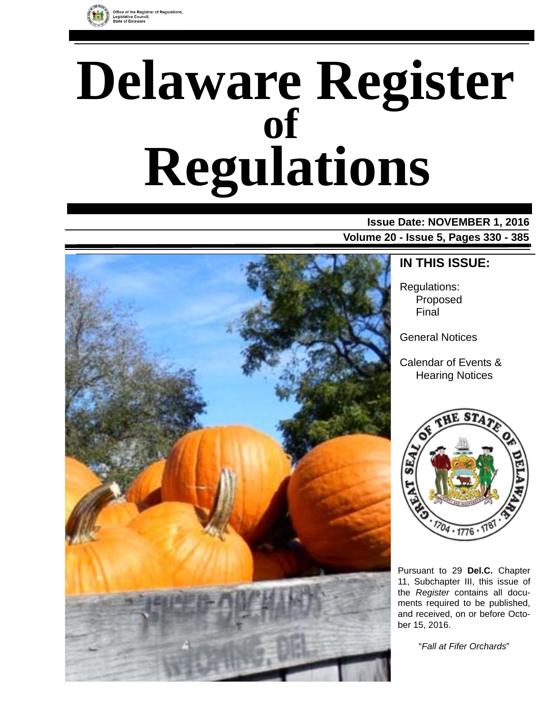

# **Delaware Register Regulations of**

# **Issue Date: NOVEMBER 1, 2016**

**Volume 20 - Issue 5, Pages 330 - 385**



# **IN THIS ISSUE:**

Regulations: Proposed Final

General Notices

Calendar of Events & Hearing Notices



Pursuant to 29 **Del.C.** Chapter 11, Subchapter III, this issue of the *Register* contains all documents required to be published, and received, on or before October 15, 2016.

"*Fall at Fifer Orchards*"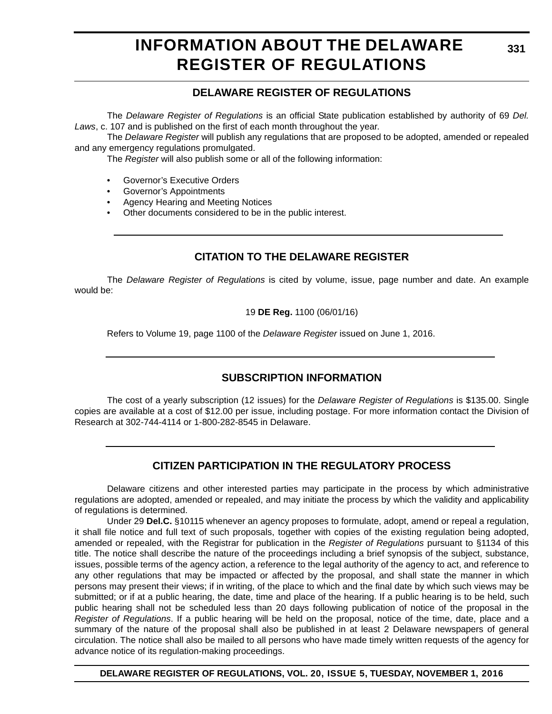# **INFORMATION ABOUT THE DELAWARE REGISTER OF REGULATIONS**

# **DELAWARE REGISTER OF REGULATIONS**

The *Delaware Register of Regulations* is an official State publication established by authority of 69 *Del. Laws*, c. 107 and is published on the first of each month throughout the year.

The *Delaware Register* will publish any regulations that are proposed to be adopted, amended or repealed and any emergency regulations promulgated.

The *Register* will also publish some or all of the following information:

- Governor's Executive Orders
- Governor's Appointments
- Agency Hearing and Meeting Notices
- Other documents considered to be in the public interest.

# **CITATION TO THE DELAWARE REGISTER**

The *Delaware Register of Regulations* is cited by volume, issue, page number and date. An example would be:

19 **DE Reg.** 1100 (06/01/16)

Refers to Volume 19, page 1100 of the *Delaware Register* issued on June 1, 2016.

# **SUBSCRIPTION INFORMATION**

The cost of a yearly subscription (12 issues) for the *Delaware Register of Regulations* is \$135.00. Single copies are available at a cost of \$12.00 per issue, including postage. For more information contact the Division of Research at 302-744-4114 or 1-800-282-8545 in Delaware.

# **CITIZEN PARTICIPATION IN THE REGULATORY PROCESS**

Delaware citizens and other interested parties may participate in the process by which administrative regulations are adopted, amended or repealed, and may initiate the process by which the validity and applicability of regulations is determined.

Under 29 **Del.C.** §10115 whenever an agency proposes to formulate, adopt, amend or repeal a regulation, it shall file notice and full text of such proposals, together with copies of the existing regulation being adopted, amended or repealed, with the Registrar for publication in the *Register of Regulations* pursuant to §1134 of this title. The notice shall describe the nature of the proceedings including a brief synopsis of the subject, substance, issues, possible terms of the agency action, a reference to the legal authority of the agency to act, and reference to any other regulations that may be impacted or affected by the proposal, and shall state the manner in which persons may present their views; if in writing, of the place to which and the final date by which such views may be submitted; or if at a public hearing, the date, time and place of the hearing. If a public hearing is to be held, such public hearing shall not be scheduled less than 20 days following publication of notice of the proposal in the *Register of Regulations*. If a public hearing will be held on the proposal, notice of the time, date, place and a summary of the nature of the proposal shall also be published in at least 2 Delaware newspapers of general circulation. The notice shall also be mailed to all persons who have made timely written requests of the agency for advance notice of its regulation-making proceedings.

**DELAWARE REGISTER OF REGULATIONS, VOL. 20, ISSUE 5, TUESDAY, NOVEMBER 1, 2016**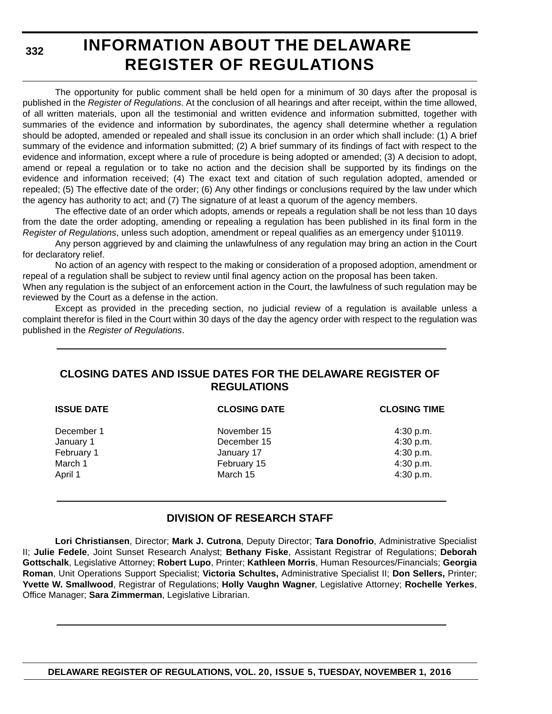**332**

# **INFORMATION ABOUT THE DELAWARE REGISTER OF REGULATIONS**

The opportunity for public comment shall be held open for a minimum of 30 days after the proposal is published in the *Register of Regulations*. At the conclusion of all hearings and after receipt, within the time allowed, of all written materials, upon all the testimonial and written evidence and information submitted, together with summaries of the evidence and information by subordinates, the agency shall determine whether a regulation should be adopted, amended or repealed and shall issue its conclusion in an order which shall include: (1) A brief summary of the evidence and information submitted; (2) A brief summary of its findings of fact with respect to the evidence and information, except where a rule of procedure is being adopted or amended; (3) A decision to adopt, amend or repeal a regulation or to take no action and the decision shall be supported by its findings on the evidence and information received; (4) The exact text and citation of such regulation adopted, amended or repealed; (5) The effective date of the order; (6) Any other findings or conclusions required by the law under which the agency has authority to act; and (7) The signature of at least a quorum of the agency members.

The effective date of an order which adopts, amends or repeals a regulation shall be not less than 10 days from the date the order adopting, amending or repealing a regulation has been published in its final form in the *Register of Regulations*, unless such adoption, amendment or repeal qualifies as an emergency under §10119.

Any person aggrieved by and claiming the unlawfulness of any regulation may bring an action in the Court for declaratory relief.

No action of an agency with respect to the making or consideration of a proposed adoption, amendment or repeal of a regulation shall be subject to review until final agency action on the proposal has been taken.

When any regulation is the subject of an enforcement action in the Court, the lawfulness of such regulation may be reviewed by the Court as a defense in the action.

Except as provided in the preceding section, no judicial review of a regulation is available unless a complaint therefor is filed in the Court within 30 days of the day the agency order with respect to the regulation was published in the *Register of Regulations*.

# **CLOSING DATES AND ISSUE DATES FOR THE DELAWARE REGISTER OF REGULATIONS**

| <b>ISSUE DATE</b> | <b>CLOSING DATE</b> | <b>CLOSING TIME</b> |
|-------------------|---------------------|---------------------|
| December 1        | November 15         | 4:30 p.m.           |
| January 1         | December 15         | 4:30 p.m.           |
| February 1        | January 17          | 4:30 p.m.           |
| March 1           | February 15         | 4:30 p.m.           |
| April 1           | March 15            | 4:30 p.m.           |
|                   |                     |                     |

# **DIVISION OF RESEARCH STAFF**

**Lori Christiansen**, Director; **Mark J. Cutrona**, Deputy Director; **Tara Donofrio**, Administrative Specialist II; **Julie Fedele**, Joint Sunset Research Analyst; **Bethany Fiske**, Assistant Registrar of Regulations; **Deborah Gottschalk**, Legislative Attorney; **Robert Lupo**, Printer; **Kathleen Morris**, Human Resources/Financials; **Georgia Roman**, Unit Operations Support Specialist; **Victoria Schultes,** Administrative Specialist II; **Don Sellers,** Printer; **Yvette W. Smallwood**, Registrar of Regulations; **Holly Vaughn Wagner**, Legislative Attorney; **Rochelle Yerkes**, Office Manager; **Sara Zimmerman**, Legislative Librarian.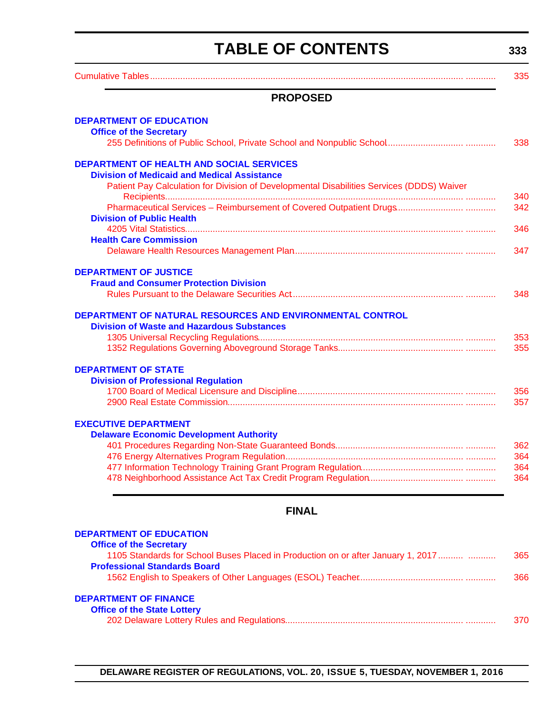# **TABLE OF CONTENTS**

**333**

<span id="page-3-0"></span>

|                                                                                                       | JJJ |
|-------------------------------------------------------------------------------------------------------|-----|
|                                                                                                       | 335 |
| <b>PROPOSED</b>                                                                                       |     |
| <b>DEPARTMENT OF EDUCATION</b><br><b>Office of the Secretary</b>                                      |     |
|                                                                                                       | 338 |
| <b>DEPARTMENT OF HEALTH AND SOCIAL SERVICES</b><br><b>Division of Medicaid and Medical Assistance</b> |     |
| Patient Pay Calculation for Division of Developmental Disabilities Services (DDDS) Waiver             | 340 |
| <b>Division of Public Health</b>                                                                      | 342 |
|                                                                                                       | 346 |
| <b>Health Care Commission</b>                                                                         | 347 |
| <b>DEPARTMENT OF JUSTICE</b>                                                                          |     |
| <b>Fraud and Consumer Protection Division</b>                                                         |     |
|                                                                                                       | 348 |
| DEPARTMENT OF NATURAL RESOURCES AND ENVIRONMENTAL CONTROL                                             |     |
| <b>Division of Waste and Hazardous Substances</b>                                                     |     |
|                                                                                                       | 353 |
|                                                                                                       | 355 |
| <b>DEPARTMENT OF STATE</b>                                                                            |     |
| <b>Division of Professional Regulation</b>                                                            |     |
|                                                                                                       | 356 |
|                                                                                                       | 357 |
| <b>EXECUTIVE DEPARTMENT</b>                                                                           |     |
| <b>Delaware Economic Development Authority</b>                                                        |     |
|                                                                                                       | 362 |
|                                                                                                       | 364 |
|                                                                                                       | 364 |
|                                                                                                       | 364 |

# **FINAL**

| <b>DEPARTMENT OF EDUCATION</b>                                                   |     |
|----------------------------------------------------------------------------------|-----|
| <b>Office of the Secretary</b>                                                   |     |
| 1105 Standards for School Buses Placed in Production on or after January 1, 2017 | 365 |
| <b>Professional Standards Board</b>                                              |     |
|                                                                                  | 366 |
| <b>DEPARTMENT OF FINANCE</b>                                                     |     |
| <b>Office of the State Lottery</b>                                               |     |
|                                                                                  | 370 |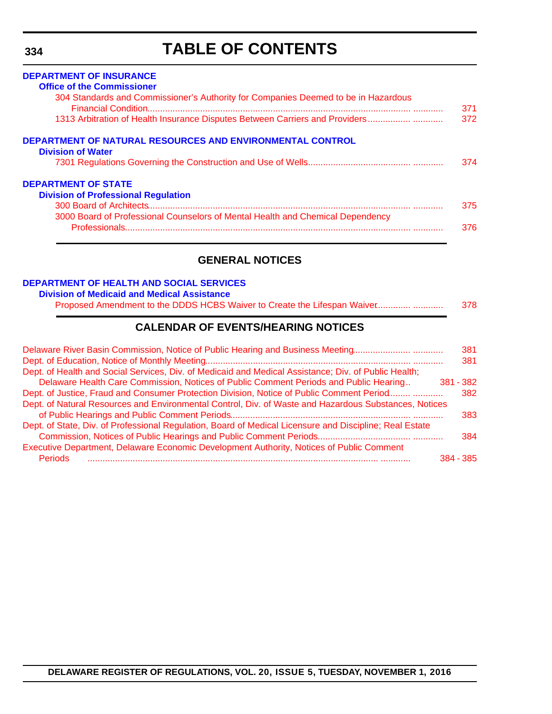# **TABLE OF CONTENTS**

# <span id="page-4-0"></span>**[DEPARTMENT OF INSURANCE](http://www.delawareinsurance.gov/) [Office of the Commissioner](http://www.delawareinsurance.gov/bio.shtml)** 304 Standards and Commissioner's Authority for Companies Deemed to be in Hazardous [Financial Condition......................................................................................................... ............ 371](#page-41-0) [1313 Arbitration of Health Insurance Disputes Between Carriers and Providers ................. ............ 372](#page-42-0) **[DEPARTMENT OF NATURAL RESOURCES AND ENVIRONMENTAL CONTROL](http://www.dnrec.delaware.gov/Pages/Portal.aspx) [Division of Water](http://www.dnrec.delaware.gov/wr/Pages/Default.aspx)** [7301 Regulations Governing the Construction and Use of Wells.......................................... ............ 374](#page-44-0) **[DEPARTMENT OF STATE](http://sos.delaware.gov/) [Division of Professional Regulation](http://dpr.delaware.gov/)** [300 Board of Architects......................................................................................................... ............ 375](#page-45-0) 3000 Board of Professional Counselors of Mental Health and Chemical Dependency [Professionals..................................................................................................................](#page-46-0) ............ 376

# **GENERAL NOTICES**

### **[DEPARTMENT OF HEALTH AND SOCIAL SERVICES](http://www.dhss.delaware.gov/dhss/index.html)**

#### **[Division of Medicaid and Medical Assistance](http://www.dhss.delaware.gov/dhss/dmma/)**

# **CALENDAR OF EVENTS/HEARING NOTICES**

| Delaware River Basin Commission, Notice of Public Hearing and Business Meeting                          | 381 |
|---------------------------------------------------------------------------------------------------------|-----|
|                                                                                                         | 381 |
| Dept. of Health and Social Services, Div. of Medicaid and Medical Assistance; Div. of Public Health;    |     |
| Delaware Health Care Commission, Notices of Public Comment Periods and Public Hearing<br>381 - 382      |     |
| Dept. of Justice, Fraud and Consumer Protection Division, Notice of Public Comment Period               | 382 |
| Dept. of Natural Resources and Environmental Control, Div. of Waste and Hazardous Substances, Notices   |     |
|                                                                                                         | 383 |
| Dept. of State, Div. of Professional Regulation, Board of Medical Licensure and Discipline; Real Estate |     |
|                                                                                                         | 384 |
| Executive Department, Delaware Economic Development Authority, Notices of Public Comment                |     |
| <b>Periods</b><br>384 - 385                                                                             |     |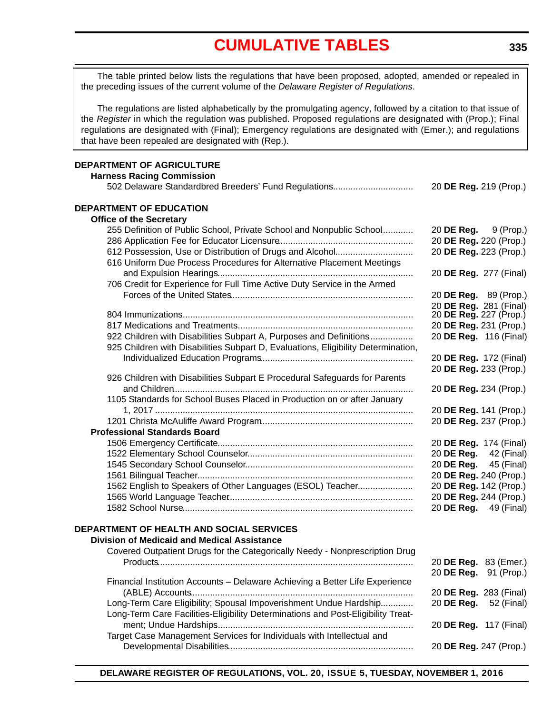# **[CUMULATIVE TABLES](#page-3-0)**

<span id="page-5-0"></span>The table printed below lists the regulations that have been proposed, adopted, amended or repealed in the preceding issues of the current volume of the *Delaware Register of Regulations*.

The regulations are listed alphabetically by the promulgating agency, followed by a citation to that issue of the *Register* in which the regulation was published. Proposed regulations are designated with (Prop.); Final regulations are designated with (Final); Emergency regulations are designated with (Emer.); and regulations that have been repealed are designated with (Rep.).

### **DEPARTMENT OF AGRICULTURE**

| <b>Harness Racing Commission</b>                                                  |                              |
|-----------------------------------------------------------------------------------|------------------------------|
| 502 Delaware Standardbred Breeders' Fund Regulations                              | 20 DE Reg. 219 (Prop.)       |
| DEPARTMENT OF EDUCATION                                                           |                              |
| <b>Office of the Secretary</b>                                                    |                              |
| 255 Definition of Public School, Private School and Nonpublic School              | 20 DE Reg.<br>9 (Prop.)      |
|                                                                                   | 20 DE Reg. 220 (Prop.)       |
| 612 Possession, Use or Distribution of Drugs and Alcohol                          | 20 DE Reg. 223 (Prop.)       |
| 616 Uniform Due Process Procedures for Alternative Placement Meetings             |                              |
|                                                                                   | 20 DE Reg. 277 (Final)       |
| 706 Credit for Experience for Full Time Active Duty Service in the Armed          |                              |
|                                                                                   | 20 DE Reg. 89 (Prop.)        |
|                                                                                   | 20 DE Reg. 281 (Final)       |
|                                                                                   | 20 DE Reg. 227 (Prop.)       |
|                                                                                   | 20 DE Reg. 231 (Prop.)       |
| 922 Children with Disabilities Subpart A, Purposes and Definitions                | 20 DE Reg. 116 (Final)       |
| 925 Children with Disabilities Subpart D, Evaluations, Eligibility Determination, |                              |
|                                                                                   | 20 DE Reg. 172 (Final)       |
| 926 Children with Disabilities Subpart E Procedural Safeguards for Parents        | 20 DE Reg. 233 (Prop.)       |
|                                                                                   | 20 DE Reg. 234 (Prop.)       |
| 1105 Standards for School Buses Placed in Production on or after January          |                              |
|                                                                                   | 20 DE Reg. 141 (Prop.)       |
|                                                                                   | 20 DE Reg. 237 (Prop.)       |
| <b>Professional Standards Board</b>                                               |                              |
|                                                                                   | 20 DE Reg. 174 (Final)       |
|                                                                                   | 20 <b>DE Reg.</b> 42 (Final) |
|                                                                                   | 20 <b>DE Reg.</b> 45 (Final) |
|                                                                                   | 20 DE Reg. 240 (Prop.)       |
| 1562 English to Speakers of Other Languages (ESOL) Teacher                        | 20 DE Reg. 142 (Prop.)       |
|                                                                                   | 20 DE Reg. 244 (Prop.)       |
|                                                                                   | 20 DE Reg. 49 (Final)        |
|                                                                                   |                              |
| DEPARTMENT OF HEALTH AND SOCIAL SERVICES                                          |                              |
| <b>Division of Medicaid and Medical Assistance</b>                                |                              |
| Covered Outpatient Drugs for the Categorically Needy - Nonprescription Drug       |                              |
|                                                                                   | 20 DE Reg. 83 (Emer.)        |
|                                                                                   | 20 DE Reg.<br>91 (Prop.)     |
| Financial Institution Accounts - Delaware Achieving a Better Life Experience      |                              |
|                                                                                   | 20 DE Reg. 283 (Final)       |
| Long-Term Care Eligibility; Spousal Impoverishment Undue Hardship                 | 20 DE Reg.<br>52 (Final)     |
| Long-Term Care Facilities-Eligibility Determinations and Post-Eligibility Treat-  | 20 DE Reg. 117 (Final)       |
| Target Case Management Services for Individuals with Intellectual and             |                              |
|                                                                                   | 20 DE Reg. 247 (Prop.)       |
|                                                                                   |                              |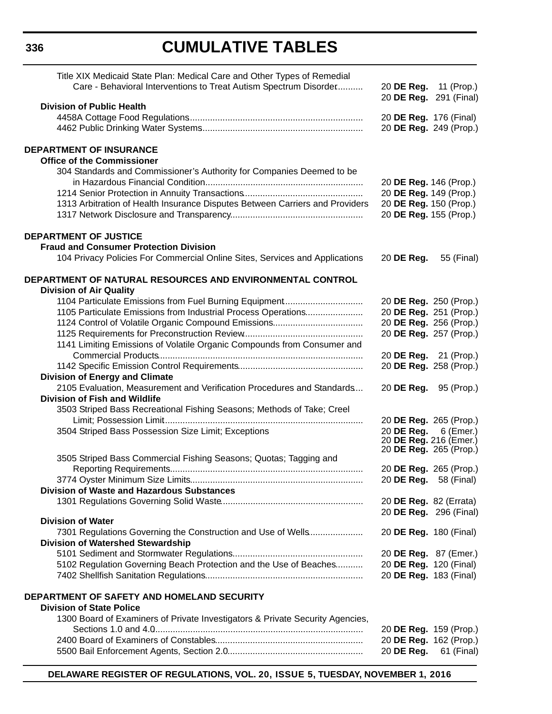# **CUMULATIVE TABLES**

| Title XIX Medicaid State Plan: Medical Care and Other Types of Remedial<br>Care - Behavioral Interventions to Treat Autism Spectrum Disorder | 20 DE Reg. 11 (Prop.)         |                        |
|----------------------------------------------------------------------------------------------------------------------------------------------|-------------------------------|------------------------|
| <b>Division of Public Health</b>                                                                                                             | 20 DE Reg. 291 (Final)        |                        |
|                                                                                                                                              | 20 DE Reg. 176 (Final)        |                        |
|                                                                                                                                              |                               | 20 DE Reg. 249 (Prop.) |
|                                                                                                                                              |                               |                        |
| <b>DEPARTMENT OF INSURANCE</b><br><b>Office of the Commissioner</b>                                                                          |                               |                        |
| 304 Standards and Commissioner's Authority for Companies Deemed to be                                                                        |                               |                        |
|                                                                                                                                              | 20 DE Reg. 146 (Prop.)        |                        |
|                                                                                                                                              | 20 DE Reg. 149 (Prop.)        |                        |
| 1313 Arbitration of Health Insurance Disputes Between Carriers and Providers                                                                 | 20 DE Reg. 150 (Prop.)        |                        |
|                                                                                                                                              | 20 DE Reg. 155 (Prop.)        |                        |
| <b>DEPARTMENT OF JUSTICE</b>                                                                                                                 |                               |                        |
| <b>Fraud and Consumer Protection Division</b>                                                                                                |                               |                        |
| 104 Privacy Policies For Commercial Online Sites, Services and Applications                                                                  | 20 DE Reg.                    | 55 (Final)             |
| DEPARTMENT OF NATURAL RESOURCES AND ENVIRONMENTAL CONTROL                                                                                    |                               |                        |
| <b>Division of Air Quality</b>                                                                                                               |                               |                        |
| 1104 Particulate Emissions from Fuel Burning Equipment                                                                                       | 20 DE Reg. 250 (Prop.)        |                        |
| 1105 Particulate Emissions from Industrial Process Operations                                                                                | 20 DE Reg. 251 (Prop.)        |                        |
|                                                                                                                                              | 20 DE Reg. 256 (Prop.)        |                        |
|                                                                                                                                              | 20 DE Reg. 257 (Prop.)        |                        |
| 1141 Limiting Emissions of Volatile Organic Compounds from Consumer and                                                                      |                               |                        |
|                                                                                                                                              | 20 DE Reg. 21 (Prop.)         |                        |
| <b>Division of Energy and Climate</b>                                                                                                        | 20 DE Reg. 258 (Prop.)        |                        |
| 2105 Evaluation, Measurement and Verification Procedures and Standards                                                                       | 20 DE Reg. 95 (Prop.)         |                        |
| <b>Division of Fish and Wildlife</b>                                                                                                         |                               |                        |
| 3503 Striped Bass Recreational Fishing Seasons; Methods of Take; Creel                                                                       |                               |                        |
|                                                                                                                                              | 20 DE Reg. 265 (Prop.)        |                        |
| 3504 Striped Bass Possession Size Limit; Exceptions                                                                                          | 20 DE Reg.                    | 6 (Emer.)              |
|                                                                                                                                              | 20 DE Reg. 216 (Emer.)        |                        |
|                                                                                                                                              | 20 <b>DE Reg.</b> 265 (Prop.) |                        |
| 3505 Striped Bass Commercial Fishing Seasons; Quotas; Tagging and                                                                            |                               |                        |
|                                                                                                                                              | 20 DE Reg. 265 (Prop.)        |                        |
| <b>Division of Waste and Hazardous Substances</b>                                                                                            | 20 <b>DE Reg.</b> 58 (Final)  |                        |
|                                                                                                                                              | 20 DE Reg. 82 (Errata)        |                        |
|                                                                                                                                              |                               | 20 DE Reg. 296 (Final) |
| <b>Division of Water</b>                                                                                                                     |                               |                        |
| 7301 Regulations Governing the Construction and Use of Wells                                                                                 | 20 DE Reg. 180 (Final)        |                        |
| Division of Watershed Stewardship                                                                                                            |                               |                        |
|                                                                                                                                              | 20 DE Reg. 87 (Emer.)         |                        |
| 5102 Regulation Governing Beach Protection and the Use of Beaches                                                                            | 20 DE Reg. 120 (Final)        |                        |
|                                                                                                                                              | 20 DE Reg. 183 (Final)        |                        |
| DEPARTMENT OF SAFETY AND HOMELAND SECURITY                                                                                                   |                               |                        |
| <b>Division of State Police</b>                                                                                                              |                               |                        |
| 1300 Board of Examiners of Private Investigators & Private Security Agencies,                                                                |                               |                        |
|                                                                                                                                              |                               | 20 DE Reg. 159 (Prop.) |
|                                                                                                                                              |                               | 20 DE Reg. 162 (Prop.) |
|                                                                                                                                              | 20 DE Reg.                    | 61 (Final)             |

**DELAWARE REGISTER OF REGULATIONS, VOL. 20, ISSUE 5, TUESDAY, NOVEMBER 1, 2016**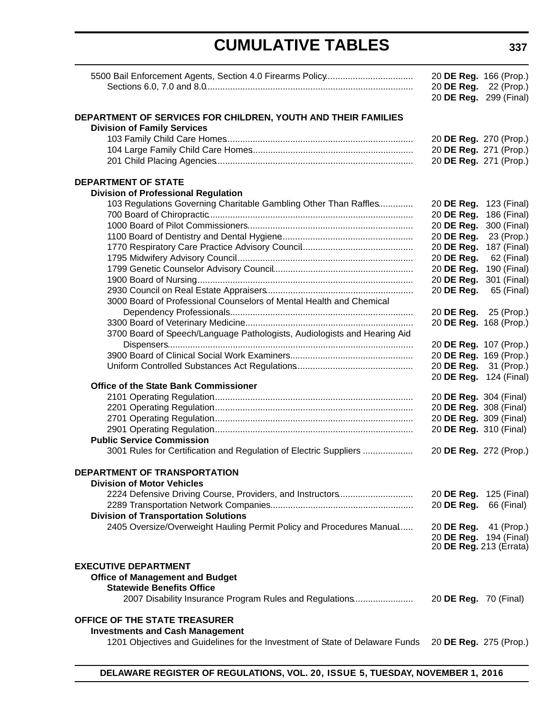# **CUMULATIVE TABLES**

|                                                                              | 20 DE Reg. 166 (Prop.)<br>20 DE Reg. | 22 (Prop.)  |
|------------------------------------------------------------------------------|--------------------------------------|-------------|
|                                                                              | 20 DE Reg. 299 (Final)               |             |
| DEPARTMENT OF SERVICES FOR CHILDREN, YOUTH AND THEIR FAMILIES                |                                      |             |
| <b>Division of Family Services</b>                                           |                                      |             |
|                                                                              | 20 DE Reg. 270 (Prop.)               |             |
|                                                                              | 20 DE Reg. 271 (Prop.)               |             |
|                                                                              | 20 DE Reg. 271 (Prop.)               |             |
| <b>DEPARTMENT OF STATE</b>                                                   |                                      |             |
| <b>Division of Professional Regulation</b>                                   |                                      |             |
| 103 Regulations Governing Charitable Gambling Other Than Raffles             | 20 DE Reg.                           | 123 (Final) |
|                                                                              | 20 DE Reg.                           | 186 (Final) |
|                                                                              | 20 DE Reg.                           | 300 (Final) |
|                                                                              | 20 DE Reg.                           | 23 (Prop.)  |
|                                                                              | 20 DE Reg.                           | 187 (Final) |
|                                                                              | 20 DE Reg.                           | 62 (Final)  |
|                                                                              | 20 DE Reg.                           | 190 (Final) |
|                                                                              | 20 DE Reg.                           | 301 (Final) |
|                                                                              | 20 DE Reg.                           | 65 (Final)  |
| 3000 Board of Professional Counselors of Mental Health and Chemical          |                                      |             |
|                                                                              | 20 DE Reg.                           | 25 (Prop.)  |
|                                                                              | 20 DE Reg. 168 (Prop.)               |             |
| 3700 Board of Speech/Language Pathologists, Audiologists and Hearing Aid     |                                      |             |
|                                                                              | 20 DE Reg. 107 (Prop.)               |             |
|                                                                              | 20 DE Reg. 169 (Prop.)               |             |
|                                                                              | 20 DE Reg.                           | 31 (Prop.)  |
|                                                                              | 20 DE Reg. 124 (Final)               |             |
| <b>Office of the State Bank Commissioner</b>                                 |                                      |             |
|                                                                              | 20 DE Reg. 304 (Final)               |             |
|                                                                              | 20 DE Reg. 308 (Final)               |             |
|                                                                              | 20 DE Reg. 309 (Final)               |             |
|                                                                              | 20 DE Reg. 310 (Final)               |             |
| <b>Public Service Commission</b>                                             |                                      |             |
| 3001 Rules for Certification and Regulation of Electric Suppliers            | 20 DE Reg. 272 (Prop.)               |             |
| DEPARTMENT OF TRANSPORTATION                                                 |                                      |             |
| <b>Division of Motor Vehicles</b>                                            |                                      |             |
| 2224 Defensive Driving Course, Providers, and Instructors                    | 20 DE Reg. 125 (Final)               |             |
|                                                                              | 20 DE Reg.                           | 66 (Final)  |
| <b>Division of Transportation Solutions</b>                                  |                                      |             |
| 2405 Oversize/Overweight Hauling Permit Policy and Procedures Manual         | 20 DE Reg.                           | 41 (Prop.)  |
|                                                                              | 20 DE Reg. 194 (Final)               |             |
|                                                                              | 20 DE Reg. 213 (Errata)              |             |
| <b>EXECUTIVE DEPARTMENT</b>                                                  |                                      |             |
| <b>Office of Management and Budget</b>                                       |                                      |             |
| <b>Statewide Benefits Office</b>                                             |                                      |             |
| 2007 Disability Insurance Program Rules and Regulations                      | 20 <b>DE Reg.</b> 70 (Final)         |             |
| OFFICE OF THE STATE TREASURER                                                |                                      |             |
| <b>Investments and Cash Management</b>                                       |                                      |             |
| 1201 Objectives and Guidelines for the Investment of State of Delaware Funds | 20 DE Reg. 275 (Prop.)               |             |
|                                                                              |                                      |             |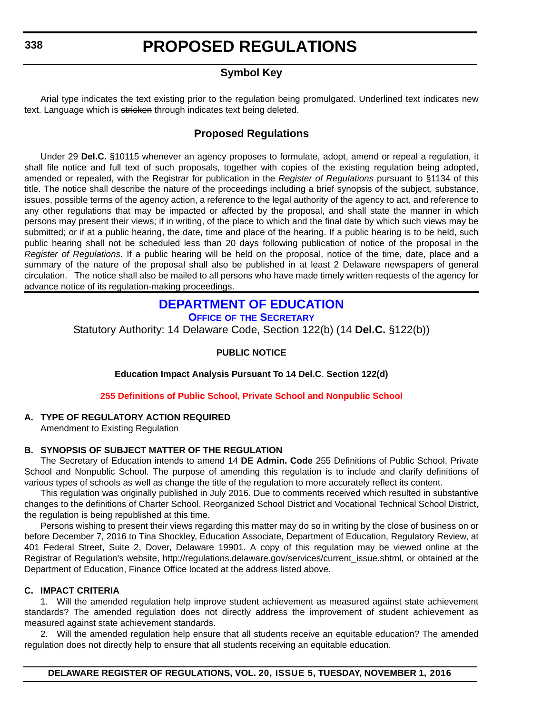# **Symbol Key**

<span id="page-8-0"></span>Arial type indicates the text existing prior to the regulation being promulgated. Underlined text indicates new text. Language which is stricken through indicates text being deleted.

## **Proposed Regulations**

Under 29 **Del.C.** §10115 whenever an agency proposes to formulate, adopt, amend or repeal a regulation, it shall file notice and full text of such proposals, together with copies of the existing regulation being adopted, amended or repealed, with the Registrar for publication in the *Register of Regulations* pursuant to §1134 of this title. The notice shall describe the nature of the proceedings including a brief synopsis of the subject, substance, issues, possible terms of the agency action, a reference to the legal authority of the agency to act, and reference to any other regulations that may be impacted or affected by the proposal, and shall state the manner in which persons may present their views; if in writing, of the place to which and the final date by which such views may be submitted; or if at a public hearing, the date, time and place of the hearing. If a public hearing is to be held, such public hearing shall not be scheduled less than 20 days following publication of notice of the proposal in the *Register of Regulations*. If a public hearing will be held on the proposal, notice of the time, date, place and a summary of the nature of the proposal shall also be published in at least 2 Delaware newspapers of general circulation. The notice shall also be mailed to all persons who have made timely written requests of the agency for advance notice of its regulation-making proceedings.

# **[DEPARTMENT OF EDUCATION](http://www.doe.k12.de.us/)**

**OFFICE OF [THE SECRETARY](https://pubapps.doe.k12.de.us/EducationalDirectoryPublic/pages/DDOE/Branches.aspx)**

Statutory Authority: 14 Delaware Code, Section 122(b) (14 **Del.C.** §122(b))

### **PUBLIC NOTICE**

**Education Impact Analysis Pursuant To 14 Del.C**. **Section 122(d)**

**[255 Definitions of Public School, Private School and Nonpublic School](#page-3-0)**

### **A. TYPE OF REGULATORY ACTION REQUIRED**

Amendment to Existing Regulation

### **B. SYNOPSIS OF SUBJECT MATTER OF THE REGULATION**

The Secretary of Education intends to amend 14 **DE Admin. Code** 255 Definitions of Public School, Private School and Nonpublic School. The purpose of amending this regulation is to include and clarify definitions of various types of schools as well as change the title of the regulation to more accurately reflect its content.

This regulation was originally published in July 2016. Due to comments received which resulted in substantive changes to the definitions of Charter School, Reorganized School District and Vocational Technical School District, the regulation is being republished at this time.

Persons wishing to present their views regarding this matter may do so in writing by the close of business on or before December 7, 2016 to Tina Shockley, Education Associate, Department of Education, Regulatory Review, at 401 Federal Street, Suite 2, Dover, Delaware 19901. A copy of this regulation may be viewed online at the Registrar of Regulation's website, http://regulations.delaware.gov/services/current\_issue.shtml, or obtained at the Department of Education, Finance Office located at the address listed above.

### **C. IMPACT CRITERIA**

1. Will the amended regulation help improve student achievement as measured against state achievement standards? The amended regulation does not directly address the improvement of student achievement as measured against state achievement standards.

2. Will the amended regulation help ensure that all students receive an equitable education? The amended regulation does not directly help to ensure that all students receiving an equitable education.

**DELAWARE REGISTER OF REGULATIONS, VOL. 20, ISSUE 5, TUESDAY, NOVEMBER 1, 2016**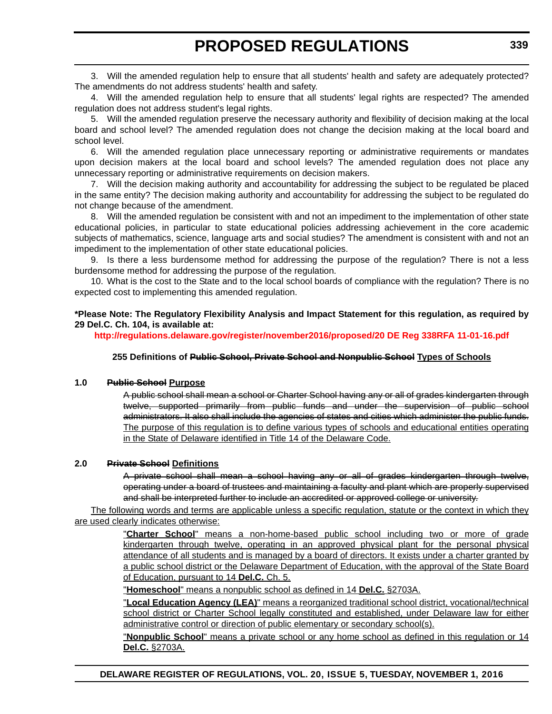3. Will the amended regulation help to ensure that all students' health and safety are adequately protected? The amendments do not address students' health and safety.

4. Will the amended regulation help to ensure that all students' legal rights are respected? The amended regulation does not address student's legal rights.

5. Will the amended regulation preserve the necessary authority and flexibility of decision making at the local board and school level? The amended regulation does not change the decision making at the local board and school level.

6. Will the amended regulation place unnecessary reporting or administrative requirements or mandates upon decision makers at the local board and school levels? The amended regulation does not place any unnecessary reporting or administrative requirements on decision makers.

7. Will the decision making authority and accountability for addressing the subject to be regulated be placed in the same entity? The decision making authority and accountability for addressing the subject to be regulated do not change because of the amendment.

8. Will the amended regulation be consistent with and not an impediment to the implementation of other state educational policies, in particular to state educational policies addressing achievement in the core academic subjects of mathematics, science, language arts and social studies? The amendment is consistent with and not an impediment to the implementation of other state educational policies.

9. Is there a less burdensome method for addressing the purpose of the regulation? There is not a less burdensome method for addressing the purpose of the regulation.

10. What is the cost to the State and to the local school boards of compliance with the regulation? There is no expected cost to implementing this amended regulation.

**\*Please Note: The Regulatory Flexibility Analysis and Impact Statement for this regulation, as required by 29 Del.C. Ch. 104, is available at:**

**<http://regulations.delaware.gov/register/november2016/proposed/20 DE Reg 338RFA 11-01-16.pdf>**

### **255 Definitions of Public School, Private School and Nonpublic School Types of Schools**

#### **1.0 Public School Purpose**

A public school shall mean a school or Charter School having any or all of grades kindergarten through twelve, supported primarily from public funds and under the supervision of public school administrators. It also shall include the agencies of states and cities which administer the public funds. The purpose of this regulation is to define various types of schools and educational entities operating in the State of Delaware identified in Title 14 of the Delaware Code.

#### **2.0 Private School Definitions**

A private school shall mean a school having any or all of grades kindergarten through twelve, operating under a board of trustees and maintaining a faculty and plant which are properly supervised and shall be interpreted further to include an accredited or approved college or university.

The following words and terms are applicable unless a specific regulation, statute or the context in which they are used clearly indicates otherwise:

> "**Charter School**" means a non-home-based public school including two or more of grade kindergarten through twelve, operating in an approved physical plant for the personal physical attendance of all students and is managed by a board of directors. It exists under a charter granted by a public school district or the Delaware Department of Education, with the approval of the State Board of Education, pursuant to 14 **Del.C.** Ch. 5.

"**Homeschool**" means a nonpublic school as defined in 14 **Del.C.** §2703A.

"**Local Education Agency (LEA)**" means a reorganized traditional school district, vocational/technical school district or Charter School legally constituted and established, under Delaware law for either administrative control or direction of public elementary or secondary school(s).

"**Nonpublic School**" means a private school or any home school as defined in this regulation or 14 **Del.C.** §2703A.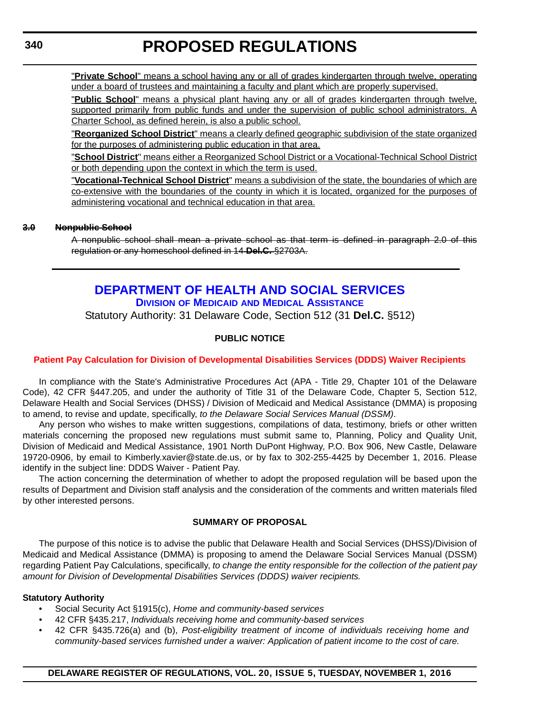<span id="page-10-0"></span>"**Private School**" means a school having any or all of grades kindergarten through twelve, operating under a board of trustees and maintaining a faculty and plant which are properly supervised.

"**Public School**" means a physical plant having any or all of grades kindergarten through twelve, supported primarily from public funds and under the supervision of public school administrators. A Charter School, as defined herein, is also a public school.

"**Reorganized School District**" means a clearly defined geographic subdivision of the state organized for the purposes of administering public education in that area.

"**School District**" means either a Reorganized School District or a Vocational-Technical School District or both depending upon the context in which the term is used.

"**Vocational-Technical School District**" means a subdivision of the state, the boundaries of which are co-extensive with the boundaries of the county in which it is located, organized for the purposes of administering vocational and technical education in that area.

#### **3.0 Nonpublic School**

A nonpublic school shall mean a private school as that term is defined in paragraph 2.0 of this regulation or any homeschool defined in 14 **Del.C.** §2703A.

# **[DEPARTMENT OF HEALTH AND SOCIAL SERVICES](http://www.dhss.delaware.gov/dhss/index.html) DIVISION OF MEDICAID [AND MEDICAL ASSISTANCE](http://www.dhss.delaware.gov/dhss/dmma/)**

Statutory Authority: 31 Delaware Code, Section 512 (31 **Del.C.** §512)

### **PUBLIC NOTICE**

### **[Patient Pay Calculation for Division of Developmental Disabilities Services \(DDDS\) Waiver Recipients](#page-3-0)**

In compliance with the State's Administrative Procedures Act (APA - Title 29, Chapter 101 of the Delaware Code), 42 CFR §447.205, and under the authority of Title 31 of the Delaware Code, Chapter 5, Section 512, Delaware Health and Social Services (DHSS) / Division of Medicaid and Medical Assistance (DMMA) is proposing to amend, to revise and update, specifically, *to the Delaware Social Services Manual (DSSM)*.

Any person who wishes to make written suggestions, compilations of data, testimony, briefs or other written materials concerning the proposed new regulations must submit same to, Planning, Policy and Quality Unit, Division of Medicaid and Medical Assistance, 1901 North DuPont Highway, P.O. Box 906, New Castle, Delaware 19720-0906, by email to Kimberly.xavier@state.de.us, or by fax to 302-255-4425 by December 1, 2016. Please identify in the subject line: DDDS Waiver - Patient Pay.

The action concerning the determination of whether to adopt the proposed regulation will be based upon the results of Department and Division staff analysis and the consideration of the comments and written materials filed by other interested persons.

#### **SUMMARY OF PROPOSAL**

The purpose of this notice is to advise the public that Delaware Health and Social Services (DHSS)/Division of Medicaid and Medical Assistance (DMMA) is proposing to amend the Delaware Social Services Manual (DSSM) regarding Patient Pay Calculations, specifically, *to change the entity responsible for the collection of the patient pay amount for Division of Developmental Disabilities Services (DDDS) waiver recipients.*

#### **Statutory Authority**

- Social Security Act §1915(c), *Home and community-based services*
- *•* 42 CFR §435.217, *Individuals receiving home and community-based services*
- 42 CFR §435.726(a) and (b), *Post-eligibility treatment of income of individuals receiving home and community-based services furnished under a waiver: Application of patient income to the cost of care.*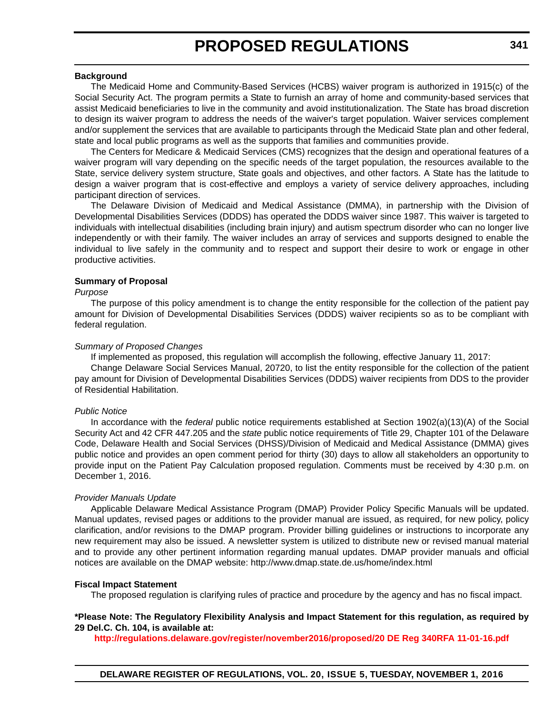#### **Background**

The Medicaid Home and Community-Based Services (HCBS) waiver program is authorized in 1915(c) of the Social Security Act. The program permits a State to furnish an array of home and community-based services that assist Medicaid beneficiaries to live in the community and avoid institutionalization. The State has broad discretion to design its waiver program to address the needs of the waiver's target population. Waiver services complement and/or supplement the services that are available to participants through the Medicaid State plan and other federal, state and local public programs as well as the supports that families and communities provide.

The Centers for Medicare & Medicaid Services (CMS) recognizes that the design and operational features of a waiver program will vary depending on the specific needs of the target population, the resources available to the State, service delivery system structure, State goals and objectives, and other factors. A State has the latitude to design a waiver program that is cost-effective and employs a variety of service delivery approaches, including participant direction of services.

The Delaware Division of Medicaid and Medical Assistance (DMMA), in partnership with the Division of Developmental Disabilities Services (DDDS) has operated the DDDS waiver since 1987. This waiver is targeted to individuals with intellectual disabilities (including brain injury) and autism spectrum disorder who can no longer live independently or with their family. The waiver includes an array of services and supports designed to enable the individual to live safely in the community and to respect and support their desire to work or engage in other productive activities.

#### **Summary of Proposal**

#### *Purpose*

The purpose of this policy amendment is to change the entity responsible for the collection of the patient pay amount for Division of Developmental Disabilities Services (DDDS) waiver recipients so as to be compliant with federal regulation.

#### *Summary of Proposed Changes*

If implemented as proposed, this regulation will accomplish the following, effective January 11, 2017:

Change Delaware Social Services Manual, 20720, to list the entity responsible for the collection of the patient pay amount for Division of Developmental Disabilities Services (DDDS) waiver recipients from DDS to the provider of Residential Habilitation.

#### *Public Notice*

In accordance with the *federal* public notice requirements established at Section 1902(a)(13)(A) of the Social Security Act and 42 CFR 447.205 and the *state* public notice requirements of Title 29, Chapter 101 of the Delaware Code, Delaware Health and Social Services (DHSS)/Division of Medicaid and Medical Assistance (DMMA) gives public notice and provides an open comment period for thirty (30) days to allow all stakeholders an opportunity to provide input on the Patient Pay Calculation proposed regulation. Comments must be received by 4:30 p.m. on December 1, 2016.

#### *Provider Manuals Update*

Applicable Delaware Medical Assistance Program (DMAP) Provider Policy Specific Manuals will be updated. Manual updates, revised pages or additions to the provider manual are issued, as required, for new policy, policy clarification, and/or revisions to the DMAP program. Provider billing guidelines or instructions to incorporate any new requirement may also be issued. A newsletter system is utilized to distribute new or revised manual material and to provide any other pertinent information regarding manual updates. DMAP provider manuals and official notices are available on the DMAP website: http://www.dmap.state.de.us/home/index.html

#### **Fiscal Impact Statement**

The proposed regulation is clarifying rules of practice and procedure by the agency and has no fiscal impact.

#### **\*Please Note: The Regulatory Flexibility Analysis and Impact Statement for this regulation, as required by 29 Del.C. Ch. 104, is available at:**

**<http://regulations.delaware.gov/register/november2016/proposed/20 DE Reg 340RFA 11-01-16.pdf>**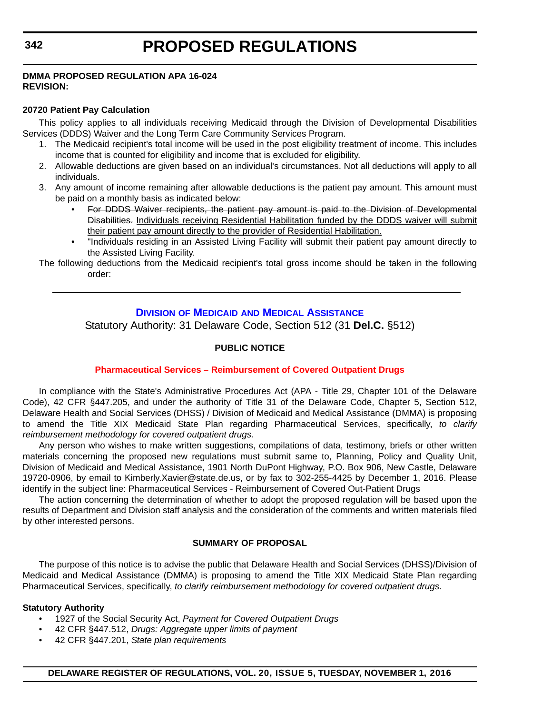### <span id="page-12-0"></span>**DMMA PROPOSED REGULATION APA 16-024 REVISION:**

### **20720 Patient Pay Calculation**

This policy applies to all individuals receiving Medicaid through the Division of Developmental Disabilities Services (DDDS) Waiver and the Long Term Care Community Services Program.

- 1. The Medicaid recipient's total income will be used in the post eligibility treatment of income. This includes income that is counted for eligibility and income that is excluded for eligibility.
- 2. Allowable deductions are given based on an individual's circumstances. Not all deductions will apply to all individuals.
- 3. Any amount of income remaining after allowable deductions is the patient pay amount. This amount must be paid on a monthly basis as indicated below:
	- For DDDS Waiver recipients, the patient pay amount is paid to the Division of Developmental Disabilities. Individuals receiving Residential Habilitation funded by the DDDS waiver will submit their patient pay amount directly to the provider of Residential Habilitation.
	- "Individuals residing in an Assisted Living Facility will submit their patient pay amount directly to the Assisted Living Facility.

The following deductions from the Medicaid recipient's total gross income should be taken in the following order:

### **DIVISION OF MEDICAID [AND MEDICAL ASSISTANCE](http://www.dhss.delaware.gov/dhss/dmma/)**

Statutory Authority: 31 Delaware Code, Section 512 (31 **Del.C.** §512)

### **PUBLIC NOTICE**

### **[Pharmaceutical Services – Reimbursement of Covered Outpatient Drugs](#page-3-0)**

In compliance with the State's Administrative Procedures Act (APA - Title 29, Chapter 101 of the Delaware Code), 42 CFR §447.205, and under the authority of Title 31 of the Delaware Code, Chapter 5, Section 512, Delaware Health and Social Services (DHSS) / Division of Medicaid and Medical Assistance (DMMA) is proposing to amend the Title XIX Medicaid State Plan regarding Pharmaceutical Services, specifically, *to clarify reimbursement methodology for covered outpatient drugs.*

Any person who wishes to make written suggestions, compilations of data, testimony, briefs or other written materials concerning the proposed new regulations must submit same to, Planning, Policy and Quality Unit, Division of Medicaid and Medical Assistance, 1901 North DuPont Highway, P.O. Box 906, New Castle, Delaware 19720-0906, by email to Kimberly.Xavier@state.de.us, or by fax to 302-255-4425 by December 1, 2016. Please identify in the subject line: Pharmaceutical Services - Reimbursement of Covered Out-Patient Drugs

The action concerning the determination of whether to adopt the proposed regulation will be based upon the results of Department and Division staff analysis and the consideration of the comments and written materials filed by other interested persons.

### **SUMMARY OF PROPOSAL**

The purpose of this notice is to advise the public that Delaware Health and Social Services (DHSS)/Division of Medicaid and Medical Assistance (DMMA) is proposing to amend the Title XIX Medicaid State Plan regarding Pharmaceutical Services, specifically, *to clarify reimbursement methodology for covered outpatient drugs.*

### **Statutory Authority**

- 1927 of the Social Security Act, *Payment for Covered Outpatient Drugs*
- 42 CFR §447.512, *Drugs: Aggregate upper limits of payment*
- 42 CFR §447.201, *State plan requirements*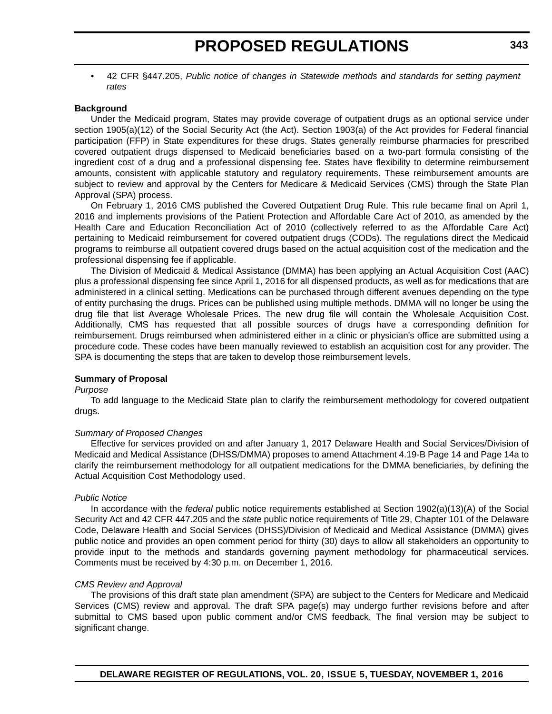• 42 CFR §447.205, *Public notice of changes in Statewide methods and standards for setting payment rates*

#### **Background**

Under the Medicaid program, States may provide coverage of outpatient drugs as an optional service under section 1905(a)(12) of the Social Security Act (the Act). Section 1903(a) of the Act provides for Federal financial participation (FFP) in State expenditures for these drugs. States generally reimburse pharmacies for prescribed covered outpatient drugs dispensed to Medicaid beneficiaries based on a two-part formula consisting of the ingredient cost of a drug and a professional dispensing fee. States have flexibility to determine reimbursement amounts, consistent with applicable statutory and regulatory requirements. These reimbursement amounts are subject to review and approval by the Centers for Medicare & Medicaid Services (CMS) through the State Plan Approval (SPA) process.

On February 1, 2016 CMS published the Covered Outpatient Drug Rule. This rule became final on April 1, 2016 and implements provisions of the Patient Protection and Affordable Care Act of 2010, as amended by the Health Care and Education Reconciliation Act of 2010 (collectively referred to as the Affordable Care Act) pertaining to Medicaid reimbursement for covered outpatient drugs (CODs). The regulations direct the Medicaid programs to reimburse all outpatient covered drugs based on the actual acquisition cost of the medication and the professional dispensing fee if applicable.

The Division of Medicaid & Medical Assistance (DMMA) has been applying an Actual Acquisition Cost (AAC) plus a professional dispensing fee since April 1, 2016 for all dispensed products, as well as for medications that are administered in a clinical setting. Medications can be purchased through different avenues depending on the type of entity purchasing the drugs. Prices can be published using multiple methods. DMMA will no longer be using the drug file that list Average Wholesale Prices. The new drug file will contain the Wholesale Acquisition Cost. Additionally, CMS has requested that all possible sources of drugs have a corresponding definition for reimbursement. Drugs reimbursed when administered either in a clinic or physician's office are submitted using a procedure code. These codes have been manually reviewed to establish an acquisition cost for any provider. The SPA is documenting the steps that are taken to develop those reimbursement levels.

#### **Summary of Proposal**

#### *Purpose*

To add language to the Medicaid State plan to clarify the reimbursement methodology for covered outpatient drugs.

#### *Summary of Proposed Changes*

Effective for services provided on and after January 1, 2017 Delaware Health and Social Services/Division of Medicaid and Medical Assistance (DHSS/DMMA) proposes to amend Attachment 4.19-B Page 14 and Page 14a to clarify the reimbursement methodology for all outpatient medications for the DMMA beneficiaries, by defining the Actual Acquisition Cost Methodology used.

#### *Public Notice*

In accordance with the *federal* public notice requirements established at Section 1902(a)(13)(A) of the Social Security Act and 42 CFR 447.205 and the *state* public notice requirements of Title 29, Chapter 101 of the Delaware Code, Delaware Health and Social Services (DHSS)/Division of Medicaid and Medical Assistance (DMMA) gives public notice and provides an open comment period for thirty (30) days to allow all stakeholders an opportunity to provide input to the methods and standards governing payment methodology for pharmaceutical services. Comments must be received by 4:30 p.m. on December 1, 2016.

#### *CMS Review and Approval*

The provisions of this draft state plan amendment (SPA) are subject to the Centers for Medicare and Medicaid Services (CMS) review and approval. The draft SPA page(s) may undergo further revisions before and after submittal to CMS based upon public comment and/or CMS feedback. The final version may be subject to significant change.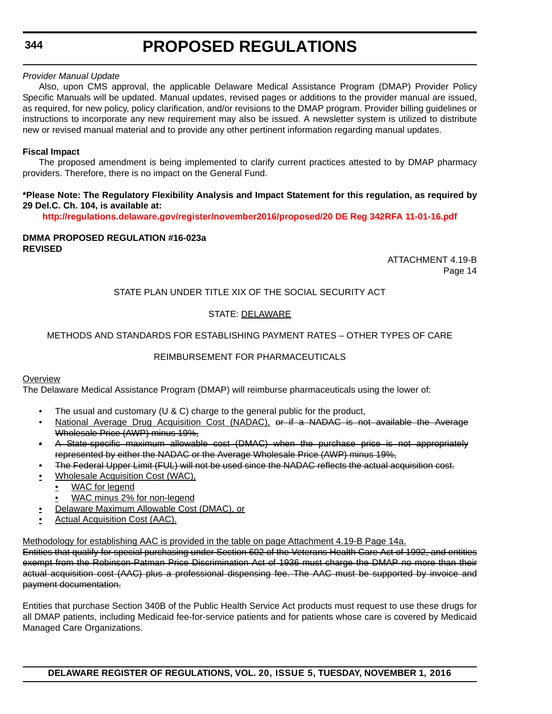### *Provider Manual Update*

Also, upon CMS approval, the applicable Delaware Medical Assistance Program (DMAP) Provider Policy Specific Manuals will be updated. Manual updates, revised pages or additions to the provider manual are issued, as required, for new policy, policy clarification, and/or revisions to the DMAP program. Provider billing guidelines or instructions to incorporate any new requirement may also be issued. A newsletter system is utilized to distribute new or revised manual material and to provide any other pertinent information regarding manual updates.

### **Fiscal Impact**

The proposed amendment is being implemented to clarify current practices attested to by DMAP pharmacy providers. Therefore, there is no impact on the General Fund.

### **\*Please Note: The Regulatory Flexibility Analysis and Impact Statement for this regulation, as required by 29 Del.C. Ch. 104, is available at:**

**<http://regulations.delaware.gov/register/november2016/proposed/20 DE Reg 342RFA 11-01-16.pdf>**

#### **DMMA PROPOSED REGULATION #16-023a REVISED**

ATTACHMENT 4.19-B Page 14

### STATE PLAN UNDER TITLE XIX OF THE SOCIAL SECURITY ACT

### STATE: DELAWARE

### METHODS AND STANDARDS FOR ESTABLISHING PAYMENT RATES – OTHER TYPES OF CARE

### REIMBURSEMENT FOR PHARMACEUTICALS

#### **Overview**

The Delaware Medical Assistance Program (DMAP) will reimburse pharmaceuticals using the lower of:

- The usual and customary  $(U & C)$  charge to the general public for the product,
- National Average Drug Acquisition Cost (NADAC), or if a NADAC is not available the Average Wholesale Price (AWP) minus 19%,
- A State-specific maximum allowable cost (DMAC) when the purchase price is not appropriately represented by either the NADAC or the Average Wholesale Price (AWP) minus 19%,
- The Federal Upper Limit (FUL) will not be used since the NADAC reflects the actual acquisition cost.
- Wholesale Acquisition Cost (WAC),
	- WAC for legend
	- WAC minus 2% for non-legend
- Delaware Maximum Allowable Cost (DMAC), or
- Actual Acquisition Cost (AAC).

#### Methodology for establishing AAC is provided in the table on page Attachment 4.19-B Page 14a.

Entities that qualify for special purchasing under Section 602 of the Veterans Health Care Act of 1992, and entities exempt from the Robinson-Patman Price Discrimination Act of 1936 must charge the DMAP no more than their actual acquisition cost (AAC) plus a professional dispensing fee. The AAC must be supported by invoice and payment documentation.

Entities that purchase Section 340B of the Public Health Service Act products must request to use these drugs for all DMAP patients, including Medicaid fee-for-service patients and for patients whose care is covered by Medicaid Managed Care Organizations.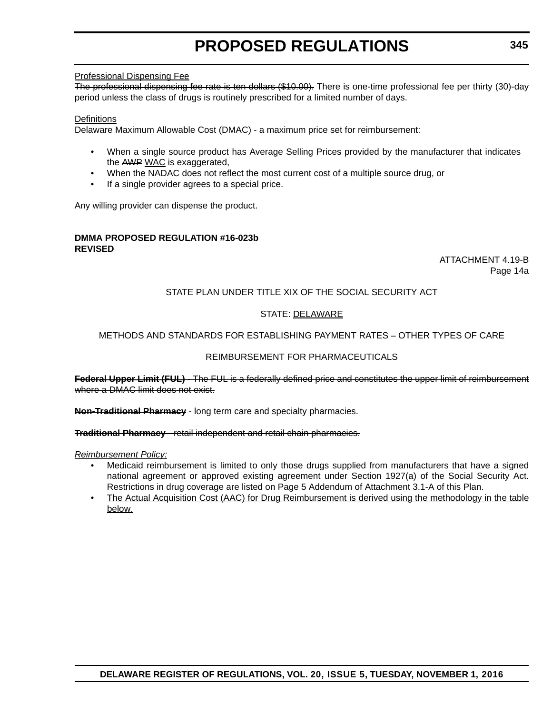### Professional Dispensing Fee

The professional dispensing fee rate is ten dollars (\$10.00). There is one-time professional fee per thirty (30)-day period unless the class of drugs is routinely prescribed for a limited number of days.

### **Definitions**

Delaware Maximum Allowable Cost (DMAC) - a maximum price set for reimbursement:

- When a single source product has Average Selling Prices provided by the manufacturer that indicates the AWP WAC is exaggerated,
- When the NADAC does not reflect the most current cost of a multiple source drug, or
- If a single provider agrees to a special price.

Any willing provider can dispense the product.

#### **DMMA PROPOSED REGULATION #16-023b REVISED**

### ATTACHMENT 4.19-B Page 14a

### STATE PLAN UNDER TITLE XIX OF THE SOCIAL SECURITY ACT

### STATE: DELAWARE

### METHODS AND STANDARDS FOR ESTABLISHING PAYMENT RATES – OTHER TYPES OF CARE

### REIMBURSEMENT FOR PHARMACEUTICALS

**Federal Upper Limit (FUL)** - The FUL is a federally defined price and constitutes the upper limit of reimbursement where a DMAC limit does not exist.

**Non-Traditional Pharmacy** - long term care and specialty pharmacies.

**Traditional Pharmacy** - retail independent and retail chain pharmacies.

#### *Reimbursement Policy:*

- Medicaid reimbursement is limited to only those drugs supplied from manufacturers that have a signed national agreement or approved existing agreement under Section 1927(a) of the Social Security Act. Restrictions in drug coverage are listed on Page 5 Addendum of Attachment 3.1-A of this Plan.
- The Actual Acquisition Cost (AAC) for Drug Reimbursement is derived using the methodology in the table below.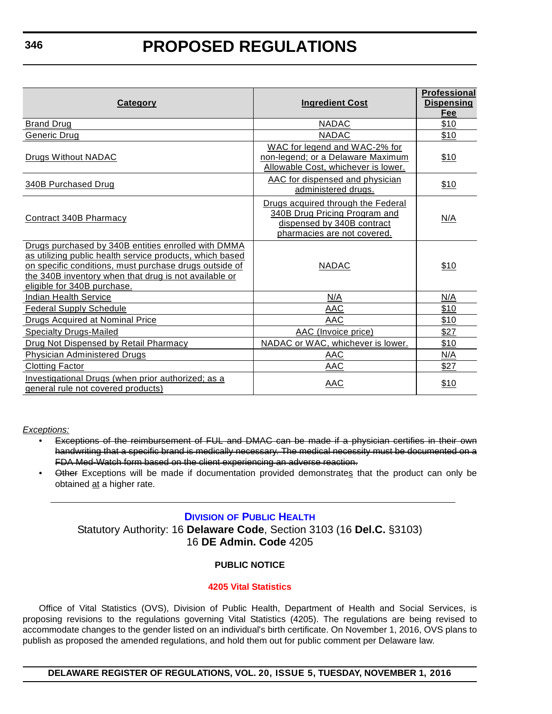<span id="page-16-0"></span>

| <b>Category</b>                                                                                                                                                                                                                                                   | <b>Ingredient Cost</b>                                                                                                           | <b>Professional</b><br><b>Dispensing</b><br>Fee |
|-------------------------------------------------------------------------------------------------------------------------------------------------------------------------------------------------------------------------------------------------------------------|----------------------------------------------------------------------------------------------------------------------------------|-------------------------------------------------|
| <b>Brand Drug</b>                                                                                                                                                                                                                                                 | <b>NADAC</b>                                                                                                                     | \$10                                            |
| Generic Drug                                                                                                                                                                                                                                                      | <b>NADAC</b>                                                                                                                     | \$10                                            |
| Drugs Without NADAC                                                                                                                                                                                                                                               | WAC for legend and WAC-2% for<br>non-legend; or a Delaware Maximum<br>Allowable Cost, whichever is lower.                        | \$10                                            |
| 340B Purchased Drug                                                                                                                                                                                                                                               | AAC for dispensed and physician<br>administered drugs.                                                                           | \$10                                            |
| Contract 340B Pharmacy                                                                                                                                                                                                                                            | Drugs acquired through the Federal<br>340B Drug Pricing Program and<br>dispensed by 340B contract<br>pharmacies are not covered. | N/A                                             |
| Drugs purchased by 340B entities enrolled with DMMA<br>as utilizing public health service products, which based<br>on specific conditions, must purchase drugs outside of<br>the 340B inventory when that drug is not available or<br>eligible for 340B purchase. | <b>NADAC</b>                                                                                                                     | \$10                                            |
| <b>Indian Health Service</b>                                                                                                                                                                                                                                      | N/A                                                                                                                              | N/A                                             |
| <b>Federal Supply Schedule</b>                                                                                                                                                                                                                                    | AAC                                                                                                                              | \$10                                            |
| <b>Drugs Acquired at Nominal Price</b>                                                                                                                                                                                                                            | <b>AAC</b>                                                                                                                       | \$10                                            |
| <b>Specialty Drugs-Mailed</b>                                                                                                                                                                                                                                     | AAC (Invoice price)                                                                                                              | \$27                                            |
| Drug Not Dispensed by Retail Pharmacy                                                                                                                                                                                                                             | NADAC or WAC, whichever is lower.                                                                                                | \$10                                            |
| <b>Physician Administered Drugs</b>                                                                                                                                                                                                                               | <b>AAC</b>                                                                                                                       | N/A                                             |
| <b>Clotting Factor</b>                                                                                                                                                                                                                                            | AAC                                                                                                                              | \$27                                            |
| Investigational Drugs (when prior authorized; as a<br>general rule not covered products)                                                                                                                                                                          | <b>AAC</b>                                                                                                                       | \$10                                            |

*Exceptions:*

- Exceptions of the reimbursement of FUL and DMAC can be made if a physician certifies in their own handwriting that a specific brand is medically necessary. The medical necessity must be documented on a FDA Med-Watch form based on the client experiencing an adverse reaction.
- Other Exceptions will be made if documentation provided demonstrates that the product can only be obtained at a higher rate.

### **DIVISION [OF PUBLIC HEALTH](http://www.dhss.delaware.gov/dhss/dph/index.html)**

Statutory Authority: 16 **Delaware Code**, Section 3103 (16 **Del.C.** §3103) 16 **DE Admin. Code** 4205

### **PUBLIC NOTICE**

### **[4205 Vital Statistics](#page-3-0)**

Office of Vital Statistics (OVS), Division of Public Health, Department of Health and Social Services, is proposing revisions to the regulations governing Vital Statistics (4205). The regulations are being revised to accommodate changes to the gender listed on an individual's birth certificate. On November 1, 2016, OVS plans to publish as proposed the amended regulations, and hold them out for public comment per Delaware law.

**DELAWARE REGISTER OF REGULATIONS, VOL. 20, ISSUE 5, TUESDAY, NOVEMBER 1, 2016**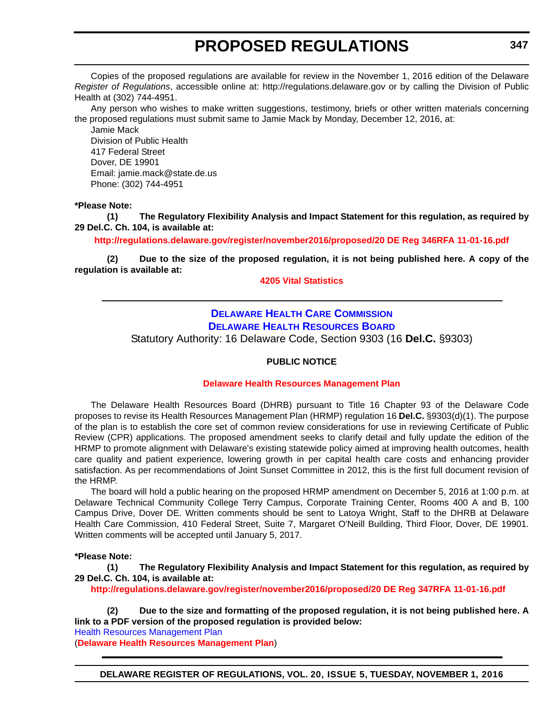<span id="page-17-0"></span>Copies of the proposed regulations are available for review in the November 1, 2016 edition of the Delaware *Register of Regulations*, accessible online at: http://regulations.delaware.gov or by calling the Division of Public Health at (302) 744-4951.

Any person who wishes to make written suggestions, testimony, briefs or other written materials concerning the proposed regulations must submit same to Jamie Mack by Monday, December 12, 2016, at:

Jamie Mack Division of Public Health 417 Federal Street Dover, DE 19901 Email: jamie.mack@state.de.us Phone: (302) 744-4951

### **\*Please Note:**

**(1) The Regulatory Flexibility Analysis and Impact Statement for this regulation, as required by 29 Del.C. Ch. 104, is available at:**

**<http://regulations.delaware.gov/register/november2016/proposed/20 DE Reg 346RFA 11-01-16.pdf>**

**(2) Due to the size of the proposed regulation, it is not being published here. A copy of the regulation is available at:**

**[4205 Vital Statistics](http://regulations.delaware.gov/register/november2016/proposed/20 DE Reg 346 11-01-16.htm)**

### **[DELAWARE HEALTH CARE COMMISSION](http://dhss.delaware.gov/dhcc/) [DELAWARE HEALTH RESOURCES BOARD](http://dhss.delaware.gov/dhss/dhcc/hrb/dhrbhome.html)**

Statutory Authority: 16 Delaware Code, Section 9303 (16 **Del.C.** §9303)

### **PUBLIC NOTICE**

### **[Delaware Health Resources Management Plan](#page-3-0)**

The Delaware Health Resources Board (DHRB) pursuant to Title 16 Chapter 93 of the Delaware Code proposes to revise its Health Resources Management Plan (HRMP) regulation 16 **Del.C.** §9303(d)(1). The purpose of the plan is to establish the core set of common review considerations for use in reviewing Certificate of Public Review (CPR) applications. The proposed amendment seeks to clarify detail and fully update the edition of the HRMP to promote alignment with Delaware's existing statewide policy aimed at improving health outcomes, health care quality and patient experience, lowering growth in per capital health care costs and enhancing provider satisfaction. As per recommendations of Joint Sunset Committee in 2012, this is the first full document revision of the HRMP.

The board will hold a public hearing on the proposed HRMP amendment on December 5, 2016 at 1:00 p.m. at Delaware Technical Community College Terry Campus, Corporate Training Center, Rooms 400 A and B, 100 Campus Drive, Dover DE. Written comments should be sent to Latoya Wright, Staff to the DHRB at Delaware Health Care Commission, 410 Federal Street, Suite 7, Margaret O'Neill Building, Third Floor, Dover, DE 19901. Written comments will be accepted until January 5, 2017.

#### **\*Please Note:**

**(1) The Regulatory Flexibility Analysis and Impact Statement for this regulation, as required by 29 Del.C. Ch. 104, is available at:**

**<http://regulations.delaware.gov/register/november2016/proposed/20 DE Reg 347RFA 11-01-16.pdf>**

**(2) Due to the size and formatting of the proposed regulation, it is not being published here. A link to a PDF version of the proposed regulation is provided below:** Health [Resources Management Plan](http://regulations.delaware.gov/register/november2016/proposed/HRMP.pdf) (**Delaware [Health Resources Management](http://regulations.delaware.gov/register/november2016/proposed/HRMP.pdf) Plan**)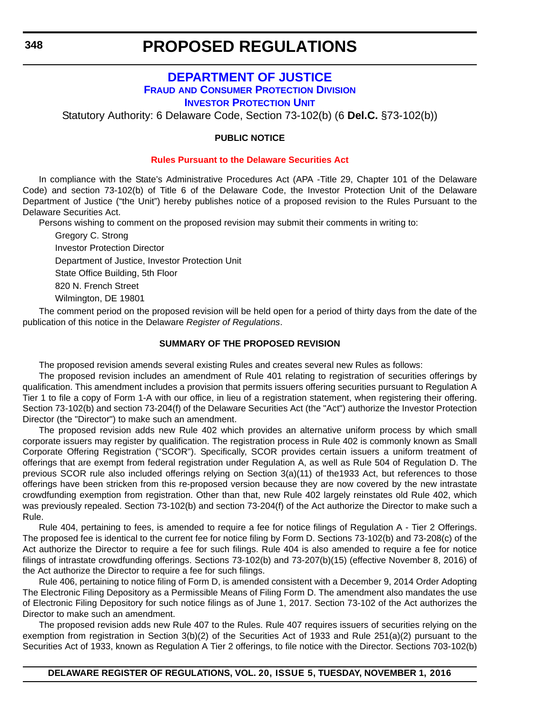### **[DEPARTMENT OF JUSTICE](http://attorneygeneral.delaware.gov/) FRAUD [AND CONSUMER PROTECTION DIVISION](http://attorneygeneral.delaware.gov/fraud/index.shtml) [INVESTOR PROTECTION UNIT](http://attorneygeneral.delaware.gov/fraud/index.shtml)**

<span id="page-18-0"></span>Statutory Authority: 6 Delaware Code, Section 73-102(b) (6 **Del.C.** §73-102(b))

### **PUBLIC NOTICE**

#### **[Rules Pursuant to the Delaware Securities Act](#page-3-0)**

In compliance with the State's Administrative Procedures Act (APA -Title 29, Chapter 101 of the Delaware Code) and section 73-102(b) of Title 6 of the Delaware Code, the Investor Protection Unit of the Delaware Department of Justice ("the Unit") hereby publishes notice of a proposed revision to the Rules Pursuant to the Delaware Securities Act.

Persons wishing to comment on the proposed revision may submit their comments in writing to:

Gregory C. Strong Investor Protection Director Department of Justice, Investor Protection Unit State Office Building, 5th Floor 820 N. French Street Wilmington, DE 19801

The comment period on the proposed revision will be held open for a period of thirty days from the date of the publication of this notice in the Delaware *Register of Regulations*.

### **SUMMARY OF THE PROPOSED REVISION**

The proposed revision amends several existing Rules and creates several new Rules as follows:

The proposed revision includes an amendment of Rule 401 relating to registration of securities offerings by qualification. This amendment includes a provision that permits issuers offering securities pursuant to Regulation A Tier 1 to file a copy of Form 1-A with our office, in lieu of a registration statement, when registering their offering. Section 73-102(b) and section 73-204(f) of the Delaware Securities Act (the "Act") authorize the Investor Protection Director (the "Director") to make such an amendment.

The proposed revision adds new Rule 402 which provides an alternative uniform process by which small corporate issuers may register by qualification. The registration process in Rule 402 is commonly known as Small Corporate Offering Registration ("SCOR"). Specifically, SCOR provides certain issuers a uniform treatment of offerings that are exempt from federal registration under Regulation A, as well as Rule 504 of Regulation D. The previous SCOR rule also included offerings relying on Section 3(a)(11) of the1933 Act, but references to those offerings have been stricken from this re-proposed version because they are now covered by the new intrastate crowdfunding exemption from registration. Other than that, new Rule 402 largely reinstates old Rule 402, which was previously repealed. Section 73-102(b) and section 73-204(f) of the Act authorize the Director to make such a Rule.

Rule 404, pertaining to fees, is amended to require a fee for notice filings of Regulation A - Tier 2 Offerings. The proposed fee is identical to the current fee for notice filing by Form D. Sections 73-102(b) and 73-208(c) of the Act authorize the Director to require a fee for such filings. Rule 404 is also amended to require a fee for notice filings of intrastate crowdfunding offerings. Sections 73-102(b) and 73-207(b)(15) (effective November 8, 2016) of the Act authorize the Director to require a fee for such filings.

Rule 406, pertaining to notice filing of Form D, is amended consistent with a December 9, 2014 Order Adopting The Electronic Filing Depository as a Permissible Means of Filing Form D. The amendment also mandates the use of Electronic Filing Depository for such notice filings as of June 1, 2017. Section 73-102 of the Act authorizes the Director to make such an amendment.

The proposed revision adds new Rule 407 to the Rules. Rule 407 requires issuers of securities relying on the exemption from registration in Section 3(b)(2) of the Securities Act of 1933 and Rule 251(a)(2) pursuant to the Securities Act of 1933, known as Regulation A Tier 2 offerings, to file notice with the Director. Sections 703-102(b)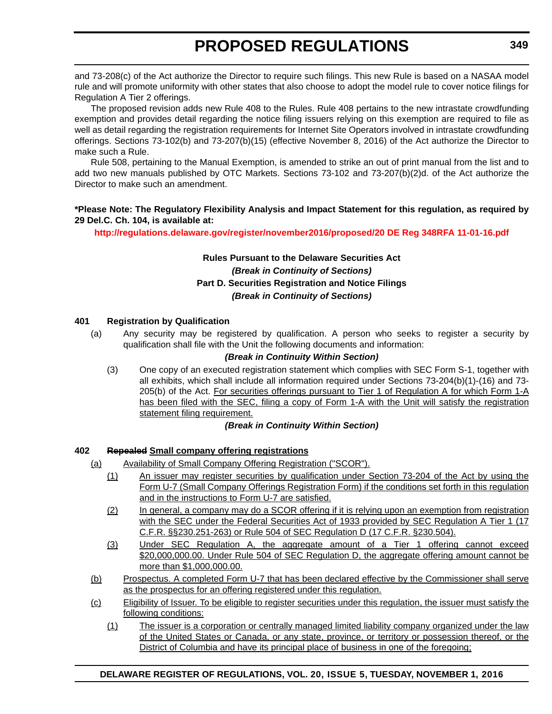and 73-208(c) of the Act authorize the Director to require such filings. This new Rule is based on a NASAA model rule and will promote uniformity with other states that also choose to adopt the model rule to cover notice filings for Regulation A Tier 2 offerings.

The proposed revision adds new Rule 408 to the Rules. Rule 408 pertains to the new intrastate crowdfunding exemption and provides detail regarding the notice filing issuers relying on this exemption are required to file as well as detail regarding the registration requirements for Internet Site Operators involved in intrastate crowdfunding offerings. Sections 73-102(b) and 73-207(b)(15) (effective November 8, 2016) of the Act authorize the Director to make such a Rule.

Rule 508, pertaining to the Manual Exemption, is amended to strike an out of print manual from the list and to add two new manuals published by OTC Markets. Sections 73-102 and 73-207(b)(2)d. of the Act authorize the Director to make such an amendment.

### **\*Please Note: The Regulatory Flexibility Analysis and Impact Statement for this regulation, as required by 29 Del.C. Ch. 104, is available at:**

### **<http://regulations.delaware.gov/register/november2016/proposed/20 DE Reg 348RFA 11-01-16.pdf>**

### **Rules Pursuant to the Delaware Securities Act** *(Break in Continuity of Sections)* **Part D. Securities Registration and Notice Filings** *(Break in Continuity of Sections)*

### **401 Registration by Qualification**

(a) Any security may be registered by qualification. A person who seeks to register a security by qualification shall file with the Unit the following documents and information:

### *(Break in Continuity Within Section)*

(3) One copy of an executed registration statement which complies with SEC Form S-1, together with all exhibits, which shall include all information required under Sections 73-204(b)(1)-(16) and 73- 205(b) of the Act. For securities offerings pursuant to Tier 1 of Regulation A for which Form 1-A has been filed with the SEC, filing a copy of Form 1-A with the Unit will satisfy the registration statement filing requirement.

### *(Break in Continuity Within Section)*

### **402 Repealed Small company offering registrations**

- (a) Availability of Small Company Offering Registration ("SCOR").
	- (1) An issuer may register securities by qualification under Section 73-204 of the Act by using the Form U-7 (Small Company Offerings Registration Form) if the conditions set forth in this regulation and in the instructions to Form U-7 are satisfied.
	- (2) In general, a company may do a SCOR offering if it is relying upon an exemption from registration with the SEC under the Federal Securities Act of 1933 provided by SEC Regulation A Tier 1 (17) C.F.R. §§230.251-263) or Rule 504 of SEC Regulation D (17 C.F.R. §230.504).
	- (3) Under SEC Regulation A, the aggregate amount of a Tier 1 offering cannot exceed \$20,000,000.00. Under Rule 504 of SEC Regulation D, the aggregate offering amount cannot be more than \$1,000,000.00.
- (b) Prospectus. A completed Form U-7 that has been declared effective by the Commissioner shall serve as the prospectus for an offering registered under this regulation.
- (c) Eligibility of Issuer. To be eligible to register securities under this regulation, the issuer must satisfy the following conditions:
	- (1) The issuer is a corporation or centrally managed limited liability company organized under the law of the United States or Canada, or any state, province, or territory or possession thereof, or the District of Columbia and have its principal place of business in one of the foregoing;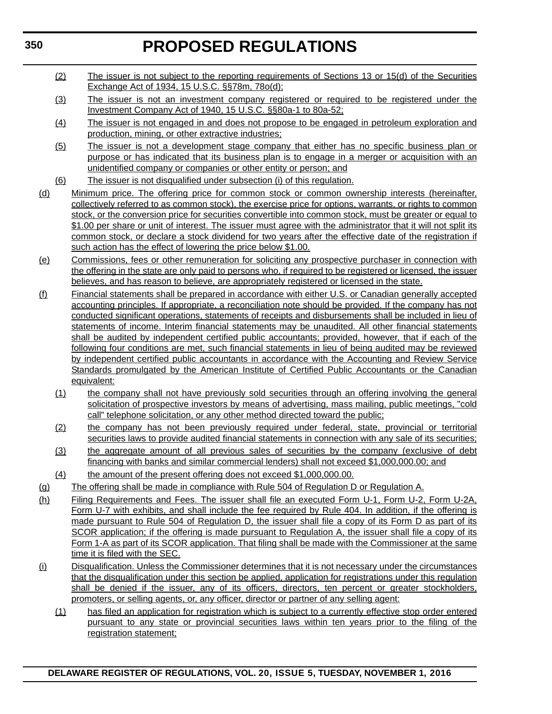- (2) The issuer is not subject to the reporting requirements of Sections 13 or 15(d) of the Securities Exchange Act of 1934, 15 U.S.C. §§78m, 78o(d);
- (3) The issuer is not an investment company registered or required to be registered under the Investment Company Act of 1940, 15 U.S.C. §§80a-1 to 80a-52;
- (4) The issuer is not engaged in and does not propose to be engaged in petroleum exploration and production, mining, or other extractive industries;
- (5) The issuer is not a development stage company that either has no specific business plan or purpose or has indicated that its business plan is to engage in a merger or acquisition with an unidentified company or companies or other entity or person; and
- (6) The issuer is not disqualified under subsection (i) of this regulation.
- (d) Minimum price. The offering price for common stock or common ownership interests (hereinafter, collectively referred to as common stock), the exercise price for options, warrants, or rights to common stock, or the conversion price for securities convertible into common stock, must be greater or equal to \$1.00 per share or unit of interest. The issuer must agree with the administrator that it will not split its common stock, or declare a stock dividend for two years after the effective date of the registration if such action has the effect of lowering the price below \$1.00.
- (e) Commissions, fees or other remuneration for soliciting any prospective purchaser in connection with the offering in the state are only paid to persons who, if required to be registered or licensed, the issuer believes, and has reason to believe, are appropriately registered or licensed in the state.
- (f) Financial statements shall be prepared in accordance with either U.S. or Canadian generally accepted accounting principles. If appropriate, a reconciliation note should be provided. If the company has not conducted significant operations, statements of receipts and disbursements shall be included in lieu of statements of income. Interim financial statements may be unaudited. All other financial statements shall be audited by independent certified public accountants; provided, however, that if each of the following four conditions are met, such financial statements in lieu of being audited may be reviewed by independent certified public accountants in accordance with the Accounting and Review Service Standards promulgated by the American Institute of Certified Public Accountants or the Canadian equivalent:
	- (1) the company shall not have previously sold securities through an offering involving the general solicitation of prospective investors by means of advertising, mass mailing, public meetings, "cold call" telephone solicitation, or any other method directed toward the public;
	- (2) the company has not been previously required under federal, state, provincial or territorial securities laws to provide audited financial statements in connection with any sale of its securities;
	- (3) the aggregate amount of all previous sales of securities by the company (exclusive of debt financing with banks and similar commercial lenders) shall not exceed \$1,000,000.00; and
	- (4) the amount of the present offering does not exceed \$1,000,000.00.
- (g) The offering shall be made in compliance with Rule 504 of Regulation D or Regulation A.
- (h) Filing Requirements and Fees. The issuer shall file an executed Form U-1, Form U-2, Form U-2A, Form U-7 with exhibits, and shall include the fee required by Rule 404. In addition, if the offering is made pursuant to Rule 504 of Regulation D, the issuer shall file a copy of its Form D as part of its SCOR application; if the offering is made pursuant to Regulation A, the issuer shall file a copy of its Form 1-A as part of its SCOR application. That filing shall be made with the Commissioner at the same time it is filed with the SEC.
- (i) Disqualification. Unless the Commissioner determines that it is not necessary under the circumstances that the disqualification under this section be applied, application for registrations under this regulation shall be denied if the issuer, any of its officers, directors, ten percent or greater stockholders, promoters, or selling agents, or, any officer, director or partner of any selling agent:
	- (1) has filed an application for registration which is subject to a currently effective stop order entered pursuant to any state or provincial securities laws within ten years prior to the filing of the registration statement;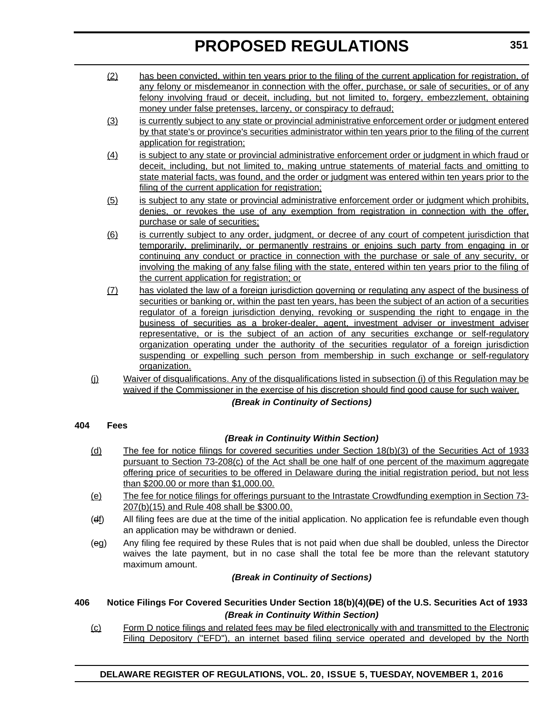- (2) has been convicted, within ten years prior to the filing of the current application for registration, of any felony or misdemeanor in connection with the offer, purchase, or sale of securities, or of any felony involving fraud or deceit, including, but not limited to, forgery, embezzlement, obtaining money under false pretenses, larceny, or conspiracy to defraud;
- (3) is currently subject to any state or provincial administrative enforcement order or judgment entered by that state's or province's securities administrator within ten years prior to the filing of the current application for registration;
- (4) is subject to any state or provincial administrative enforcement order or judgment in which fraud or deceit, including, but not limited to, making untrue statements of material facts and omitting to state material facts, was found, and the order or judgment was entered within ten years prior to the filing of the current application for registration;
- (5) is subject to any state or provincial administrative enforcement order or judgment which prohibits, denies, or revokes the use of any exemption from registration in connection with the offer, purchase or sale of securities;
- (6) is currently subject to any order, judgment, or decree of any court of competent jurisdiction that temporarily, preliminarily, or permanently restrains or enjoins such party from engaging in or continuing any conduct or practice in connection with the purchase or sale of any security, or involving the making of any false filing with the state, entered within ten years prior to the filing of the current application for registration; or
- (7) has violated the law of a foreign jurisdiction governing or regulating any aspect of the business of securities or banking or, within the past ten years, has been the subject of an action of a securities regulator of a foreign jurisdiction denying, revoking or suspending the right to engage in the business of securities as a broker-dealer, agent, investment adviser or investment adviser representative, or is the subject of an action of any securities exchange or self-regulatory organization operating under the authority of the securities regulator of a foreign jurisdiction suspending or expelling such person from membership in such exchange or self-regulatory organization.
- (j) Waiver of disqualifications. Any of the disqualifications listed in subsection (i) of this Regulation may be waived if the Commissioner in the exercise of his discretion should find good cause for such waiver.

*(Break in Continuity of Sections)*

### **404 Fees**

### *(Break in Continuity Within Section)*

- (d) The fee for notice filings for covered securities under Section 18(b)(3) of the Securities Act of 1933 pursuant to Section 73-208(c) of the Act shall be one half of one percent of the maximum aggregate offering price of securities to be offered in Delaware during the initial registration period, but not less than \$200.00 or more than \$1,000.00.
- (e) The fee for notice filings for offerings pursuant to the Intrastate Crowdfunding exemption in Section 73- 207(b)(15) and Rule 408 shall be \$300.00.
- (ef) All filing fees are due at the time of the initial application. No application fee is refundable even though an application may be withdrawn or denied.
- (eg) Any filing fee required by these Rules that is not paid when due shall be doubled, unless the Director waives the late payment, but in no case shall the total fee be more than the relevant statutory maximum amount.

### *(Break in Continuity of Sections)*

### **406 Notice Filings For Covered Securities Under Section 18(b)(4)(DE) of the U.S. Securities Act of 1933** *(Break in Continuity Within Section)*

(c) Form D notice filings and related fees may be filed electronically with and transmitted to the Electronic Filing Depository ("EFD"), an internet based filing service operated and developed by the North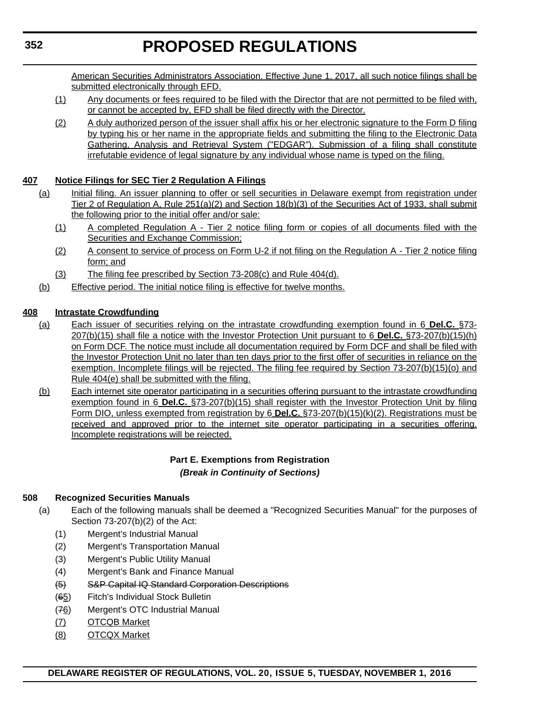American Securities Administrators Association. Effective June 1, 2017, all such notice filings shall be submitted electronically through EFD.

- (1) Any documents or fees required to be filed with the Director that are not permitted to be filed with, or cannot be accepted by, EFD shall be filed directly with the Director.
- (2) A duly authorized person of the issuer shall affix his or her electronic signature to the Form D filing by typing his or her name in the appropriate fields and submitting the filing to the Electronic Data Gathering, Analysis and Retrieval System ("EDGAR"). Submission of a filing shall constitute irrefutable evidence of legal signature by any individual whose name is typed on the filing.

### **407 Notice Filings for SEC Tier 2 Regulation A Filings**

- (a) Initial filing. An issuer planning to offer or sell securities in Delaware exempt from registration under Tier 2 of Regulation A, Rule 251(a)(2) and Section 18(b)(3) of the Securities Act of 1933, shall submit the following prior to the initial offer and/or sale:
	- (1) A completed Regulation A Tier 2 notice filing form or copies of all documents filed with the Securities and Exchange Commission;
	- (2) A consent to service of process on Form U-2 if not filing on the Regulation A Tier 2 notice filing form; and
	- (3) The filing fee prescribed by Section 73-208(c) and Rule 404(d).
- (b) Effective period. The initial notice filing is effective for twelve months.

### **408 Intrastate Crowdfunding**

- (a) Each issuer of securities relying on the intrastate crowdfunding exemption found in 6 **Del.C.** §73- 207(b)(15) shall file a notice with the Investor Protection Unit pursuant to 6 **Del.C.** §73-207(b)(15)(h) on Form DCF. The notice must include all documentation required by Form DCF and shall be filed with the Investor Protection Unit no later than ten days prior to the first offer of securities in reliance on the exemption. Incomplete filings will be rejected. The filing fee required by Section 73-207(b)(15)(o) and Rule 404(e) shall be submitted with the filing.
- (b) Each internet site operator participating in a securities offering pursuant to the intrastate crowdfunding exemption found in 6 **Del.C.** §73-207(b)(15) shall register with the Investor Protection Unit by filing Form DIO, unless exempted from registration by 6 **Del.C.** §73-207(b)(15)(k)(2). Registrations must be received and approved prior to the internet site operator participating in a securities offering. Incomplete registrations will be rejected.

### **Part E. Exemptions from Registration** *(Break in Continuity of Sections)*

### **508 Recognized Securities Manuals**

- (a) Each of the following manuals shall be deemed a "Recognized Securities Manual" for the purposes of Section 73-207(b)(2) of the Act:
	- (1) Mergent's Industrial Manual
	- (2) Mergent's Transportation Manual
	- (3) Mergent's Public Utility Manual
	- (4) Mergent's Bank and Finance Manual
	- (5) S&P Capital IQ Standard Corporation Descriptions
	- (65) Fitch's Individual Stock Bulletin
	- (76) Mergent's OTC Industrial Manual
	- (7) OTCQB Market
	- (8) OTCQX Market

**352**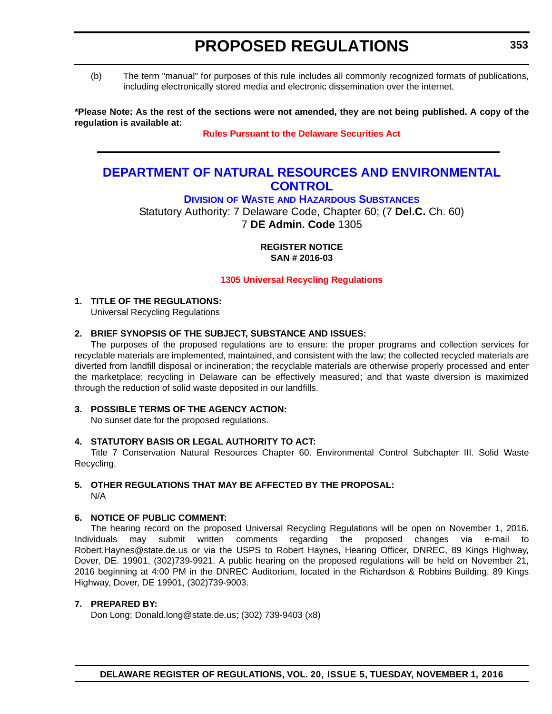<span id="page-23-0"></span>(b) The term "manual" for purposes of this rule includes all commonly recognized formats of publications, including electronically stored media and electronic dissemination over the internet.

**\*Please Note: As the rest of the sections were not amended, they are not being published. A copy of the regulation is available at:**

**[Rules Pursuant to the Delaware Securities Act](http://regulations.delaware.gov/register/november2016/proposed/20 DE Reg 348 11-01-16.htm)**

# **[DEPARTMENT OF NATURAL RESOURCES AND ENVIRONMENTAL](http://www.dnrec.delaware.gov/Pages/Portal.aspx)  CONTROL**

**DIVISION OF WASTE [AND HAZARDOUS SUBSTANCES](http://www.dnrec.delaware.gov/dwhs/Pages/default.aspx)**

Statutory Authority: 7 Delaware Code, Chapter 60; (7 **Del.C.** Ch. 60) 7 **DE Admin. Code** 1305

> **REGISTER NOTICE SAN # 2016-03**

**[1305 Universal Recycling Regulations](#page-3-0)**

### **1. TITLE OF THE REGULATIONS:**

Universal Recycling Regulations

### **2. BRIEF SYNOPSIS OF THE SUBJECT, SUBSTANCE AND ISSUES:**

The purposes of the proposed regulations are to ensure: the proper programs and collection services for recyclable materials are implemented, maintained, and consistent with the law; the collected recycled materials are diverted from landfill disposal or incineration; the recyclable materials are otherwise properly processed and enter the marketplace; recycling in Delaware can be effectively measured; and that waste diversion is maximized through the reduction of solid waste deposited in our landfills.

#### **3. POSSIBLE TERMS OF THE AGENCY ACTION:**

No sunset date for the proposed regulations.

### **4. STATUTORY BASIS OR LEGAL AUTHORITY TO ACT:**

Title 7 Conservation Natural Resources Chapter 60. Environmental Control Subchapter III. Solid Waste Recycling.

# **5. OTHER REGULATIONS THAT MAY BE AFFECTED BY THE PROPOSAL:**

N/A

### **6. NOTICE OF PUBLIC COMMENT:**

The hearing record on the proposed Universal Recycling Regulations will be open on November 1, 2016. Individuals may submit written comments regarding the proposed changes via e-mail to Robert.Haynes@state.de.us or via the USPS to Robert Haynes, Hearing Officer, DNREC, 89 Kings Highway, Dover, DE. 19901, (302)739-9921. A public hearing on the proposed regulations will be held on November 21, 2016 beginning at 4:00 PM in the DNREC Auditorium, located in the Richardson & Robbins Building, 89 Kings Highway, Dover, DE 19901, (302)739-9003.

#### **7. PREPARED BY:**

Don Long; Donald.long@state.de.us; (302) 739-9403 (x8)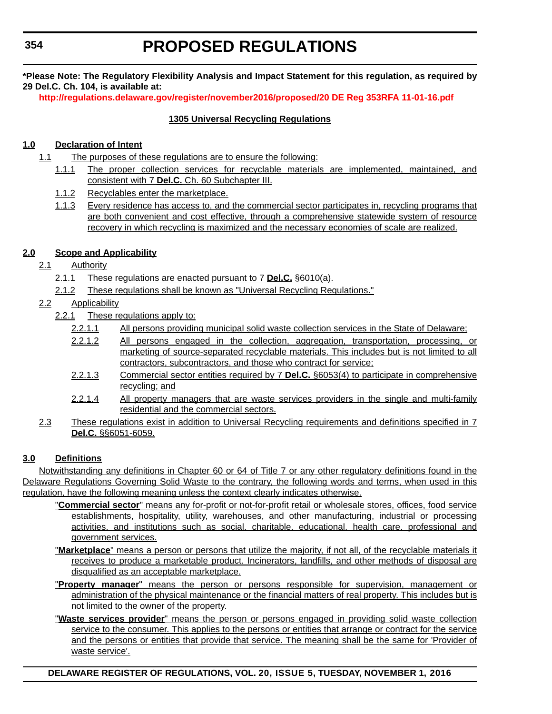**\*Please Note: The Regulatory Flexibility Analysis and Impact Statement for this regulation, as required by 29 Del.C. Ch. 104, is available at:**

**<http://regulations.delaware.gov/register/november2016/proposed/20 DE Reg 353RFA 11-01-16.pdf>**

### **1305 Universal Recycling Regulations**

### **1.0 Declaration of Intent**

- 1.1 The purposes of these regulations are to ensure the following:
	- 1.1.1 The proper collection services for recyclable materials are implemented, maintained, and consistent with 7 **Del.C.** Ch. 60 Subchapter III.
	- 1.1.2 Recyclables enter the marketplace.
	- 1.1.3 Every residence has access to, and the commercial sector participates in, recycling programs that are both convenient and cost effective, through a comprehensive statewide system of resource recovery in which recycling is maximized and the necessary economies of scale are realized.

### **2.0 Scope and Applicability**

- 2.1 Authority
	- 2.1.1 These regulations are enacted pursuant to 7 **Del.C.** §6010(a).
	- 2.1.2 These regulations shall be known as "Universal Recycling Regulations."
- 2.2 Applicability
	- 2.2.1 These regulations apply to:
		- 2.2.1.1 All persons providing municipal solid waste collection services in the State of Delaware;
		- 2.2.1.2 All persons engaged in the collection, aggregation, transportation, processing, or marketing of source-separated recyclable materials. This includes but is not limited to all contractors, subcontractors, and those who contract for service;
		- 2.2.1.3 Commercial sector entities required by 7 **Del.C.** §6053(4) to participate in comprehensive recycling; and
		- 2.2.1.4 All property managers that are waste services providers in the single and multi-family residential and the commercial sectors.
- 2.3 These regulations exist in addition to Universal Recycling requirements and definitions specified in 7 **Del.C.** §§6051-6059.

### **3.0 Definitions**

Notwithstanding any definitions in Chapter 60 or 64 of Title 7 or any other regulatory definitions found in the Delaware Regulations Governing Solid Waste to the contrary, the following words and terms, when used in this regulation, have the following meaning unless the context clearly indicates otherwise.

- "**Commercial sector**" means any for-profit or not-for-profit retail or wholesale stores, offices, food service establishments, hospitality, utility, warehouses, and other manufacturing, industrial or processing activities, and institutions such as social, charitable, educational, health care, professional and government services.
- "**Marketplace**" means a person or persons that utilize the majority, if not all, of the recyclable materials it receives to produce a marketable product. Incinerators, landfills, and other methods of disposal are disqualified as an acceptable marketplace.
- "**Property manager**" means the person or persons responsible for supervision, management or administration of the physical maintenance or the financial matters of real property. This includes but is not limited to the owner of the property.
- "**Waste services provider**" means the person or persons engaged in providing solid waste collection service to the consumer. This applies to the persons or entities that arrange or contract for the service and the persons or entities that provide that service. The meaning shall be the same for 'Provider of waste service'.

**DELAWARE REGISTER OF REGULATIONS, VOL. 20, ISSUE 5, TUESDAY, NOVEMBER 1, 2016**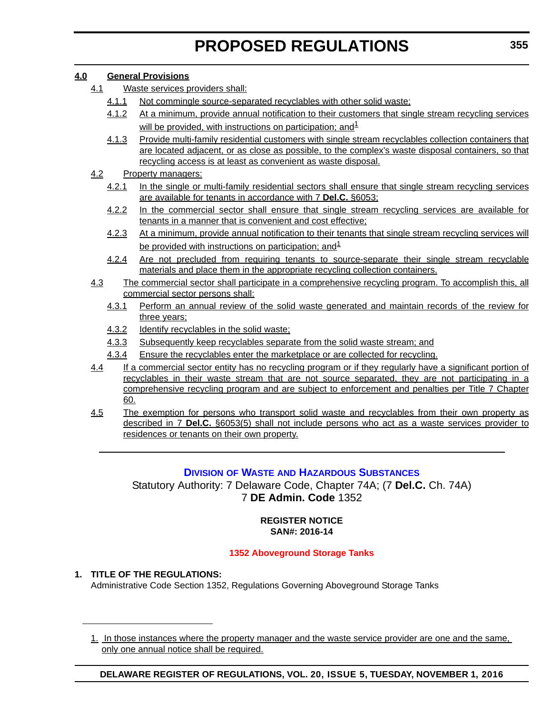### <span id="page-25-0"></span>**4.0 General Provisions**

- 4.1 Waste services providers shall:
	- 4.1.1 Not commingle source-separated recyclables with other solid waste;
	- 4.1.2 At a minimum, provide annual notification to their customers that single stream recycling services will be provided, with instructions on participation; and  $1$
	- 4.1.3 Provide multi-family residential customers with single stream recyclables collection containers that are located adjacent, or as close as possible, to the complex's waste disposal containers, so that recycling access is at least as convenient as waste disposal.
- 4.2 Property managers:
	- 4.2.1 In the single or multi-family residential sectors shall ensure that single stream recycling services are available for tenants in accordance with 7 **Del.C.** §6053;
	- 4.2.2 In the commercial sector shall ensure that single stream recycling services are available for tenants in a manner that is convenient and cost effective;
	- 4.2.3 At a minimum, provide annual notification to their tenants that single stream recycling services will be provided with instructions on participation; and  $1$
	- 4.2.4 Are not precluded from requiring tenants to source-separate their single stream recyclable materials and place them in the appropriate recycling collection containers.
- 4.3 The commercial sector shall participate in a comprehensive recycling program. To accomplish this, all commercial sector persons shall:
	- 4.3.1 Perform an annual review of the solid waste generated and maintain records of the review for three years;
	- 4.3.2 Identify recyclables in the solid waste;
	- 4.3.3 Subsequently keep recyclables separate from the solid waste stream; and
	- 4.3.4 Ensure the recyclables enter the marketplace or are collected for recycling.
- 4.4 If a commercial sector entity has no recycling program or if they regularly have a significant portion of recyclables in their waste stream that are not source separated, they are not participating in a comprehensive recycling program and are subject to enforcement and penalties per Title 7 Chapter 60.
- 4.5 The exemption for persons who transport solid waste and recyclables from their own property as described in 7 **Del.C.** §6053(5) shall not include persons who act as a waste services provider to residences or tenants on their own property.

# **DIVISION OF WASTE [AND HAZARDOUS SUBSTANCES](http://www.dnrec.delaware.gov/dwhs/Pages/default.aspx)**

Statutory Authority: 7 Delaware Code, Chapter 74A; (7 **Del.C.** Ch. 74A) 7 **DE Admin. Code** 1352

### **REGISTER NOTICE SAN#: 2016-14**

### **[1352 Aboveground Storage Tanks](#page-3-0)**

### **1. TITLE OF THE REGULATIONS:**

Administrative Code Section 1352, Regulations Governing Aboveground Storage Tanks

1. In those instances where the property manager and the waste service provider are one and the same, only one annual notice shall be required.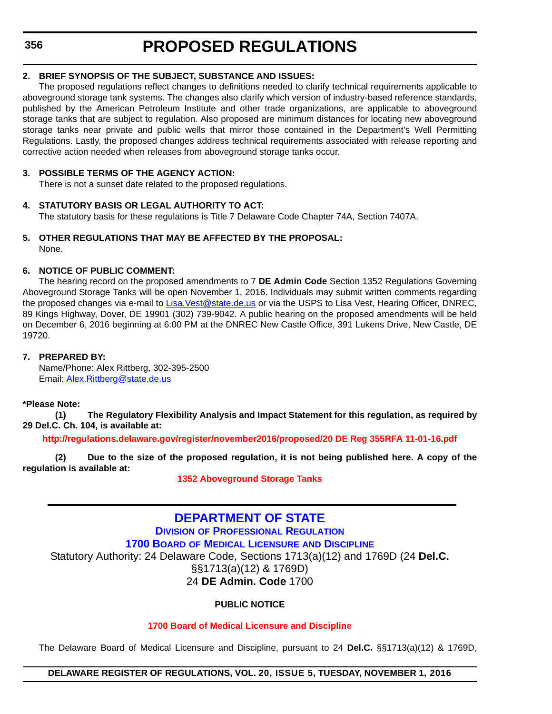### <span id="page-26-0"></span>**2. BRIEF SYNOPSIS OF THE SUBJECT, SUBSTANCE AND ISSUES:**

The proposed regulations reflect changes to definitions needed to clarify technical requirements applicable to aboveground storage tank systems. The changes also clarify which version of industry-based reference standards, published by the American Petroleum Institute and other trade organizations, are applicable to aboveground storage tanks that are subject to regulation. Also proposed are minimum distances for locating new aboveground storage tanks near private and public wells that mirror those contained in the Department's Well Permitting Regulations. Lastly, the proposed changes address technical requirements associated with release reporting and corrective action needed when releases from aboveground storage tanks occur.

### **3. POSSIBLE TERMS OF THE AGENCY ACTION:**

There is not a sunset date related to the proposed regulations.

### **4. STATUTORY BASIS OR LEGAL AUTHORITY TO ACT:**

The statutory basis for these regulations is Title 7 Delaware Code Chapter 74A, Section 7407A.

#### **5. OTHER REGULATIONS THAT MAY BE AFFECTED BY THE PROPOSAL:** None.

### **6. NOTICE OF PUBLIC COMMENT:**

The hearing record on the proposed amendments to 7 **DE Admin Code** Section 1352 Regulations Governing Aboveground Storage Tanks will be open November 1, 2016. Individuals may submit written comments regarding the proposed changes via e-mail to [Lisa.Vest@state.de.us](mailto:Lisa.Vest@state.de.us) or via the USPS to Lisa Vest, Hearing Officer, DNREC, 89 Kings Highway, Dover, DE 19901 (302) 739-9042. A public hearing on the proposed amendments will be held on December 6, 2016 beginning at 6:00 PM at the DNREC New Castle Office, 391 Lukens Drive, New Castle, DE 19720.

### **7. PREPARED BY:**

Name/Phone: Alex Rittberg, 302-395-2500 Email: [Alex.Rittberg@state.de.us](mailto:Alex.Rittberg@state.de.us)

### **\*Please Note:**

**(1) The Regulatory Flexibility Analysis and Impact Statement for this regulation, as required by 29 Del.C. Ch. 104, is available at:**

**<http://regulations.delaware.gov/register/november2016/proposed/20 DE Reg 355RFA 11-01-16.pdf>**

**(2) Due to the size of the proposed regulation, it is not being published here. A copy of the regulation is available at:**

**[1352 Aboveground Storage Tanks](http://regulations.delaware.gov/register/november2016/proposed/20 DE Reg 355 11-01-16.htm)**

# **[DEPARTMENT OF STATE](http://sos.delaware.gov/)**

**DIVISION [OF PROFESSIONAL REGULATION](http://dpr.delaware.gov/) 1700 BOARD [OF MEDICAL LICENSURE](http://dpr.delaware.gov/boards/medicalpractice/index.shtml) AND DISCIPLINE** Statutory Authority: 24 Delaware Code, Sections 1713(a)(12) and 1769D (24 **Del.C.** §§1713(a)(12) & 1769D) 24 **DE Admin. Code** 1700

### **PUBLIC NOTICE**

### **[1700 Board of Medical Licensure and Discipline](#page-3-0)**

The Delaware Board of Medical Licensure and Discipline, pursuant to 24 **Del.C.** §§1713(a)(12) & 1769D,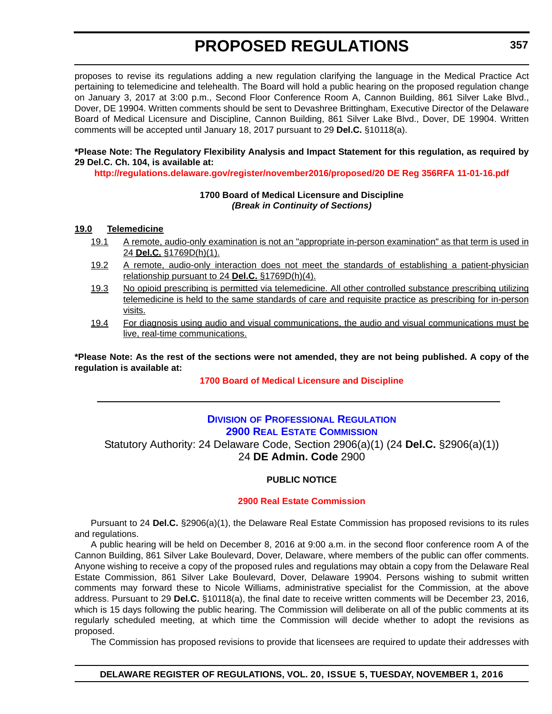<span id="page-27-0"></span>proposes to revise its regulations adding a new regulation clarifying the language in the Medical Practice Act pertaining to telemedicine and telehealth. The Board will hold a public hearing on the proposed regulation change on January 3, 2017 at 3:00 p.m., Second Floor Conference Room A, Cannon Building, 861 Silver Lake Blvd., Dover, DE 19904. Written comments should be sent to Devashree Brittingham, Executive Director of the Delaware Board of Medical Licensure and Discipline, Cannon Building, 861 Silver Lake Blvd., Dover, DE 19904. Written comments will be accepted until January 18, 2017 pursuant to 29 **Del.C.** §10118(a).

### **\*Please Note: The Regulatory Flexibility Analysis and Impact Statement for this regulation, as required by 29 Del.C. Ch. 104, is available at:**

**<http://regulations.delaware.gov/register/november2016/proposed/20 DE Reg 356RFA 11-01-16.pdf>**

### **1700 Board of Medical Licensure and Discipline** *(Break in Continuity of Sections)*

### **19.0 Telemedicine**

- 19.1 A remote, audio-only examination is not an "appropriate in-person examination" as that term is used in 24 **Del.C.** §1769D(h)(1).
- 19.2 A remote, audio-only interaction does not meet the standards of establishing a patient-physician relationship pursuant to 24 **Del.C.** §1769D(h)(4).
- 19.3 No opioid prescribing is permitted via telemedicine. All other controlled substance prescribing utilizing telemedicine is held to the same standards of care and requisite practice as prescribing for in-person visits.
- 19.4 For diagnosis using audio and visual communications, the audio and visual communications must be live, real-time communications.

**\*Please Note: As the rest of the sections were not amended, they are not being published. A copy of the regulation is available at:**

**[1700 Board of Medical Licensure and Discipline](http://regulations.delaware.gov/register/november2016/proposed/20 DE Reg 356 11-01-16.htm)**

# **DIVISION [OF PROFESSIONAL REGULATION](http://dpr.delaware.gov/) [2900 REAL ESTATE COMMISSION](http://dpr.delaware.gov/boards/realestate/index.shtml)**

Statutory Authority: 24 Delaware Code, Section 2906(a)(1) (24 **Del.C.** §2906(a)(1)) 24 **DE Admin. Code** 2900

### **PUBLIC NOTICE**

### **[2900 Real Estate Commission](#page-3-0)**

Pursuant to 24 **Del.C.** §2906(a)(1), the Delaware Real Estate Commission has proposed revisions to its rules and regulations.

A public hearing will be held on December 8, 2016 at 9:00 a.m. in the second floor conference room A of the Cannon Building, 861 Silver Lake Boulevard, Dover, Delaware, where members of the public can offer comments. Anyone wishing to receive a copy of the proposed rules and regulations may obtain a copy from the Delaware Real Estate Commission, 861 Silver Lake Boulevard, Dover, Delaware 19904. Persons wishing to submit written comments may forward these to Nicole Williams, administrative specialist for the Commission, at the above address. Pursuant to 29 **Del.C.** §10118(a), the final date to receive written comments will be December 23, 2016, which is 15 days following the public hearing. The Commission will deliberate on all of the public comments at its regularly scheduled meeting, at which time the Commission will decide whether to adopt the revisions as proposed.

The Commission has proposed revisions to provide that licensees are required to update their addresses with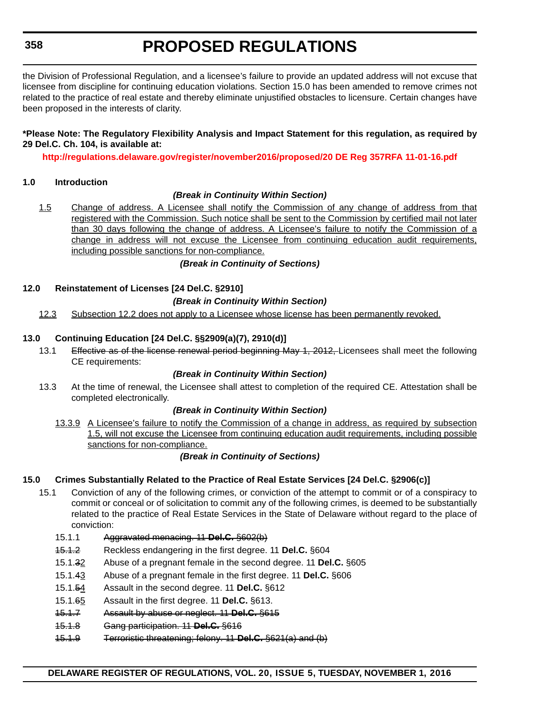the Division of Professional Regulation, and a licensee's failure to provide an updated address will not excuse that licensee from discipline for continuing education violations. Section 15.0 has been amended to remove crimes not related to the practice of real estate and thereby eliminate unjustified obstacles to licensure. Certain changes have been proposed in the interests of clarity.

### **\*Please Note: The Regulatory Flexibility Analysis and Impact Statement for this regulation, as required by 29 Del.C. Ch. 104, is available at:**

**<http://regulations.delaware.gov/register/november2016/proposed/20 DE Reg 357RFA 11-01-16.pdf>**

### **1.0 Introduction**

### *(Break in Continuity Within Section)*

1.5 Change of address. A Licensee shall notify the Commission of any change of address from that registered with the Commission. Such notice shall be sent to the Commission by certified mail not later than 30 days following the change of address. A Licensee's failure to notify the Commission of a change in address will not excuse the Licensee from continuing education audit requirements, including possible sanctions for non-compliance.

### *(Break in Continuity of Sections)*

### **12.0 Reinstatement of Licenses [24 Del.C. §2910]**

### *(Break in Continuity Within Section)*

12.3 Subsection 12.2 does not apply to a Licensee whose license has been permanently revoked.

### **13.0 Continuing Education [24 Del.C. §§2909(a)(7), 2910(d)]**

13.1 Effective as of the license renewal period beginning May 1, 2012, Licensees shall meet the following CE requirements:

### *(Break in Continuity Within Section)*

13.3 At the time of renewal, the Licensee shall attest to completion of the required CE. Attestation shall be completed electronically.

### *(Break in Continuity Within Section)*

13.3.9 A Licensee's failure to notify the Commission of a change in address, as required by subsection 1.5, will not excuse the Licensee from continuing education audit requirements, including possible sanctions for non-compliance.

### *(Break in Continuity of Sections)*

### **15.0 Crimes Substantially Related to the Practice of Real Estate Services [24 Del.C. §2906(c)]**

- 15.1 Conviction of any of the following crimes, or conviction of the attempt to commit or of a conspiracy to commit or conceal or of solicitation to commit any of the following crimes, is deemed to be substantially related to the practice of Real Estate Services in the State of Delaware without regard to the place of conviction:
	- 15.1.1 Aggravated menacing. 11 **Del.C.** §602(b)
	- 15.1.2 Reckless endangering in the first degree. 11 **Del.C.** §604
	- 15.1.32 Abuse of a pregnant female in the second degree. 11 **Del.C.** §605
	- 15.1.43 Abuse of a pregnant female in the first degree. 11 **Del.C.** §606
	- 15.1.54 Assault in the second degree. 11 **Del.C.** §612
	- 15.1.65 Assault in the first degree. 11 **Del.C.** §613.
	- 15.1.7 Assault by abuse or neglect. 11 **Del.C.** §615
	- 15.1.8 Gang participation. 11 **Del.C.** §616
	- 15.1.9 Terroristic threatening; felony. 11 **Del.C.** §621(a) and (b)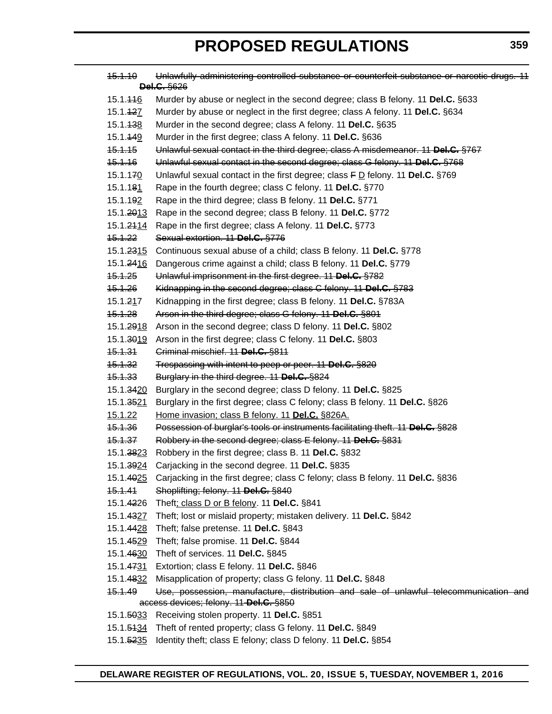| <del>15.1.10</del>            | Unlawfully administering controlled substance or counterfeit substance or narcotic drugs. 11<br><b>Del.C.</b> §626 |
|-------------------------------|--------------------------------------------------------------------------------------------------------------------|
| 15.1. <del>11</del> 6         | Murder by abuse or neglect in the second degree; class B felony. 11 Del.C. §633                                    |
| 15.1. <del>12</del> Z         | Murder by abuse or neglect in the first degree; class A felony. 11 Del.C. §634                                     |
| 15.1. <del>13</del> 8         | Murder in the second degree; class A felony. 11 Del.C. §635                                                        |
| 15.1. <del>14</del> 9         | Murder in the first degree; class A felony. 11 Del.C. §636                                                         |
| <del>15.1.15</del>            | Unlawful sexual contact in the third degree; class A misdemeanor. 11 Del.C. §767                                   |
| <del>15.1.16</del>            | Unlawful sexual contact in the second degree; class G felony. 11 Del.C. §768                                       |
| 15.1.170                      | Unlawful sexual contact in the first degree; class $F D$ felony. 11 Del.C. §769                                    |
| 15.1.18 <u>1</u>              | Rape in the fourth degree; class C felony. 11 Del.C. §770                                                          |
| 15.1.192                      | Rape in the third degree; class B felony. 11 Del.C. §771                                                           |
| 15.1. <del>20</del> 13        | Rape in the second degree; class B felony. 11 Del.C. §772                                                          |
| 15.1. <del>21</del> <u>14</u> | Rape in the first degree; class A felony. 11 Del.C. §773                                                           |
| 15.1.22                       | Sexual extortion. 11 Del.C. §776                                                                                   |
| 15.1. <del>23</del> 15        | Continuous sexual abuse of a child; class B felony. 11 Del.C. §778                                                 |
| 15.1. <del>24</del> <u>16</u> | Dangerous crime against a child; class B felony. 11 Del.C. §779                                                    |
| <del>15.1.25</del>            | Unlawful imprisonment in the first degree. 11 Del.C. §782                                                          |
| <del>15.1.26</del>            | Kidnapping in the second degree; class C felony. 11 Del.C. §783                                                    |
| 15.1.2 <u>1</u> 7             | Kidnapping in the first degree; class B felony. 11 Del.C. §783A                                                    |
| 15.1.28                       | Arson in the third degree; class G felony. 11 Del.C. §801                                                          |
| 15.1. <del>29</del> 18        | Arson in the second degree; class D felony. 11 Del.C. §802                                                         |
|                               | 15.1.3019 Arson in the first degree; class C felony. 11 Del.C. §803                                                |
| 15.1.31                       | Criminal mischief. 11 Del.C. §811                                                                                  |
| <del>15.1.32</del>            | Trespassing with intent to peep or peer. 11 Del.C. §820                                                            |
| 15.1.33                       | Burglary in the third degree. 11 Del.C. §824                                                                       |
| 15.1. <del>34</del> 20        | Burglary in the second degree; class D felony. 11 Del.C. §825                                                      |
| 15.1. <del>35</del> 21        | Burglary in the first degree; class C felony; class B felony. 11 Del.C. §826                                       |
| 15.1.22                       | Home invasion; class B felony. 11 Del.C. §826A.                                                                    |
| <del>15.1.36</del>            | Possession of burglar's tools or instruments facilitating theft. 11 Del.C. §828                                    |
| <del>15.1.37</del>            | Robbery in the second degree; class E felony. 11 Del.C. §831                                                       |
|                               | 15.1.3823 Robbery in the first degree; class B. 11 Del.C. §832                                                     |
|                               | 15.1.3924 Carjacking in the second degree. 11 Del.C. §835                                                          |
| 15.1.4025                     | Carjacking in the first degree; class C felony; class B felony. 11 Del.C. §836                                     |
| 15.1.41                       | Shoplifting; felony. 11 Del.C. §840                                                                                |
| 15.1. <del>42</del> 26        | Theft; class D or B felony. 11 Del.C. §841                                                                         |
| 15.1. <del>43</del> 27        | Theft; lost or mislaid property; mistaken delivery. 11 Del.C. §842                                                 |
|                               | 15.1.4428 Theft; false pretense. 11 Del.C. §843                                                                    |
|                               | 15.1.4529 Theft; false promise. 11 Del.C. §844                                                                     |
|                               | 15.1.4630 Theft of services. 11 Del.C. §845                                                                        |
| 15.1. <del>47</del> 31        | Extortion; class E felony. 11 Del.C. §846                                                                          |
| 15.1. <del>48</del> 32        | Misapplication of property; class G felony. 11 Del.C. §848                                                         |
| 15.1.49                       | Use, possession, manufacture, distribution and sale of unlawful telecommunication and                              |
|                               | access devices; felony. 11 Del.C. §850                                                                             |
|                               | 15.1.5033 Receiving stolen property. 11 Del.C. §851                                                                |
|                               | 15.1.5434 Theft of rented property; class G felony. 11 Del.C. §849                                                 |
|                               | 15.1.5235 Identity theft; class E felony; class D felony. 11 Del.C. §854                                           |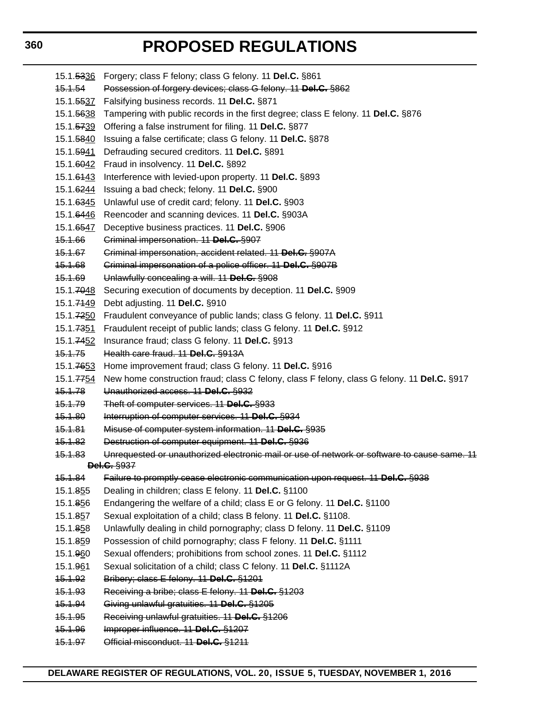15.1.5336 Forgery; class F felony; class G felony. 11 **Del.C.** §861 15.1.54 Possession of forgery devices; class G felony. 11 **Del.C.** §862 15.1.5537 Falsifying business records. 11 **Del.C.** §871 15.1.5638 Tampering with public records in the first degree; class E felony. 11 **Del.C.** §876 15.1.5739 Offering a false instrument for filing. 11 **Del.C.** §877 15.1.5840 Issuing a false certificate; class G felony. 11 **Del.C.** §878 15.1.5941 Defrauding secured creditors. 11 **Del.C.** §891 15.1.6042 Fraud in insolvency. 11 **Del.C.** §892 15.1.6143 Interference with levied-upon property. 11 **Del.C.** §893 15.1.6244 Issuing a bad check; felony. 11 **Del.C.** §900 15.1.6345 Unlawful use of credit card; felony. 11 **Del.C.** §903 15.1.6446 Reencoder and scanning devices. 11 **Del.C.** §903A 15.1.6547 Deceptive business practices. 11 **Del.C.** §906 15.1.66 Criminal impersonation. 11 **Del.C.** §907 15.1.67 Criminal impersonation, accident related. 11 **Del.C.** §907A 15.1.68 Criminal impersonation of a police officer. 11 **Del.C.** §907B 15.1.69 Unlawfully concealing a will. 11 **Del.C.** §908 15.1.7048 Securing execution of documents by deception. 11 **Del.C.** §909 15.1.7149 Debt adjusting. 11 **Del.C.** §910 15.1.7250 Fraudulent conveyance of public lands; class G felony. 11 **Del.C.** §911 15.1.7351 Fraudulent receipt of public lands; class G felony. 11 **Del.C.** §912 15.1.7452 Insurance fraud; class G felony. 11 **Del.C.** §913 15.1.75 Health care fraud. 11 **Del.C.** §913A 15.1.7653 Home improvement fraud; class G felony. 11 **Del.C.** §916 15.1.7754 New home construction fraud; class C felony, class F felony, class G felony. 11 **Del.C.** §917 15.1.78 Unauthorized access. 11 **Del.C.** §932 15.1.79 Theft of computer services. 11 **Del.C.** §933 15.1.80 Interruption of computer services. 11 **Del.C.** §934 15.1.81 Misuse of computer system information. 11 **Del.C.** §935 15.1.82 Destruction of computer equipment. 11 **Del.C.** §936 15.1.83 Unrequested or unauthorized electronic mail or use of network or software to cause same. 11 **Del.C.** §937 15.1.84 Failure to promptly cease electronic communication upon request. 11 **Del.C.** §938 15.1.855 Dealing in children; class E felony. 11 **Del.C.** §1100 15.1.856 Endangering the welfare of a child; class E or G felony. 11 **Del.C.** §1100 15.1.857 Sexual exploitation of a child; class B felony. 11 **Del.C.** §1108. 15.1.858 Unlawfully dealing in child pornography; class D felony. 11 **Del.C.** §1109 15.1.859 Possession of child pornography; class F felony. 11 **Del.C.** §1111 15.1.960 Sexual offenders; prohibitions from school zones. 11 **Del.C.** §1112 15.1.961 Sexual solicitation of a child; class C felony. 11 **Del.C.** §1112A 15.1.92 Bribery; class E felony. 11 **Del.C.** §1201 15.1.93 Receiving a bribe; class E felony. 11 **Del.C.** §1203 15.1.94 Giving unlawful gratuities. 11 **Del.C.** §1205 15.1.95 Receiving unlawful gratuities. 11 **Del.C.** §1206 15.1.96 Improper influence. 11 **Del.C.** §1207 15.1.97 Official misconduct. 11 **Del.C.** §1211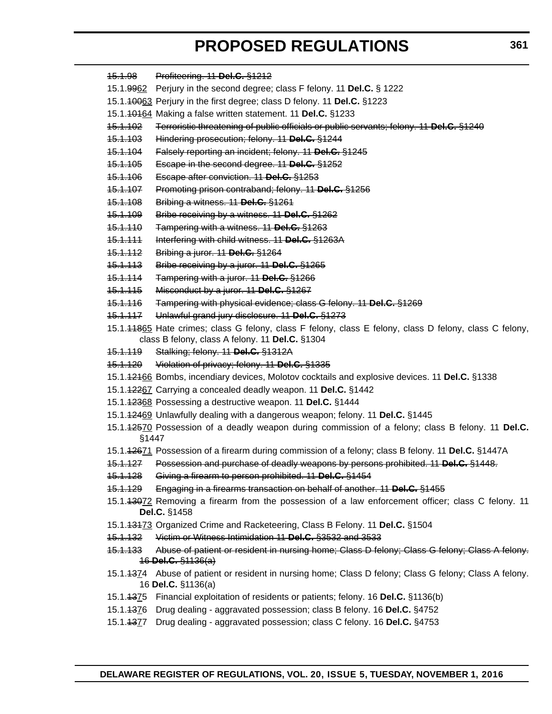| <del>15.1.98</del>  | Profiteering. 11 Del.C. §1212                                                                                                 |
|---------------------|-------------------------------------------------------------------------------------------------------------------------------|
|                     | 15.1.9962 Perjury in the second degree; class F felony. 11 Del.C. § 1222                                                      |
|                     | 15.1.40063 Perjury in the first degree; class D felony. 11 Del.C. §1223                                                       |
|                     | 15.1. 10164 Making a false written statement. 11 Del.C. §1233                                                                 |
| <del>15.1.102</del> | Terroristic threatening of public officials or public servants; felony. 11 Del.C. §1240                                       |
| <u>15.1.103</u>     | Hindering prosecution; felony. 11 Del.C. §1244                                                                                |
| <del>15.1.104</del> | Falsely reporting an incident; felony. 11 Del.C. §1245                                                                        |
| <del>15.1.105</del> | Escape in the second degree. 11 Del.C. §1252                                                                                  |
| <u>15.1.106</u>     | Escape after conviction. 11 Del.C. §1253                                                                                      |
| <del>15.1.107</del> | Promoting prison contraband; felony. 11 Del.C. §1256                                                                          |
| <del>15.1.108</del> | Bribing a witness. 11 Del.C. §1261                                                                                            |
| <u>45.1.109</u>     | Bribe receiving by a witness. 11 Del.C. §1262                                                                                 |
| <del>15.1.110</del> | Tampering with a witness. 11 Del.C. §1263                                                                                     |
| <del>15.1.111</del> | Interfering with child witness. 11 Del.C. §1263A                                                                              |
| <u>15.1.112</u>     | Bribing a juror. 11 Del.C. §1264                                                                                              |
| <del>15.1.113</del> | Bribe receiving by a juror. 11 Del.C. §1265                                                                                   |
| <del>15.1.114</del> | Tampering with a juror. 11 Del.C. §1266                                                                                       |
| <u>45.1.115</u>     | Misconduct by a juror. 11 Del.C. §1267                                                                                        |
| <del>15.1.116</del> | Tampering with physical evidence; class G felony. 11 Del.C. §1269                                                             |
| <del>15.1.117</del> | Unlawful grand jury disclosure. 11 Del.C. §1273                                                                               |
|                     | 15.1.44865 Hate crimes; class G felony, class F felony, class E felony, class D felony, class C felony,                       |
|                     | class B felony, class A felony. 11 Del.C. §1304                                                                               |
| <del>15.1.119</del> | Stalking; felony. 11 Del.C. §1312A                                                                                            |
| <del>15.1.120</del> | Violation of privacy; felony. 11 Del.C. §1335                                                                                 |
|                     | 15.1.42466 Bombs, incendiary devices, Molotov cocktails and explosive devices. 11 Del.C. §1338                                |
|                     | 15.1.12267 Carrying a concealed deadly weapon. 11 Del.C. §1442                                                                |
|                     | 15.1.12368 Possessing a destructive weapon. 11 Del.C. §1444                                                                   |
|                     | 15.1.12469 Unlawfully dealing with a dangerous weapon; felony. 11 Del.C. §1445                                                |
| §1447               | 15.1.42570 Possession of a deadly weapon during commission of a felony; class B felony. 11 Del.C.                             |
|                     | 15.1.42671 Possession of a firearm during commission of a felony; class B felony. 11 Del.C. §1447A                            |
|                     | 15.1.127 Possession and purchase of deadly weapons by persons prohibited. 11 Del.C. §1448.                                    |
| <del>15.1.128</del> | Giving a firearm to person prohibited. 11 Del.C. §1454                                                                        |
| <del>15.1.129</del> | Engaging in a firearms transaction on behalf of another. 11 Del.C. §1455                                                      |
|                     | 15.1.43072 Removing a firearm from the possession of a law enforcement officer; class C felony. 11<br>Del.C. §1458            |
|                     | 15.1.43473 Organized Crime and Racketeering, Class B Felony. 11 Del.C. §1504                                                  |
| <del>15.1.132</del> | Victim or Witness Intimidation 11 Del.C. §3532 and 3533                                                                       |
| <u>15.1.133</u>     | Abuse of patient or resident in nursing home; Class D felony; Class G felony; Class A felony.                                 |
|                     | $16$ Del.C. $\S$ 1136(a)                                                                                                      |
|                     | 15.1.4374 Abuse of patient or resident in nursing home; Class D felony; Class G felony; Class A felony.<br>16 Del.C. §1136(a) |
|                     | 15.1.4375 Financial exploitation of residents or patients; felony. 16 Del.C. §1136(b)                                         |
|                     | 15.1.4376 Drug dealing - aggravated possession; class B felony. 16 Del.C. §4752                                               |
|                     | 15.1.4377 Drug dealing - aggravated possession; class C felony. 16 Del.C. §4753                                               |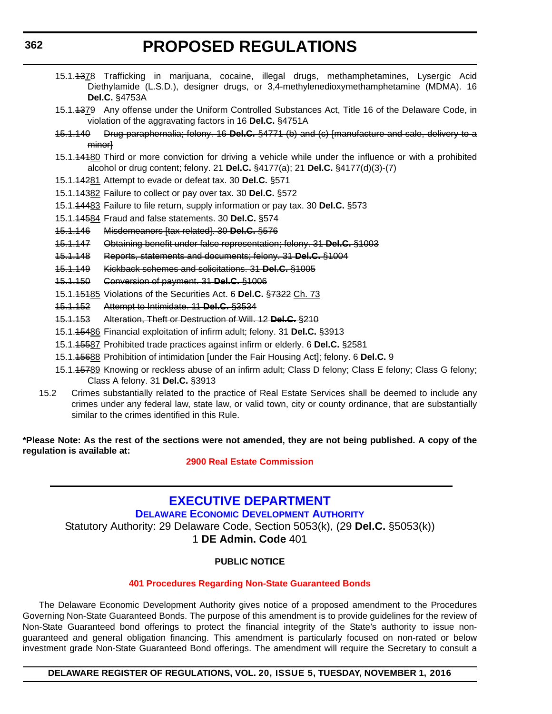- <span id="page-32-0"></span>15.1.4378 Trafficking in marijuana, cocaine, illegal drugs, methamphetamines, Lysergic Acid Diethylamide (L.S.D.), designer drugs, or 3,4-methylenedioxymethamphetamine (MDMA). 16 **Del.C.** §4753A
- 15.1.4379 Any offense under the Uniform Controlled Substances Act, Title 16 of the Delaware Code, in violation of the aggravating factors in 16 **Del.C.** §4751A
- 15.1.140 Drug paraphernalia; felony. 16 **Del.C.** §4771 (b) and (c) [manufacture and sale, delivery to a minor]
- 15.1.14180 Third or more conviction for driving a vehicle while under the influence or with a prohibited alcohol or drug content; felony. 21 **Del.C.** §4177(a); 21 **Del.C.** §4177(d)(3)-(7)
- 15.1.14281 Attempt to evade or defeat tax. 30 **Del.C.** §571
- 15.1.14382 Failure to collect or pay over tax. 30 **Del.C.** §572
- 15.1.14483 Failure to file return, supply information or pay tax. 30 **Del.C.** §573
- 15.1.14584 Fraud and false statements. 30 **Del.C.** §574
- 15.1.146 Misdemeanors [tax related]. 30 **Del.C.** §576
- 15.1.147 Obtaining benefit under false representation; felony. 31 **Del.C.** §1003
- 15.1.148 Reports, statements and documents; felony. 31 **Del.C.** §1004
- 15.1.149 Kickback schemes and solicitations. 31 **Del.C.** §1005
- 15.1.150 Conversion of payment. 31 **Del.C.** §1006
- 15.1.15185 Violations of the Securities Act. 6 **Del.C.** §7322 Ch. 73
- 15.1.152 Attempt to Intimidate. 11 **Del.C.** §3534
- 15.1.153 Alteration, Theft or Destruction of Will. 12 **Del.C.** §210
- 15.1.15486 Financial exploitation of infirm adult; felony. 31 **Del.C.** §3913
- 15.1.15587 Prohibited trade practices against infirm or elderly. 6 **Del.C.** §2581
- 15.1.15688 Prohibition of intimidation [under the Fair Housing Act]; felony. 6 **Del.C.** 9
- 15.1.45789 Knowing or reckless abuse of an infirm adult; Class D felony; Class E felony; Class G felony; Class A felony. 31 **Del.C.** §3913
- 15.2 Crimes substantially related to the practice of Real Estate Services shall be deemed to include any crimes under any federal law, state law, or valid town, city or county ordinance, that are substantially similar to the crimes identified in this Rule.

**\*Please Note: As the rest of the sections were not amended, they are not being published. A copy of the regulation is available at:**

**[2900 Real Estate Commission](http://regulations.delaware.gov/register/november2016/proposed/20 DE Reg 357 11-01-16.htm)**

# **[EXECUTIVE DEPARTMENT](http://dedo.delaware.gov/)**

**[DELAWARE ECONOMIC DEVELOPMENT AUTHORITY](http://dedo.delaware.gov/)**

Statutory Authority: 29 Delaware Code, Section 5053(k), (29 **Del.C.** §5053(k)) 1 **DE Admin. Code** 401

### **PUBLIC NOTICE**

### **[401 Procedures Regarding Non-State Guaranteed Bonds](#page-3-0)**

The Delaware Economic Development Authority gives notice of a proposed amendment to the Procedures Governing Non-State Guaranteed Bonds. The purpose of this amendment is to provide guidelines for the review of Non-State Guaranteed bond offerings to protect the financial integrity of the State's authority to issue nonguaranteed and general obligation financing. This amendment is particularly focused on non-rated or below investment grade Non-State Guaranteed Bond offerings. The amendment will require the Secretary to consult a

### **DELAWARE REGISTER OF REGULATIONS, VOL. 20, ISSUE 5, TUESDAY, NOVEMBER 1, 2016**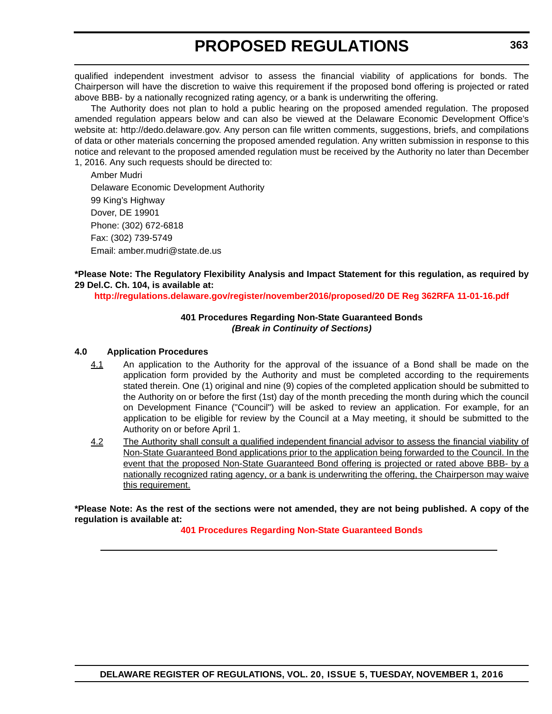qualified independent investment advisor to assess the financial viability of applications for bonds. The Chairperson will have the discretion to waive this requirement if the proposed bond offering is projected or rated above BBB- by a nationally recognized rating agency, or a bank is underwriting the offering.

The Authority does not plan to hold a public hearing on the proposed amended regulation. The proposed amended regulation appears below and can also be viewed at the Delaware Economic Development Office's website at: http://dedo.delaware.gov. Any person can file written comments, suggestions, briefs, and compilations of data or other materials concerning the proposed amended regulation. Any written submission in response to this notice and relevant to the proposed amended regulation must be received by the Authority no later than December 1, 2016. Any such requests should be directed to:

Amber Mudri Delaware Economic Development Authority 99 King's Highway Dover, DE 19901 Phone: (302) 672-6818 Fax: (302) 739-5749 Email: amber.mudri@state.de.us

### **\*Please Note: The Regulatory Flexibility Analysis and Impact Statement for this regulation, as required by 29 Del.C. Ch. 104, is available at:**

**<http://regulations.delaware.gov/register/november2016/proposed/20 DE Reg 362RFA 11-01-16.pdf>**

### **401 Procedures Regarding Non-State Guaranteed Bonds** *(Break in Continuity of Sections)*

### **4.0 Application Procedures**

- 4.1 An application to the Authority for the approval of the issuance of a Bond shall be made on the application form provided by the Authority and must be completed according to the requirements stated therein. One (1) original and nine (9) copies of the completed application should be submitted to the Authority on or before the first (1st) day of the month preceding the month during which the council on Development Finance ("Council") will be asked to review an application. For example, for an application to be eligible for review by the Council at a May meeting, it should be submitted to the Authority on or before April 1.
- 4.2 The Authority shall consult a qualified independent financial advisor to assess the financial viability of Non-State Guaranteed Bond applications prior to the application being forwarded to the Council. In the event that the proposed Non-State Guaranteed Bond offering is projected or rated above BBB- by a nationally recognized rating agency, or a bank is underwriting the offering, the Chairperson may waive this requirement.

**\*Please Note: As the rest of the sections were not amended, they are not being published. A copy of the regulation is available at:**

**[401 Procedures Regarding Non-State Guaranteed Bonds](http://regulations.delaware.gov/register/november2016/proposed/20 DE Reg 362 11-01-16.htm)**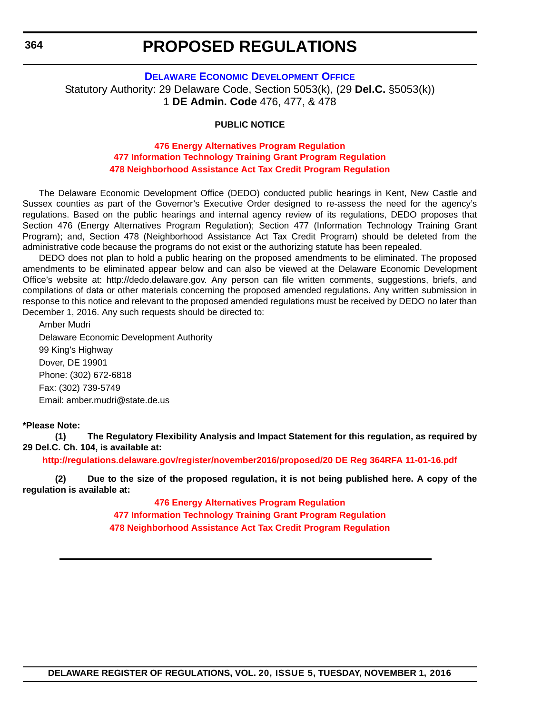### **[DELAWARE ECONOMIC DEVELOPMENT OFFICE](http://dedo.delaware.gov/)**

<span id="page-34-0"></span>Statutory Authority: 29 Delaware Code, Section 5053(k), (29 **Del.C.** §5053(k)) 1 **DE Admin. Code** 476, 477, & 478

### **PUBLIC NOTICE**

### **[476 Energy Alternatives Program Regulation](#page-3-0) [477 Information Technology Training Grant Program Regulation](#page-3-0) [478 Neighborhood Assistance Act Tax Credit Program Regulation](#page-3-0)**

The Delaware Economic Development Office (DEDO) conducted public hearings in Kent, New Castle and Sussex counties as part of the Governor's Executive Order designed to re-assess the need for the agency's regulations. Based on the public hearings and internal agency review of its regulations, DEDO proposes that Section 476 (Energy Alternatives Program Regulation); Section 477 (Information Technology Training Grant Program); and, Section 478 (Neighborhood Assistance Act Tax Credit Program) should be deleted from the administrative code because the programs do not exist or the authorizing statute has been repealed.

DEDO does not plan to hold a public hearing on the proposed amendments to be eliminated. The proposed amendments to be eliminated appear below and can also be viewed at the Delaware Economic Development Office's website at: http://dedo.delaware.gov. Any person can file written comments, suggestions, briefs, and compilations of data or other materials concerning the proposed amended regulations. Any written submission in response to this notice and relevant to the proposed amended regulations must be received by DEDO no later than December 1, 2016. Any such requests should be directed to:

Amber Mudri Delaware Economic Development Authority 99 King's Highway Dover, DE 19901 Phone: (302) 672-6818 Fax: (302) 739-5749 Email: amber.mudri@state.de.us

#### **\*Please Note:**

**(1) The Regulatory Flexibility Analysis and Impact Statement for this regulation, as required by 29 Del.C. Ch. 104, is available at:**

**<http://regulations.delaware.gov/register/november2016/proposed/20 DE Reg 364RFA 11-01-16.pdf>**

**(2) Due to the size of the proposed regulation, it is not being published here. A copy of the regulation is available at:**

> **[476 Energy Alternatives Program Regulation](http://regulations.delaware.gov/register/november2016/proposed/20 DE Reg 364 11-01-16.htm) [477 Information Technology Training Grant Program Regulation](http://regulations.delaware.gov/register/november2016/proposed/20 DE Reg 364a 11-01-16.htm) [478 Neighborhood Assistance Act Tax Credit Program Regulation](http://regulations.delaware.gov/register/november2016/proposed/20 DE Reg 364b 11-01-16.htm)**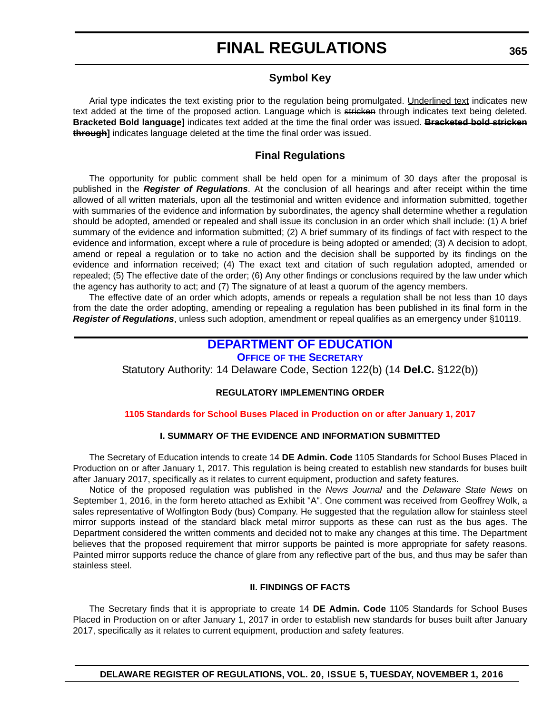### **Symbol Key**

<span id="page-35-0"></span>Arial type indicates the text existing prior to the regulation being promulgated. Underlined text indicates new text added at the time of the proposed action. Language which is stricken through indicates text being deleted. **Bracketed Bold language]** indicates text added at the time the final order was issued. **Bracketed bold stricken through]** indicates language deleted at the time the final order was issued.

### **Final Regulations**

The opportunity for public comment shall be held open for a minimum of 30 days after the proposal is published in the *Register of Regulations*. At the conclusion of all hearings and after receipt within the time allowed of all written materials, upon all the testimonial and written evidence and information submitted, together with summaries of the evidence and information by subordinates, the agency shall determine whether a regulation should be adopted, amended or repealed and shall issue its conclusion in an order which shall include: (1) A brief summary of the evidence and information submitted; (2) A brief summary of its findings of fact with respect to the evidence and information, except where a rule of procedure is being adopted or amended; (3) A decision to adopt, amend or repeal a regulation or to take no action and the decision shall be supported by its findings on the evidence and information received; (4) The exact text and citation of such regulation adopted, amended or repealed; (5) The effective date of the order; (6) Any other findings or conclusions required by the law under which the agency has authority to act; and (7) The signature of at least a quorum of the agency members.

The effective date of an order which adopts, amends or repeals a regulation shall be not less than 10 days from the date the order adopting, amending or repealing a regulation has been published in its final form in the *Register of Regulations*, unless such adoption, amendment or repeal qualifies as an emergency under §10119.

# **[DEPARTMENT OF EDUCATION](http://www.doe.k12.de.us/)**

### **OFFICE OF [THE SECRETARY](https://pubapps.doe.k12.de.us/EducationalDirectoryPublic/pages/DDOE/Branches.aspx)**

Statutory Authority: 14 Delaware Code, Section 122(b) (14 **Del.C.** §122(b))

### **REGULATORY IMPLEMENTING ORDER**

### **[1105 Standards for School Buses Placed in Production on or after January 1, 2017](#page-3-0)**

### **I. SUMMARY OF THE EVIDENCE AND INFORMATION SUBMITTED**

The Secretary of Education intends to create 14 **DE Admin. Code** 1105 Standards for School Buses Placed in Production on or after January 1, 2017. This regulation is being created to establish new standards for buses built after January 2017, specifically as it relates to current equipment, production and safety features.

Notice of the proposed regulation was published in the *News Journal* and the *Delaware State News* on September 1, 2016, in the form hereto attached as Exhibit "A". One comment was received from Geoffrey Wolk, a sales representative of Wolfington Body (bus) Company. He suggested that the regulation allow for stainless steel mirror supports instead of the standard black metal mirror supports as these can rust as the bus ages. The Department considered the written comments and decided not to make any changes at this time. The Department believes that the proposed requirement that mirror supports be painted is more appropriate for safety reasons. Painted mirror supports reduce the chance of glare from any reflective part of the bus, and thus may be safer than stainless steel.

### **II. FINDINGS OF FACTS**

The Secretary finds that it is appropriate to create 14 **DE Admin. Code** 1105 Standards for School Buses Placed in Production on or after January 1, 2017 in order to establish new standards for buses built after January 2017, specifically as it relates to current equipment, production and safety features.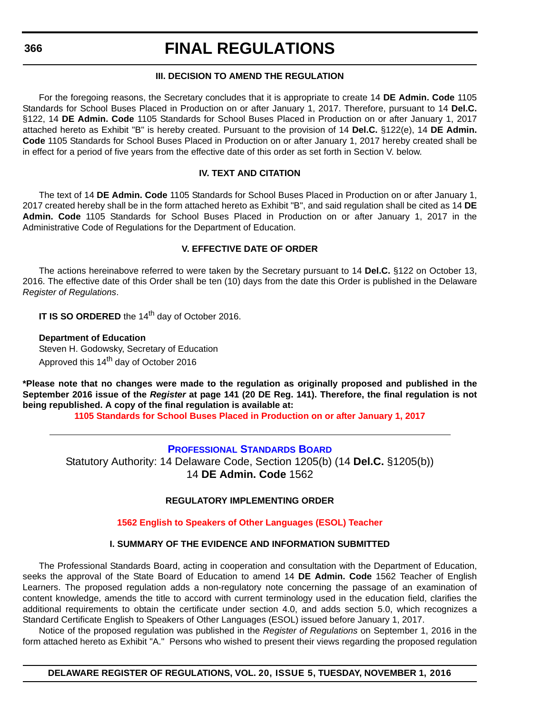### **III. DECISION TO AMEND THE REGULATION**

<span id="page-36-0"></span>For the foregoing reasons, the Secretary concludes that it is appropriate to create 14 **DE Admin. Code** 1105 Standards for School Buses Placed in Production on or after January 1, 2017. Therefore, pursuant to 14 **Del.C.** §122, 14 **DE Admin. Code** 1105 Standards for School Buses Placed in Production on or after January 1, 2017 attached hereto as Exhibit "B" is hereby created. Pursuant to the provision of 14 **Del.C.** §122(e), 14 **DE Admin. Code** 1105 Standards for School Buses Placed in Production on or after January 1, 2017 hereby created shall be in effect for a period of five years from the effective date of this order as set forth in Section V. below.

### **IV. TEXT AND CITATION**

The text of 14 **DE Admin. Code** 1105 Standards for School Buses Placed in Production on or after January 1, 2017 created hereby shall be in the form attached hereto as Exhibit "B", and said regulation shall be cited as 14 **DE Admin. Code** 1105 Standards for School Buses Placed in Production on or after January 1, 2017 in the Administrative Code of Regulations for the Department of Education.

### **V. EFFECTIVE DATE OF ORDER**

The actions hereinabove referred to were taken by the Secretary pursuant to 14 **Del.C.** §122 on October 13, 2016. The effective date of this Order shall be ten (10) days from the date this Order is published in the Delaware *Register of Regulations*.

**IT IS SO ORDERED** the 14<sup>th</sup> day of October 2016.

**Department of Education** Steven H. Godowsky, Secretary of Education Approved this 14<sup>th</sup> day of October 2016

**\*Please note that no changes were made to the regulation as originally proposed and published in the September 2016 issue of the** *Register* **at page 141 (20 DE Reg. 141). Therefore, the final regulation is not being republished. A copy of the final regulation is available at:**

**[1105 Standards for School Buses Placed in Production on or after January 1, 2017](http://regulations.delaware.gov/register/november2016/final/20 DE Reg 365 11-01-16.htm)**

**[PROFESSIONAL STANDARDS BOARD](https://pubapps.doe.k12.de.us/EducationalDirectoryPublic/pages/DDOE/WorkGroupStaff.aspx?page=branches&WGID=75&BID=1)** Statutory Authority: 14 Delaware Code, Section 1205(b) (14 **Del.C.** §1205(b)) 14 **DE Admin. Code** 1562

### **REGULATORY IMPLEMENTING ORDER**

### **[1562 English to Speakers of Other Languages \(ESOL\) Teacher](#page-3-0)**

### **I. SUMMARY OF THE EVIDENCE AND INFORMATION SUBMITTED**

The Professional Standards Board, acting in cooperation and consultation with the Department of Education, seeks the approval of the State Board of Education to amend 14 **DE Admin. Code** 1562 Teacher of English Learners. The proposed regulation adds a non-regulatory note concerning the passage of an examination of content knowledge, amends the title to accord with current terminology used in the education field, clarifies the additional requirements to obtain the certificate under section 4.0, and adds section 5.0, which recognizes a Standard Certificate English to Speakers of Other Languages (ESOL) issued before January 1, 2017.

Notice of the proposed regulation was published in the *Register of Regulations* on September 1, 2016 in the form attached hereto as Exhibit "A." Persons who wished to present their views regarding the proposed regulation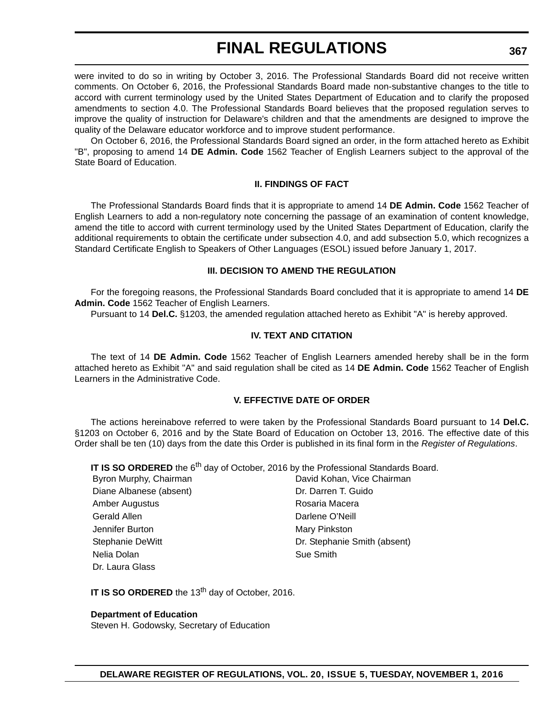were invited to do so in writing by October 3, 2016. The Professional Standards Board did not receive written comments. On October 6, 2016, the Professional Standards Board made non-substantive changes to the title to accord with current terminology used by the United States Department of Education and to clarify the proposed amendments to section 4.0. The Professional Standards Board believes that the proposed regulation serves to improve the quality of instruction for Delaware's children and that the amendments are designed to improve the quality of the Delaware educator workforce and to improve student performance.

On October 6, 2016, the Professional Standards Board signed an order, in the form attached hereto as Exhibit "B", proposing to amend 14 **DE Admin. Code** 1562 Teacher of English Learners subject to the approval of the State Board of Education.

### **II. FINDINGS OF FACT**

The Professional Standards Board finds that it is appropriate to amend 14 **DE Admin. Code** 1562 Teacher of English Learners to add a non-regulatory note concerning the passage of an examination of content knowledge, amend the title to accord with current terminology used by the United States Department of Education, clarify the additional requirements to obtain the certificate under subsection 4.0, and add subsection 5.0, which recognizes a Standard Certificate English to Speakers of Other Languages (ESOL) issued before January 1, 2017.

### **III. DECISION TO AMEND THE REGULATION**

For the foregoing reasons, the Professional Standards Board concluded that it is appropriate to amend 14 **DE Admin. Code** 1562 Teacher of English Learners.

Pursuant to 14 **Del.C.** §1203, the amended regulation attached hereto as Exhibit "A" is hereby approved.

### **IV. TEXT AND CITATION**

The text of 14 **DE Admin. Code** 1562 Teacher of English Learners amended hereby shall be in the form attached hereto as Exhibit "A" and said regulation shall be cited as 14 **DE Admin. Code** 1562 Teacher of English Learners in the Administrative Code.

### **V. EFFECTIVE DATE OF ORDER**

The actions hereinabove referred to were taken by the Professional Standards Board pursuant to 14 **Del.C.** §1203 on October 6, 2016 and by the State Board of Education on October 13, 2016. The effective date of this Order shall be ten (10) days from the date this Order is published in its final form in the *Register of Regulations*.

**IT IS SO ORDERED** the 6<sup>th</sup> day of October, 2016 by the Professional Standards Board.

| Byron Murphy, Chairman  | David Kohan, Vice Chairman   |
|-------------------------|------------------------------|
| Diane Albanese (absent) | Dr. Darren T. Guido          |
| Amber Augustus          | Rosaria Macera               |
| Gerald Allen            | Darlene O'Neill              |
| Jennifer Burton         | Mary Pinkston                |
| Stephanie DeWitt        | Dr. Stephanie Smith (absent) |
| Nelia Dolan             | Sue Smith                    |
| Dr. Laura Glass         |                              |

**IT IS SO ORDERED** the 13<sup>th</sup> day of October, 2016.

**Department of Education**

Steven H. Godowsky, Secretary of Education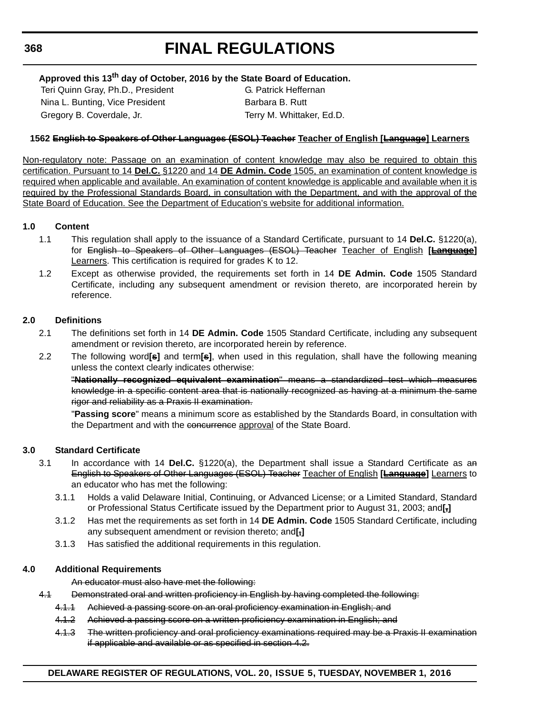### **Approved this 13th day of October, 2016 by the State Board of Education.**

Teri Quinn Gray, Ph.D., President G. Patrick Heffernan Nina L. Bunting, Vice President Barbara B. Rutt Gregory B. Coverdale, Jr. Terry M. Whittaker, Ed.D.

### **1562 English to Speakers of Other Languages (ESOL) Teacher Teacher of English [Language] Learners**

Non-regulatory note: Passage on an examination of content knowledge may also be required to obtain this certification. Pursuant to 14 **Del.C.** §1220 and 14 **DE Admin. Code** 1505, an examination of content knowledge is required when applicable and available. An examination of content knowledge is applicable and available when it is required by the Professional Standards Board, in consultation with the Department, and with the approval of the State Board of Education. See the Department of Education's website for additional information.

### **1.0 Content**

- 1.1 This regulation shall apply to the issuance of a Standard Certificate, pursuant to 14 **Del.C.** §1220(a), for English to Speakers of Other Languages (ESOL) Teacher Teacher of English **[Language]** Learners. This certification is required for grades K to 12.
- 1.2 Except as otherwise provided, the requirements set forth in 14 **DE Admin. Code** 1505 Standard Certificate, including any subsequent amendment or revision thereto, are incorporated herein by reference.

### **2.0 Definitions**

- 2.1 The definitions set forth in 14 **DE Admin. Code** 1505 Standard Certificate, including any subsequent amendment or revision thereto, are incorporated herein by reference.
- 2.2 The following word**[s]** and term**[s]**, when used in this regulation, shall have the following meaning unless the context clearly indicates otherwise:

"**Nationally recognized equivalent examination**" means a standardized test which measures knowledge in a specific content area that is nationally recognized as having at a minimum the same rigor and reliability as a Praxis II examination.

"**Passing score**" means a minimum score as established by the Standards Board, in consultation with the Department and with the concurrence approval of the State Board.

### **3.0 Standard Certificate**

- 3.1 In accordance with 14 **Del.C.** §1220(a), the Department shall issue a Standard Certificate as an English to Speakers of Other Languages (ESOL) Teacher Teacher of English **[Language]** Learners to an educator who has met the following:
	- 3.1.1 Holds a valid Delaware Initial, Continuing, or Advanced License; or a Limited Standard, Standard or Professional Status Certificate issued by the Department prior to August 31, 2003; and**[,]**
	- 3.1.2 Has met the requirements as set forth in 14 **DE Admin. Code** 1505 Standard Certificate, including any subsequent amendment or revision thereto; and**[,]**
	- 3.1.3 Has satisfied the additional requirements in this regulation.

#### **4.0 Additional Requirements**

#### An educator must also have met the following:

- 4.1 Demonstrated oral and written proficiency in English by having completed the following:
	- 4.1.1 Achieved a passing score on an oral proficiency examination in English; and
	- 4.1.2 Achieved a passing score on a written proficiency examination in English; and
	- 4.1.3 The written proficiency and oral proficiency examinations required may be a Praxis II examination if applicable and available or as specified in section 4.2.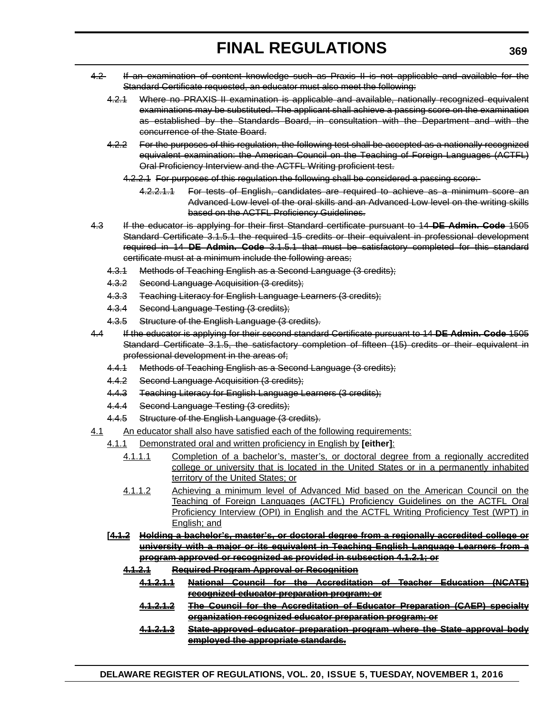- 4.2 If an examination of content knowledge such as Praxis II is not applicable and available for the Standard Certificate requested, an educator must also meet the following:
	- 4.2.1 Where no PRAXIS II examination is applicable and available, nationally recognized equivalent examinations may be substituted. The applicant shall achieve a passing score on the examination as established by the Standards Board, in consultation with the Department and with the concurrence of the State Board.
	- 4.2.2 For the purposes of this regulation, the following test shall be accepted as a nationally recognized equivalent examination: the American Council on the Teaching of Foreign Languages (ACTFL) Oral Proficiency Interview and the ACTFL Writing proficient test.
		- 4.2.2.1 For purposes of this regulation the following shall be considered a passing score:
			- 4.2.2.1.1 For tests of English, candidates are required to achieve as a minimum score an Advanced Low level of the oral skills and an Advanced Low level on the writing skills based on the ACTFL Proficiency Guidelines.
- 4.3 If the educator is applying for their first Standard certificate pursuant to 14 **DE Admin. Code** 1505 Standard Certificate 3.1.5.1 the required 15 credits or their equivalent in professional development required in 14 **DE Admin. Code** 3.1.5.1 that must be satisfactory completed for this standard certificate must at a minimum include the following areas;
	- 4.3.1 Methods of Teaching English as a Second Language (3 credits);
	- 4.3.2 Second Language Acquisition (3 credits);
	- 4.3.3 Teaching Literacy for English Language Learners (3 credits);
	- 4.3.4 Second Language Testing (3 credits);
	- 4.3.5 Structure of the English Language (3 credits).
- 4.4 If the educator is applying for their second standard Certificate pursuant to 14 **DE Admin. Code** 1505 Standard Certificate 3.1.5, the satisfactory completion of fifteen (15) credits or their equivalent in professional development in the areas of;
	- 4.4.1 Methods of Teaching English as a Second Language (3 credits);
	- 4.4.2 Second Language Acquisition (3 credits);
	- 4.4.3 Teaching Literacy for English Language Learners (3 credits);
	- 4.4.4 Second Language Testing (3 credits);
	- 4.4.5 Structure of the English Language (3 credits).
- 4.1 An educator shall also have satisfied each of the following requirements:
	- 4.1.1 Demonstrated oral and written proficiency in English by **[either]**:
		- 4.1.1.1 Completion of a bachelor's, master's, or doctoral degree from a regionally accredited college or university that is located in the United States or in a permanently inhabited territory of the United States; or
		- 4.1.1.2 Achieving a minimum level of Advanced Mid based on the American Council on the Teaching of Foreign Languages (ACTFL) Proficiency Guidelines on the ACTFL Oral Proficiency Interview (OPI) in English and the ACTFL Writing Proficiency Test (WPT) in English; and
	- **[4.1.2 Holding a bachelor's, master's, or doctoral degree from a regionally accredited college or university with a major or its equivalent in Teaching English Language Learners from a program approved or recognized as provided in subsection 4.1.2.1; or**
		- **4.1.2.1 Required Program Approval or Recognition**
			- **4.1.2.1.1 National Council for the Accreditation of Teacher Education (NCATE) recognized educator preparation program; or**
			- **4.1.2.1.2 The Council for the Accreditation of Educator Preparation (CAEP) specialty organization recognized educator preparation program; or**
			- **4.1.2.1.3 State-approved educator preparation program where the State approval body employed the appropriate standards.**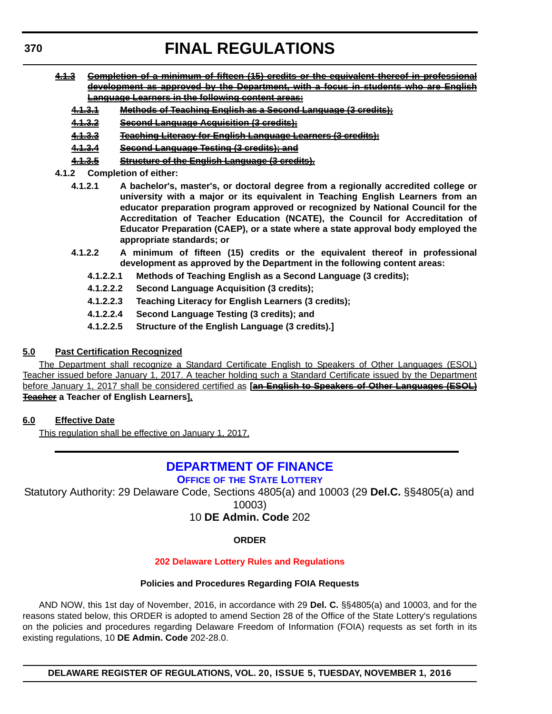- <span id="page-40-0"></span>**4.1.3 Completion of a minimum of fifteen (15) credits or the equivalent thereof in professional development as approved by the Department, with a focus in students who are English Language Learners in the following content areas:**
	- **4.1.3.1 Methods of Teaching English as a Second Language (3 credits);**
	- **4.1.3.2 Second Language Acquisition (3 credits);**
	- **4.1.3.3 Teaching Literacy for English Language Learners (3 credits);**
	- **4.1.3.4 Second Language Testing (3 credits); and**
	- **4.1.3.5 Structure of the English Language (3 credits).**
- **4.1.2 Completion of either:**
	- **4.1.2.1 A bachelor's, master's, or doctoral degree from a regionally accredited college or university with a major or its equivalent in Teaching English Learners from an educator preparation program approved or recognized by National Council for the Accreditation of Teacher Education (NCATE), the Council for Accreditation of Educator Preparation (CAEP), or a state where a state approval body employed the appropriate standards; or**
	- **4.1.2.2 A minimum of fifteen (15) credits or the equivalent thereof in professional development as approved by the Department in the following content areas:**
		- **4.1.2.2.1 Methods of Teaching English as a Second Language (3 credits);**
		- **4.1.2.2.2 Second Language Acquisition (3 credits);**
		- **4.1.2.2.3 Teaching Literacy for English Learners (3 credits);**
		- **4.1.2.2.4 Second Language Testing (3 credits); and**
		- **4.1.2.2.5 Structure of the English Language (3 credits).]**

### **5.0 Past Certification Recognized**

The Department shall recognize a Standard Certificate English to Speakers of Other Languages (ESOL) Teacher issued before January 1, 2017. A teacher holding such a Standard Certificate issued by the Department before January 1, 2017 shall be considered certified as **[an English to Speakers of Other Languages (ESOL) Teacher a Teacher of English Learners].**

### **6.0 Effective Date**

This regulation shall be effective on January 1, 2017.

# **[DEPARTMENT OF FINANCE](http://finance.delaware.gov/)**

### **OFFICE OF [THE STATE LOTTERY](http://www.delottery.com/index.asp)**

Statutory Authority: 29 Delaware Code, Sections 4805(a) and 10003 (29 **Del.C.** §§4805(a) and 10003)

### 10 **DE Admin. Code** 202

### **ORDER**

### **[202 Delaware Lottery Rules and Regulations](#page-3-0)**

#### **Policies and Procedures Regarding FOIA Requests**

AND NOW, this 1st day of November, 2016, in accordance with 29 **Del. C.** §§4805(a) and 10003, and for the reasons stated below, this ORDER is adopted to amend Section 28 of the Office of the State Lottery's regulations on the policies and procedures regarding Delaware Freedom of Information (FOIA) requests as set forth in its existing regulations, 10 **DE Admin. Code** 202-28.0.

**DELAWARE REGISTER OF REGULATIONS, VOL. 20, ISSUE 5, TUESDAY, NOVEMBER 1, 2016**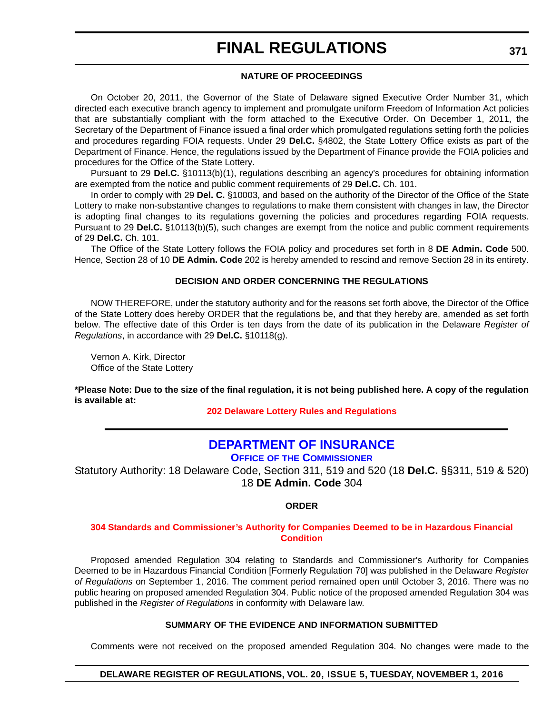### **NATURE OF PROCEEDINGS**

<span id="page-41-0"></span>On October 20, 2011, the Governor of the State of Delaware signed Executive Order Number 31, which directed each executive branch agency to implement and promulgate uniform Freedom of Information Act policies that are substantially compliant with the form attached to the Executive Order. On December 1, 2011, the Secretary of the Department of Finance issued a final order which promulgated regulations setting forth the policies and procedures regarding FOIA requests. Under 29 **Del.C.** §4802, the State Lottery Office exists as part of the Department of Finance. Hence, the regulations issued by the Department of Finance provide the FOIA policies and procedures for the Office of the State Lottery.

Pursuant to 29 **Del.C.** §10113(b)(1), regulations describing an agency's procedures for obtaining information are exempted from the notice and public comment requirements of 29 **Del.C.** Ch. 101.

In order to comply with 29 **Del. C.** §10003, and based on the authority of the Director of the Office of the State Lottery to make non-substantive changes to regulations to make them consistent with changes in law, the Director is adopting final changes to its regulations governing the policies and procedures regarding FOIA requests. Pursuant to 29 **Del.C.** §10113(b)(5), such changes are exempt from the notice and public comment requirements of 29 **Del.C.** Ch. 101.

The Office of the State Lottery follows the FOIA policy and procedures set forth in 8 **DE Admin. Code** 500. Hence, Section 28 of 10 **DE Admin. Code** 202 is hereby amended to rescind and remove Section 28 in its entirety.

### **DECISION AND ORDER CONCERNING THE REGULATIONS**

NOW THEREFORE, under the statutory authority and for the reasons set forth above, the Director of the Office of the State Lottery does hereby ORDER that the regulations be, and that they hereby are, amended as set forth below. The effective date of this Order is ten days from the date of its publication in the Delaware *Register of Regulations*, in accordance with 29 **Del.C.** §10118(g).

Vernon A. Kirk, Director Office of the State Lottery

**\*Please Note: Due to the size of the final regulation, it is not being published here. A copy of the regulation is available at:**

**[202 Delaware Lottery Rules and Regulations](http://regulations.delaware.gov/register/november2016/final/20 DE Reg 370 11-01-16.htm)**

# **[DEPARTMENT OF INSURANCE](http://www.delawareinsurance.gov/)**

**OFFICE OF [THE COMMISSIONER](http://www.delawareinsurance.gov/bio.shtml)**

Statutory Authority: 18 Delaware Code, Section 311, 519 and 520 (18 **Del.C.** §§311, 519 & 520) 18 **DE Admin. Code** 304

### **ORDER**

### **[304 Standards and Commissioner's Authority for Companies Deemed to be in Hazardous Financial](#page-4-0)  Condition**

Proposed amended Regulation 304 relating to Standards and Commissioner's Authority for Companies Deemed to be in Hazardous Financial Condition [Formerly Regulation 70] was published in the Delaware *Register of Regulations* on September 1, 2016. The comment period remained open until October 3, 2016. There was no public hearing on proposed amended Regulation 304. Public notice of the proposed amended Regulation 304 was published in the *Register of Regulations* in conformity with Delaware law.

### **SUMMARY OF THE EVIDENCE AND INFORMATION SUBMITTED**

Comments were not received on the proposed amended Regulation 304. No changes were made to the

### **DELAWARE REGISTER OF REGULATIONS, VOL. 20, ISSUE 5, TUESDAY, NOVEMBER 1, 2016**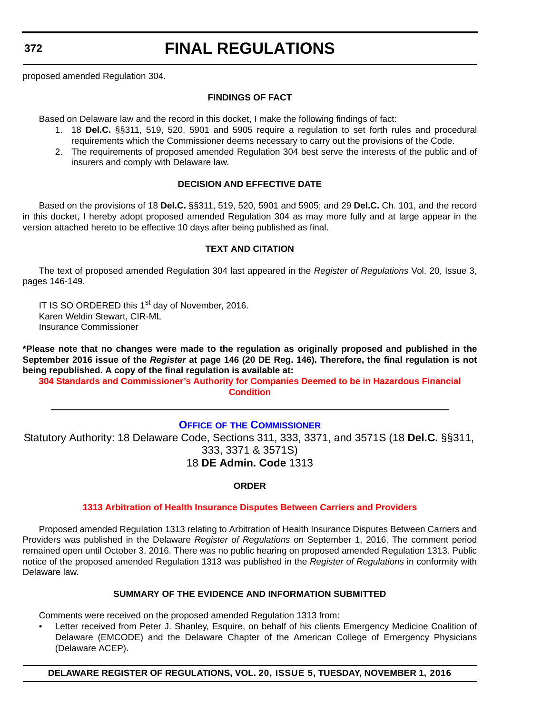<span id="page-42-0"></span>**372**

# **FINAL REGULATIONS**

proposed amended Regulation 304.

### **FINDINGS OF FACT**

Based on Delaware law and the record in this docket, I make the following findings of fact:

- 1. 18 **Del.C.** §§311, 519, 520, 5901 and 5905 require a regulation to set forth rules and procedural requirements which the Commissioner deems necessary to carry out the provisions of the Code.
- 2. The requirements of proposed amended Regulation 304 best serve the interests of the public and of insurers and comply with Delaware law.

### **DECISION AND EFFECTIVE DATE**

Based on the provisions of 18 **Del.C.** §§311, 519, 520, 5901 and 5905; and 29 **Del.C.** Ch. 101, and the record in this docket, I hereby adopt proposed amended Regulation 304 as may more fully and at large appear in the version attached hereto to be effective 10 days after being published as final.

### **TEXT AND CITATION**

The text of proposed amended Regulation 304 last appeared in the *Register of Regulations* Vol. 20, Issue 3, pages 146-149.

IT IS SO ORDERED this 1<sup>st</sup> day of November, 2016. Karen Weldin Stewart, CIR-ML Insurance Commissioner

**\*Please note that no changes were made to the regulation as originally proposed and published in the September 2016 issue of the** *Register* **at page 146 (20 DE Reg. 146). Therefore, the final regulation is not being republished. A copy of the final regulation is available at:**

**[304 Standards and Commissioner's Authority for Companies Deemed to be in Hazardous Financial](http://regulations.delaware.gov/register/november2016/final/20 DE Reg 371 11-01-16.htm)  Condition**

### **OFFICE OF [THE COMMISSIONER](http://www.delawareinsurance.gov/bio.shtml)**

Statutory Authority: 18 Delaware Code, Sections 311, 333, 3371, and 3571S (18 **Del.C.** §§311, 333, 3371 & 3571S) 18 **DE Admin. Code** 1313

### **ORDER**

### **[1313 Arbitration of Health Insurance Disputes Between Carriers and Providers](#page-4-0)**

Proposed amended Regulation 1313 relating to Arbitration of Health Insurance Disputes Between Carriers and Providers was published in the Delaware *Register of Regulations* on September 1, 2016. The comment period remained open until October 3, 2016. There was no public hearing on proposed amended Regulation 1313. Public notice of the proposed amended Regulation 1313 was published in the *Register of Regulations* in conformity with Delaware law.

### **SUMMARY OF THE EVIDENCE AND INFORMATION SUBMITTED**

Comments were received on the proposed amended Regulation 1313 from:

• Letter received from Peter J. Shanley, Esquire, on behalf of his clients Emergency Medicine Coalition of Delaware (EMCODE) and the Delaware Chapter of the American College of Emergency Physicians (Delaware ACEP).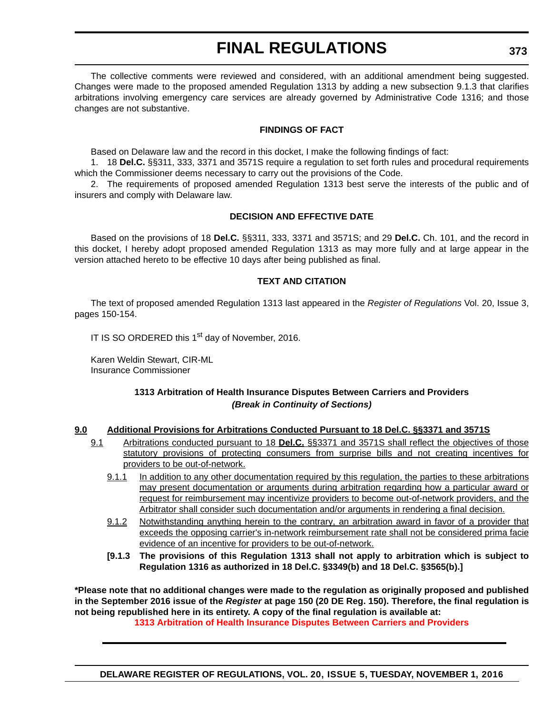The collective comments were reviewed and considered, with an additional amendment being suggested. Changes were made to the proposed amended Regulation 1313 by adding a new subsection 9.1.3 that clarifies arbitrations involving emergency care services are already governed by Administrative Code 1316; and those changes are not substantive.

### **FINDINGS OF FACT**

Based on Delaware law and the record in this docket, I make the following findings of fact:

1. 18 **Del.C.** §§311, 333, 3371 and 3571S require a regulation to set forth rules and procedural requirements which the Commissioner deems necessary to carry out the provisions of the Code.

2. The requirements of proposed amended Regulation 1313 best serve the interests of the public and of insurers and comply with Delaware law.

### **DECISION AND EFFECTIVE DATE**

Based on the provisions of 18 **Del.C.** §§311, 333, 3371 and 3571S; and 29 **Del.C.** Ch. 101, and the record in this docket, I hereby adopt proposed amended Regulation 1313 as may more fully and at large appear in the version attached hereto to be effective 10 days after being published as final.

### **TEXT AND CITATION**

The text of proposed amended Regulation 1313 last appeared in the *Register of Regulations* Vol. 20, Issue 3, pages 150-154.

IT IS SO ORDERED this 1<sup>st</sup> day of November, 2016.

Karen Weldin Stewart, CIR-ML Insurance Commissioner

### **1313 Arbitration of Health Insurance Disputes Between Carriers and Providers** *(Break in Continuity of Sections)*

#### **9.0 Additional Provisions for Arbitrations Conducted Pursuant to 18 Del.C. §§3371 and 3571S**

- 9.1 Arbitrations conducted pursuant to 18 **Del.C.** §§3371 and 3571S shall reflect the objectives of those statutory provisions of protecting consumers from surprise bills and not creating incentives for providers to be out-of-network.
	- 9.1.1 In addition to any other documentation required by this regulation, the parties to these arbitrations may present documentation or arguments during arbitration regarding how a particular award or request for reimbursement may incentivize providers to become out-of-network providers, and the Arbitrator shall consider such documentation and/or arguments in rendering a final decision.
	- 9.1.2 Notwithstanding anything herein to the contrary, an arbitration award in favor of a provider that exceeds the opposing carrier's in-network reimbursement rate shall not be considered prima facie evidence of an incentive for providers to be out-of-network.
	- **[9.1.3 The provisions of this Regulation 1313 shall not apply to arbitration which is subject to Regulation 1316 as authorized in 18 Del.C. §3349(b) and 18 Del.C. §3565(b).]**

**\*Please note that no additional changes were made to the regulation as originally proposed and published in the September 2016 issue of the** *Register* **at page 150 (20 DE Reg. 150). Therefore, the final regulation is not being republished here in its entirety. A copy of the final regulation is available at:**

**[1313 Arbitration of Health Insurance Disputes Between Carriers and Providers](http://regulations.delaware.gov/register/november2016/final/20 DE Reg 372 11-01-16.htm)**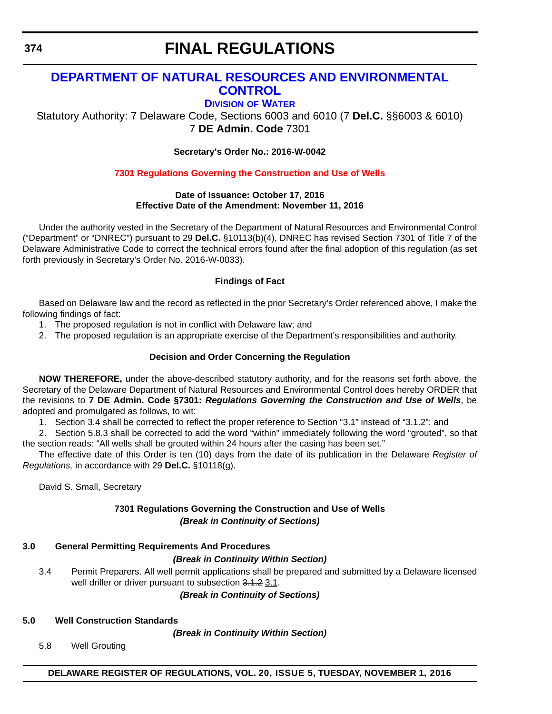# <span id="page-44-0"></span>**[DEPARTMENT OF NATURAL RESOURCES AND ENVIRONMENTAL](http://www.dnrec.delaware.gov/Pages/Portal.aspx)  CONTROL**

### **DIVISION [OF WATER](http://www.dnrec.delaware.gov/wr/Pages/Default.aspx)**

Statutory Authority: 7 Delaware Code, Sections 6003 and 6010 (7 **Del.C.** §§6003 & 6010) 7 **DE Admin. Code** 7301

**Secretary's Order No.: 2016-W-0042**

### **[7301 Regulations Governing the Construction and Use of Wells](#page-4-0)**

### **Date of Issuance: October 17, 2016 Effective Date of the Amendment: November 11, 2016**

Under the authority vested in the Secretary of the Department of Natural Resources and Environmental Control ("Department" or "DNREC") pursuant to 29 **Del.C.** §10113(b)(4), DNREC has revised Section 7301 of Title 7 of the Delaware Administrative Code to correct the technical errors found after the final adoption of this regulation (as set forth previously in Secretary's Order No. 2016-W-0033).

### **Findings of Fact**

Based on Delaware law and the record as reflected in the prior Secretary's Order referenced above, I make the following findings of fact:

- 1. The proposed regulation is not in conflict with Delaware law; and
- 2. The proposed regulation is an appropriate exercise of the Department's responsibilities and authority.

### **Decision and Order Concerning the Regulation**

**NOW THEREFORE,** under the above-described statutory authority, and for the reasons set forth above, the Secretary of the Delaware Department of Natural Resources and Environmental Control does hereby ORDER that the revisions to **7 DE Admin. Code §7301:** *Regulations Governing the Construction and Use of Wells*, be adopted and promulgated as follows, to wit:

1. Section 3.4 shall be corrected to reflect the proper reference to Section "3.1" instead of "3.1.2"; and

2. Section 5.8.3 shall be corrected to add the word "within" immediately following the word "grouted", so that the section reads: "All wells shall be grouted within 24 hours after the casing has been set."

The effective date of this Order is ten (10) days from the date of its publication in the Delaware *Register of Regulations,* in accordance with 29 **Del.C.** §10118(g).

David S. Small, Secretary

### **7301 Regulations Governing the Construction and Use of Wells** *(Break in Continuity of Sections)*

### **3.0 General Permitting Requirements And Procedures**

### *(Break in Continuity Within Section)*

3.4 Permit Preparers. All well permit applications shall be prepared and submitted by a Delaware licensed well driller or driver pursuant to subsection 3.1.2 3.1.

*(Break in Continuity of Sections)*

# **5.0 Well Construction Standards**

*(Break in Continuity Within Section)*

5.8 Well Grouting

**DELAWARE REGISTER OF REGULATIONS, VOL. 20, ISSUE 5, TUESDAY, NOVEMBER 1, 2016**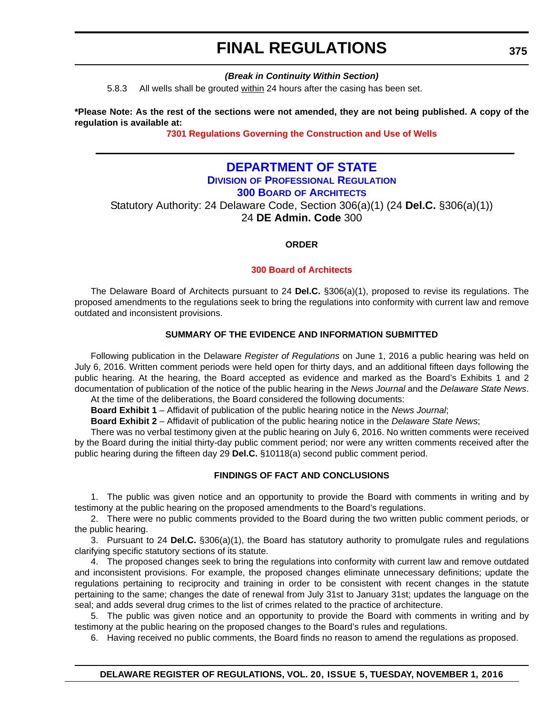### *(Break in Continuity Within Section)*

<span id="page-45-0"></span>5.8.3 All wells shall be grouted within 24 hours after the casing has been set.

**\*Please Note: As the rest of the sections were not amended, they are not being published. A copy of the regulation is available at:**

**[7301 Regulations Governing the Construction and Use of Wells](http://regulations.delaware.gov/register/november2016/final/20 DE Reg 374 11-01-16.htm)**

### **[DEPARTMENT OF STATE](http://sos.delaware.gov/) DIVISION [OF PROFESSIONAL REGULATION](http://dpr.delaware.gov/) 300 BOARD [OF ARCHITECTS](http://dpr.delaware.gov/boards/architects/index.shtml)**

Statutory Authority: 24 Delaware Code, Section 306(a)(1) (24 **Del.C.** §306(a)(1)) 24 **DE Admin. Code** 300

**ORDER**

### **[300 Board of Architects](#page-4-0)**

The Delaware Board of Architects pursuant to 24 **Del.C.** §306(a)(1), proposed to revise its regulations. The proposed amendments to the regulations seek to bring the regulations into conformity with current law and remove outdated and inconsistent provisions.

### **SUMMARY OF THE EVIDENCE AND INFORMATION SUBMITTED**

Following publication in the Delaware *Register of Regulations* on June 1, 2016 a public hearing was held on July 6, 2016. Written comment periods were held open for thirty days, and an additional fifteen days following the public hearing. At the hearing, the Board accepted as evidence and marked as the Board's Exhibits 1 and 2 documentation of publication of the notice of the public hearing in the *News Journal* and the *Delaware State News*. At the time of the deliberations, the Board considered the following documents:

**Board Exhibit 1** – Affidavit of publication of the public hearing notice in the *News Journal*;

**Board Exhibit 2** – Affidavit of publication of the public hearing notice in the *Delaware State News*;

There was no verbal testimony given at the public hearing on July 6, 2016. No written comments were received by the Board during the initial thirty-day public comment period; nor were any written comments received after the public hearing during the fifteen day 29 **Del.C.** §10118(a) second public comment period.

### **FINDINGS OF FACT AND CONCLUSIONS**

1. The public was given notice and an opportunity to provide the Board with comments in writing and by testimony at the public hearing on the proposed amendments to the Board's regulations.

2. There were no public comments provided to the Board during the two written public comment periods, or the public hearing.

3. Pursuant to 24 **Del.C.** §306(a)(1), the Board has statutory authority to promulgate rules and regulations clarifying specific statutory sections of its statute.

4. The proposed changes seek to bring the regulations into conformity with current law and remove outdated and inconsistent provisions. For example, the proposed changes eliminate unnecessary definitions; update the regulations pertaining to reciprocity and training in order to be consistent with recent changes in the statute pertaining to the same; changes the date of renewal from July 31st to January 31st; updates the language on the seal; and adds several drug crimes to the list of crimes related to the practice of architecture.

5. The public was given notice and an opportunity to provide the Board with comments in writing and by testimony at the public hearing on the proposed changes to the Board's rules and regulations.

6. Having received no public comments, the Board finds no reason to amend the regulations as proposed.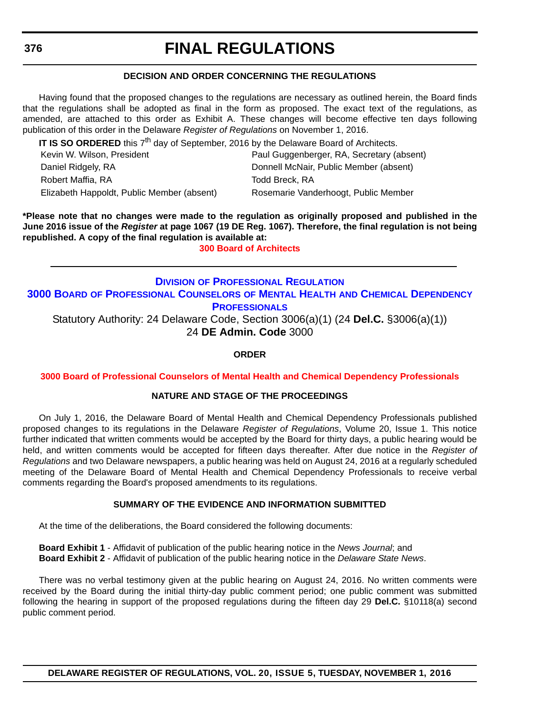### **DECISION AND ORDER CONCERNING THE REGULATIONS**

<span id="page-46-0"></span>Having found that the proposed changes to the regulations are necessary as outlined herein, the Board finds that the regulations shall be adopted as final in the form as proposed. The exact text of the regulations, as amended, are attached to this order as Exhibit A. These changes will become effective ten days following publication of this order in the Delaware *Register of Regulations* on November 1, 2016.

**IT IS SO ORDERED** this 7<sup>th</sup> day of September, 2016 by the Delaware Board of Architects.

| Kevin W. Wilson, President                 | Paul Guggenberger, RA, Secretary (absent) |
|--------------------------------------------|-------------------------------------------|
| Daniel Ridgely, RA                         | Donnell McNair, Public Member (absent)    |
| Robert Maffia, RA                          | Todd Breck. RA                            |
| Elizabeth Happoldt, Public Member (absent) | Rosemarie Vanderhoogt, Public Member      |

**\*Please note that no changes were made to the regulation as originally proposed and published in the June 2016 issue of the** *Register* **at page 1067 (19 DE Reg. 1067). Therefore, the final regulation is not being republished. A copy of the final regulation is available at:**

**[300 Board of Architects](http://regulations.delaware.gov/register/november2016/final/20 DE Reg 375 11-01-16.htm)**

### **DIVISION [OF PROFESSIONAL REGULATION](http://dpr.delaware.gov/) 3000 BOARD [OF PROFESSIONAL COUNSELORS](http://dpr.delaware.gov/boards/profcounselors/index.shtml) OF MENTAL HEALTH AND CHEMICAL DEPENDENCY PROFESSIONALS**

Statutory Authority: 24 Delaware Code, Section 3006(a)(1) (24 **Del.C.** §3006(a)(1)) 24 **DE Admin. Code** 3000

**ORDER**

**[3000 Board of Professional Counselors of Mental Health and Chemical Dependency Professionals](#page-4-0)**

### **NATURE AND STAGE OF THE PROCEEDINGS**

On July 1, 2016, the Delaware Board of Mental Health and Chemical Dependency Professionals published proposed changes to its regulations in the Delaware *Register of Regulations*, Volume 20, Issue 1. This notice further indicated that written comments would be accepted by the Board for thirty days, a public hearing would be held, and written comments would be accepted for fifteen days thereafter. After due notice in the *Register of Regulations* and two Delaware newspapers, a public hearing was held on August 24, 2016 at a regularly scheduled meeting of the Delaware Board of Mental Health and Chemical Dependency Professionals to receive verbal comments regarding the Board's proposed amendments to its regulations.

### **SUMMARY OF THE EVIDENCE AND INFORMATION SUBMITTED**

At the time of the deliberations, the Board considered the following documents:

**Board Exhibit 1** - Affidavit of publication of the public hearing notice in the *News Journal*; and **Board Exhibit 2** - Affidavit of publication of the public hearing notice in the *Delaware State News*.

There was no verbal testimony given at the public hearing on August 24, 2016. No written comments were received by the Board during the initial thirty-day public comment period; one public comment was submitted following the hearing in support of the proposed regulations during the fifteen day 29 **Del.C.** §10118(a) second public comment period.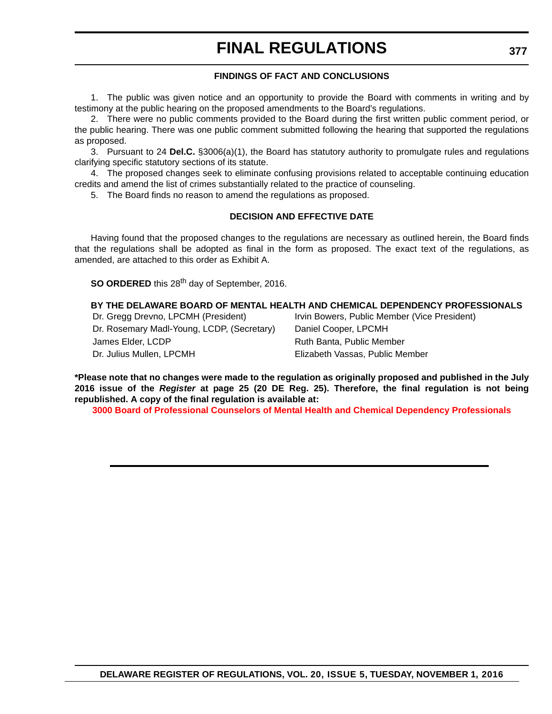### **FINDINGS OF FACT AND CONCLUSIONS**

1. The public was given notice and an opportunity to provide the Board with comments in writing and by testimony at the public hearing on the proposed amendments to the Board's regulations.

2. There were no public comments provided to the Board during the first written public comment period, or the public hearing. There was one public comment submitted following the hearing that supported the regulations as proposed.

3. Pursuant to 24 **Del.C.** §3006(a)(1), the Board has statutory authority to promulgate rules and regulations clarifying specific statutory sections of its statute.

4. The proposed changes seek to eliminate confusing provisions related to acceptable continuing education credits and amend the list of crimes substantially related to the practice of counseling.

5. The Board finds no reason to amend the regulations as proposed.

#### **DECISION AND EFFECTIVE DATE**

Having found that the proposed changes to the regulations are necessary as outlined herein, the Board finds that the regulations shall be adopted as final in the form as proposed. The exact text of the regulations, as amended, are attached to this order as Exhibit A.

**SO ORDERED** this 28<sup>th</sup> day of September, 2016.

#### **BY THE DELAWARE BOARD OF MENTAL HEALTH AND CHEMICAL DEPENDENCY PROFESSIONALS**

Dr. Rosemary Madl-Young, LCDP, (Secretary) Daniel Cooper, LPCMH James Elder, LCDP Ruth Banta, Public Member Dr. Julius Mullen, LPCMH Elizabeth Vassas, Public Member

Dr. Gregg Drevno, LPCMH (President) Irvin Bowers, Public Member (Vice President)

**\*Please note that no changes were made to the regulation as originally proposed and published in the July 2016 issue of the** *Register* **at page 25 (20 DE Reg. 25). Therefore, the final regulation is not being republished. A copy of the final regulation is available at:**

**[3000 Board of Professional Counselors of Mental Health and Chemical Dependency Professionals](http://regulations.delaware.gov/register/november2016/final/20 DE Reg 376 11-01-16.htm)**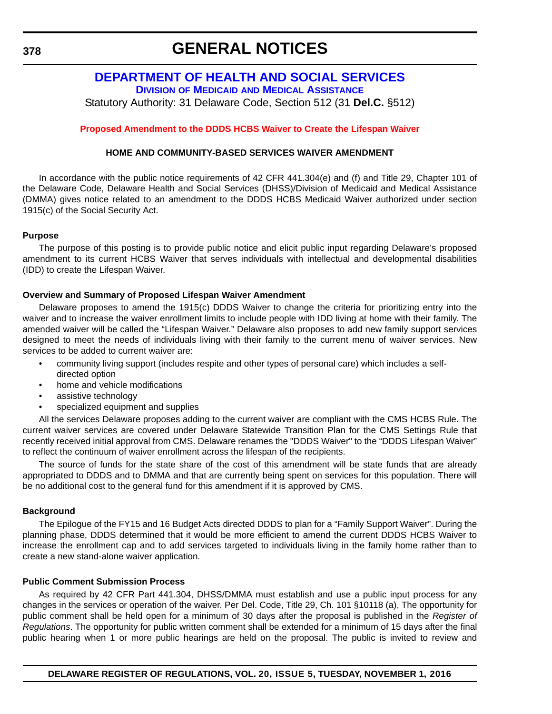<span id="page-48-0"></span>**378**

# **GENERAL NOTICES**

# **[DEPARTMENT OF HEALTH AND SOCIAL SERVICES](http://www.dhss.delaware.gov/dhss/index.html)**

**DIVISION OF MEDICAID [AND MEDICAL ASSISTANCE](http://www.dhss.delaware.gov/dhss/dmma/)**

Statutory Authority: 31 Delaware Code, Section 512 (31 **Del.C.** §512)

### **[Proposed Amendment to the DDDS HCBS Waiver to Create the Lifespan Waiver](#page-4-0)**

### **HOME AND COMMUNITY-BASED SERVICES WAIVER AMENDMENT**

In accordance with the public notice requirements of 42 CFR 441.304(e) and (f) and Title 29, Chapter 101 of the Delaware Code, Delaware Health and Social Services (DHSS)/Division of Medicaid and Medical Assistance (DMMA) gives notice related to an amendment to the DDDS HCBS Medicaid Waiver authorized under section 1915(c) of the Social Security Act.

### **Purpose**

The purpose of this posting is to provide public notice and elicit public input regarding Delaware's proposed amendment to its current HCBS Waiver that serves individuals with intellectual and developmental disabilities (IDD) to create the Lifespan Waiver.

### **Overview and Summary of Proposed Lifespan Waiver Amendment**

Delaware proposes to amend the 1915(c) DDDS Waiver to change the criteria for prioritizing entry into the waiver and to increase the waiver enrollment limits to include people with IDD living at home with their family. The amended waiver will be called the "Lifespan Waiver." Delaware also proposes to add new family support services designed to meet the needs of individuals living with their family to the current menu of waiver services. New services to be added to current waiver are:

- community living support (includes respite and other types of personal care) which includes a selfdirected option
- home and vehicle modifications
- assistive technology
- specialized equipment and supplies

All the services Delaware proposes adding to the current waiver are compliant with the CMS HCBS Rule. The current waiver services are covered under Delaware Statewide Transition Plan for the CMS Settings Rule that recently received initial approval from CMS. Delaware renames the "DDDS Waiver" to the "DDDS Lifespan Waiver" to reflect the continuum of waiver enrollment across the lifespan of the recipients.

The source of funds for the state share of the cost of this amendment will be state funds that are already appropriated to DDDS and to DMMA and that are currently being spent on services for this population. There will be no additional cost to the general fund for this amendment if it is approved by CMS.

#### **Background**

The Epilogue of the FY15 and 16 Budget Acts directed DDDS to plan for a "Family Support Waiver". During the planning phase, DDDS determined that it would be more efficient to amend the current DDDS HCBS Waiver to increase the enrollment cap and to add services targeted to individuals living in the family home rather than to create a new stand-alone waiver application.

### **Public Comment Submission Process**

As required by 42 CFR Part 441.304, DHSS/DMMA must establish and use a public input process for any changes in the services or operation of the waiver. Per Del. Code, Title 29, Ch. 101 §10118 (a), The opportunity for public comment shall be held open for a minimum of 30 days after the proposal is published in the *Register of Regulations*. The opportunity for public written comment shall be extended for a minimum of 15 days after the final public hearing when 1 or more public hearings are held on the proposal. The public is invited to review and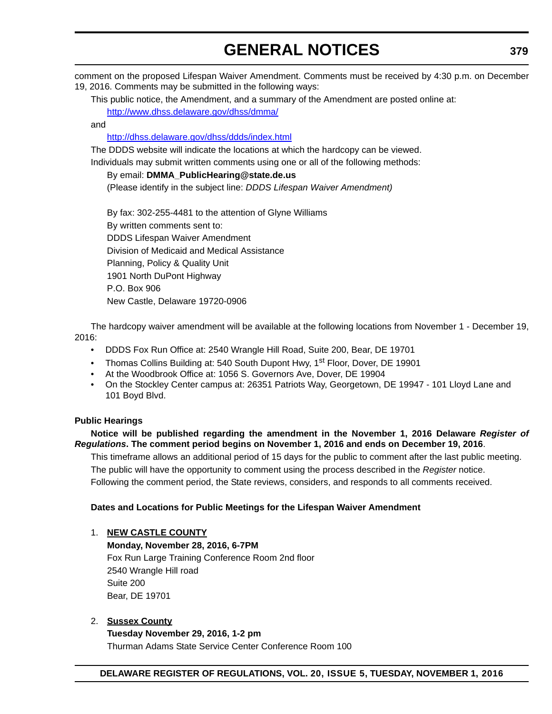# **GENERAL NOTICES**

comment on the proposed Lifespan Waiver Amendment. Comments must be received by 4:30 p.m. on December 19, 2016. Comments may be submitted in the following ways:

This public notice, the Amendment, and a summary of the Amendment are posted online at: http://www.dhss.delaware.gov/dhss/dmma/

and

### http://dhss.delaware.gov/dhss/ddds/index.html

The DDDS website will indicate the locations at which the hardcopy can be viewed.

Individuals may submit written comments using one or all of the following methods:

### By email: **DMMA\_PublicHearing@state.de.us**

(Please identify in the subject line: *DDDS Lifespan Waiver Amendment)*

By fax: 302-255-4481 to the attention of Glyne Williams By written comments sent to: DDDS Lifespan Waiver Amendment Division of Medicaid and Medical Assistance Planning, Policy & Quality Unit 1901 North DuPont Highway P.O. Box 906 New Castle, Delaware 19720-0906

The hardcopy waiver amendment will be available at the following locations from November 1 - December 19, 2016:

- DDDS Fox Run Office at: 2540 Wrangle Hill Road, Suite 200, Bear, DE 19701
- Thomas Collins Building at: 540 South Dupont Hwy, 1<sup>st</sup> Floor, Dover, DE 19901
- At the Woodbrook Office at: 1056 S. Governors Ave, Dover, DE 19904
- On the Stockley Center campus at: 26351 Patriots Way, Georgetown, DE 19947 101 Lloyd Lane and 101 Boyd Blvd.

### **Public Hearings**

**Notice will be published regarding the amendment in the November 1, 2016 Delaware** *Register of Regulations***. The comment period begins on November 1, 2016 and ends on December 19, 2016**.

This timeframe allows an additional period of 15 days for the public to comment after the last public meeting. The public will have the opportunity to comment using the process described in the *Register* notice. Following the comment period, the State reviews, considers, and responds to all comments received.

### **Dates and Locations for Public Meetings for the Lifespan Waiver Amendment**

### 1. **NEW CASTLE COUNTY**

**Monday, November 28, 2016, 6-7PM** Fox Run Large Training Conference Room 2nd floor 2540 Wrangle Hill road Suite 200 Bear, DE 19701

### 2. **Sussex County**

**Tuesday November 29, 2016, 1-2 pm**  Thurman Adams State Service Center Conference Room 100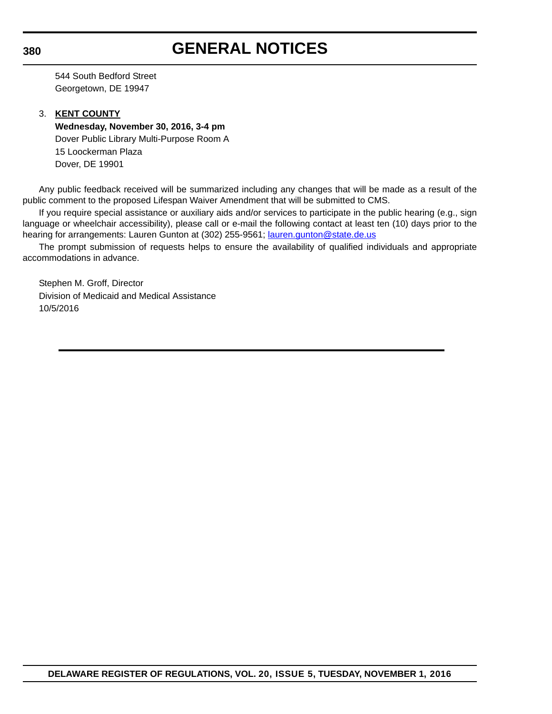# **GENERAL NOTICES**

544 South Bedford Street Georgetown, DE 19947

### 3. **KENT COUNTY**

**Wednesday, November 30, 2016, 3-4 pm** Dover Public Library Multi-Purpose Room A 15 Loockerman Plaza Dover, DE 19901

Any public feedback received will be summarized including any changes that will be made as a result of the public comment to the proposed Lifespan Waiver Amendment that will be submitted to CMS.

If you require special assistance or auxiliary aids and/or services to participate in the public hearing (e.g., sign language or wheelchair accessibility), please call or e-mail the following contact at least ten (10) days prior to the hearing for arrangements: Lauren Gunton at (302) 255-9561; lauren.gunton@state.de.us

The prompt submission of requests helps to ensure the availability of qualified individuals and appropriate accommodations in advance.

Stephen M. Groff, Director Division of Medicaid and Medical Assistance 10/5/2016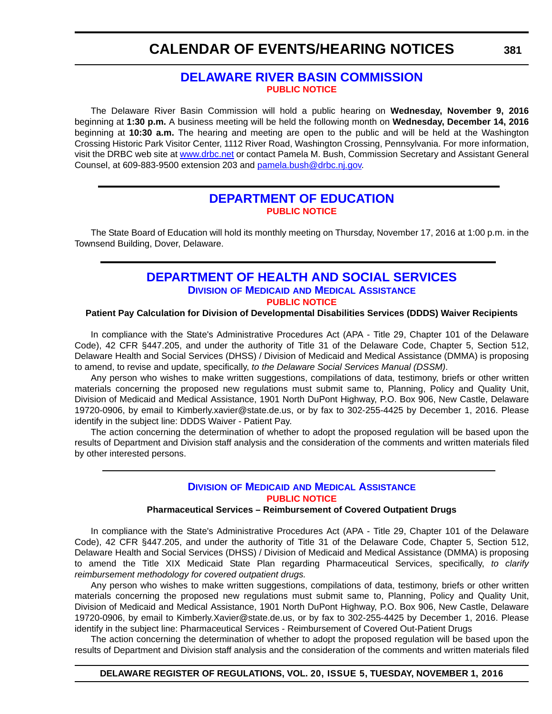# <span id="page-51-0"></span>**CALENDAR OF EVENTS/HEARING NOTICES**

## **[DELAWARE RIVER BASIN COMMISSION](http://www.nj.gov/drbc/) [PUBLIC NOTICE](#page-4-0)**

The Delaware River Basin Commission will hold a public hearing on **Wednesday, November 9, 2016** beginning at **1:30 p.m.** A business meeting will be held the following month on **Wednesday, December 14, 2016** beginning at **10:30 a.m.** The hearing and meeting are open to the public and will be held at the Washington Crossing Historic Park Visitor Center, 1112 River Road, Washington Crossing, Pennsylvania. For more information, visit the DRBC web site at [www.drbc.net](http://www.drbc.net) or contact Pamela M. Bush, Commission Secretary and Assistant General Counsel, at 609-883-9500 extension 203 and [pamela.bush@drbc.nj.gov.](mailto:pamela.bush@drbc.nj.gov)

### **[DEPARTMENT OF EDUCATION](http://www.doe.k12.de.us/) [PUBLIC NOTICE](#page-4-0)**

The State Board of Education will hold its monthly meeting on Thursday, November 17, 2016 at 1:00 p.m. in the Townsend Building, Dover, Delaware.

## **[DEPARTMENT OF HEALTH AND SOCIAL SERVICES](http://dhss.delaware.gov/dhcc/) DIVISION OF MEDICAID [AND MEDICAL ASSISTANCE](http://www.dhss.delaware.gov/dhss/dmma/) [PUBLIC NOTICE](#page-4-0)**

#### **Patient Pay Calculation for Division of Developmental Disabilities Services (DDDS) Waiver Recipients**

In compliance with the State's Administrative Procedures Act (APA - Title 29, Chapter 101 of the Delaware Code), 42 CFR §447.205, and under the authority of Title 31 of the Delaware Code, Chapter 5, Section 512, Delaware Health and Social Services (DHSS) / Division of Medicaid and Medical Assistance (DMMA) is proposing to amend, to revise and update, specifically, *to the Delaware Social Services Manual (DSSM)*.

Any person who wishes to make written suggestions, compilations of data, testimony, briefs or other written materials concerning the proposed new regulations must submit same to, Planning, Policy and Quality Unit, Division of Medicaid and Medical Assistance, 1901 North DuPont Highway, P.O. Box 906, New Castle, Delaware 19720-0906, by email to Kimberly.xavier@state.de.us, or by fax to 302-255-4425 by December 1, 2016. Please identify in the subject line: DDDS Waiver - Patient Pay.

The action concerning the determination of whether to adopt the proposed regulation will be based upon the results of Department and Division staff analysis and the consideration of the comments and written materials filed by other interested persons.

### **DIVISION OF MEDICAID [AND MEDICAL ASSISTANCE](http://www.dhss.delaware.gov/dhss/dmma/) [PUBLIC NOTICE](#page-4-0)**

#### **Pharmaceutical Services – Reimbursement of Covered Outpatient Drugs**

In compliance with the State's Administrative Procedures Act (APA - Title 29, Chapter 101 of the Delaware Code), 42 CFR §447.205, and under the authority of Title 31 of the Delaware Code, Chapter 5, Section 512, Delaware Health and Social Services (DHSS) / Division of Medicaid and Medical Assistance (DMMA) is proposing to amend the Title XIX Medicaid State Plan regarding Pharmaceutical Services, specifically, *to clarify reimbursement methodology for covered outpatient drugs.*

Any person who wishes to make written suggestions, compilations of data, testimony, briefs or other written materials concerning the proposed new regulations must submit same to, Planning, Policy and Quality Unit, Division of Medicaid and Medical Assistance, 1901 North DuPont Highway, P.O. Box 906, New Castle, Delaware 19720-0906, by email to Kimberly.Xavier@state.de.us, or by fax to 302-255-4425 by December 1, 2016. Please identify in the subject line: Pharmaceutical Services - Reimbursement of Covered Out-Patient Drugs

The action concerning the determination of whether to adopt the proposed regulation will be based upon the results of Department and Division staff analysis and the consideration of the comments and written materials filed

#### **DELAWARE REGISTER OF REGULATIONS, VOL. 20, ISSUE 5, TUESDAY, NOVEMBER 1, 2016**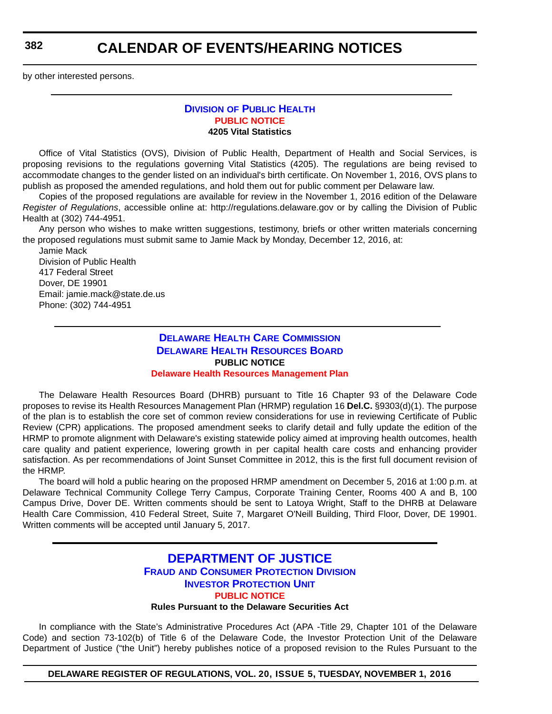<span id="page-52-0"></span>**382**

# **CALENDAR OF EVENTS/HEARING NOTICES**

by other interested persons.

### **DIVISION [OF PUBLIC HEALTH](http://www.dhss.delaware.gov/dhss/dph/index.html) [PUBLIC NOTICE](#page-4-0) 4205 Vital Statistics**

Office of Vital Statistics (OVS), Division of Public Health, Department of Health and Social Services, is proposing revisions to the regulations governing Vital Statistics (4205). The regulations are being revised to accommodate changes to the gender listed on an individual's birth certificate. On November 1, 2016, OVS plans to publish as proposed the amended regulations, and hold them out for public comment per Delaware law.

Copies of the proposed regulations are available for review in the November 1, 2016 edition of the Delaware *Register of Regulations*, accessible online at: http://regulations.delaware.gov or by calling the Division of Public Health at (302) 744-4951.

Any person who wishes to make written suggestions, testimony, briefs or other written materials concerning the proposed regulations must submit same to Jamie Mack by Monday, December 12, 2016, at:

Jamie Mack Division of Public Health 417 Federal Street Dover, DE 19901 Email: jamie.mack@state.de.us Phone: (302) 744-4951

### **[DELAWARE HEALTH CARE COMMISSION](http://dhss.delaware.gov/dhcc/) [DELAWARE HEALTH RESOURCES BOARD](http://dhss.delaware.gov/dhss/dhcc/hrb/dhrbhome.html) PUBLIC NOTICE [Delaware Health Resources Management Plan](#page-4-0)**

The Delaware Health Resources Board (DHRB) pursuant to Title 16 Chapter 93 of the Delaware Code proposes to revise its Health Resources Management Plan (HRMP) regulation 16 **Del.C.** §9303(d)(1). The purpose of the plan is to establish the core set of common review considerations for use in reviewing Certificate of Public Review (CPR) applications. The proposed amendment seeks to clarify detail and fully update the edition of the HRMP to promote alignment with Delaware's existing statewide policy aimed at improving health outcomes, health care quality and patient experience, lowering growth in per capital health care costs and enhancing provider satisfaction. As per recommendations of Joint Sunset Committee in 2012, this is the first full document revision of the HRMP.

The board will hold a public hearing on the proposed HRMP amendment on December 5, 2016 at 1:00 p.m. at Delaware Technical Community College Terry Campus, Corporate Training Center, Rooms 400 A and B, 100 Campus Drive, Dover DE. Written comments should be sent to Latoya Wright, Staff to the DHRB at Delaware Health Care Commission, 410 Federal Street, Suite 7, Margaret O'Neill Building, Third Floor, Dover, DE 19901. Written comments will be accepted until January 5, 2017.

### **[DEPARTMENT OF JUSTICE](http://attorneygeneral.delaware.gov/) FRAUD [AND CONSUMER PROTECTION DIVISION](http://attorneygeneral.delaware.gov/fraud/index.shtml) [INVESTOR PROTECTION UNIT](http://attorneygeneral.delaware.gov/fraud/index.shtml) [PUBLIC NOTICE](#page-4-0) Rules Pursuant to the Delaware Securities Act**

In compliance with the State's Administrative Procedures Act (APA -Title 29, Chapter 101 of the Delaware Code) and section 73-102(b) of Title 6 of the Delaware Code, the Investor Protection Unit of the Delaware Department of Justice ("the Unit") hereby publishes notice of a proposed revision to the Rules Pursuant to the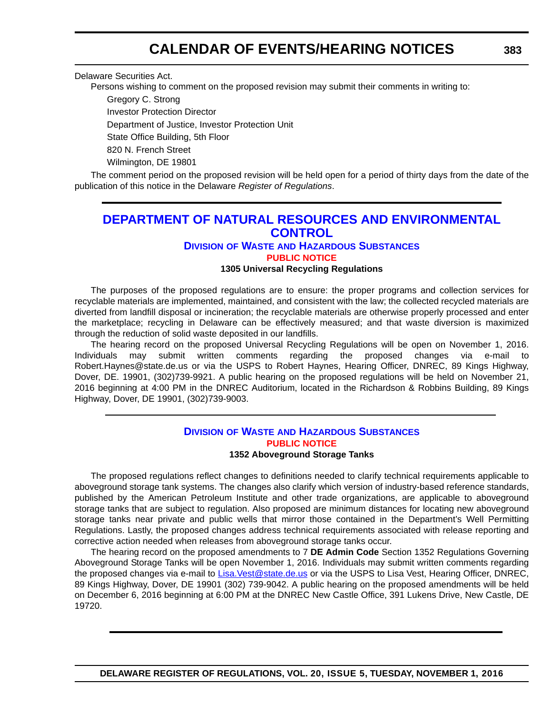# **CALENDAR OF EVENTS/HEARING NOTICES**

<span id="page-53-0"></span>Delaware Securities Act.

Persons wishing to comment on the proposed revision may submit their comments in writing to:

Gregory C. Strong Investor Protection Director Department of Justice, Investor Protection Unit State Office Building, 5th Floor 820 N. French Street

Wilmington, DE 19801

The comment period on the proposed revision will be held open for a period of thirty days from the date of the publication of this notice in the Delaware *Register of Regulations*.

### **[DEPARTMENT OF NATURAL RESOURCES AND ENVIRONMENTAL](http://www.dnrec.delaware.gov/Pages/Portal.aspx)  CONTROL**

### **DIVISION OF WASTE [AND HAZARDOUS SUBSTANCES](http://www.dnrec.delaware.gov/dwhs/Pages/default.aspx)**

**[PUBLIC NOTICE](#page-4-0)**

### **1305 Universal Recycling Regulations**

The purposes of the proposed regulations are to ensure: the proper programs and collection services for recyclable materials are implemented, maintained, and consistent with the law; the collected recycled materials are diverted from landfill disposal or incineration; the recyclable materials are otherwise properly processed and enter the marketplace; recycling in Delaware can be effectively measured; and that waste diversion is maximized through the reduction of solid waste deposited in our landfills.

The hearing record on the proposed Universal Recycling Regulations will be open on November 1, 2016. Individuals may submit written comments regarding the proposed changes via e-mail to Robert.Haynes@state.de.us or via the USPS to Robert Haynes, Hearing Officer, DNREC, 89 Kings Highway, Dover, DE. 19901, (302)739-9921. A public hearing on the proposed regulations will be held on November 21, 2016 beginning at 4:00 PM in the DNREC Auditorium, located in the Richardson & Robbins Building, 89 Kings Highway, Dover, DE 19901, (302)739-9003.

#### **DIVISION OF WASTE [AND HAZARDOUS SUBSTANCES](http://www.dnrec.delaware.gov/dwhs/Pages/default.aspx) [PUBLIC NOTICE](#page-4-0) 1352 Aboveground Storage Tanks**

The proposed regulations reflect changes to definitions needed to clarify technical requirements applicable to aboveground storage tank systems. The changes also clarify which version of industry-based reference standards, published by the American Petroleum Institute and other trade organizations, are applicable to aboveground storage tanks that are subject to regulation. Also proposed are minimum distances for locating new aboveground storage tanks near private and public wells that mirror those contained in the Department's Well Permitting Regulations. Lastly, the proposed changes address technical requirements associated with release reporting and corrective action needed when releases from aboveground storage tanks occur.

The hearing record on the proposed amendments to 7 **DE Admin Code** Section 1352 Regulations Governing Aboveground Storage Tanks will be open November 1, 2016. Individuals may submit written comments regarding the proposed changes via e-mail to [Lisa.Vest@state.de.us](mailto:Lisa.Vest@state.de.us) or via the USPS to Lisa Vest, Hearing Officer, DNREC, 89 Kings Highway, Dover, DE 19901 (302) 739-9042. A public hearing on the proposed amendments will be held on December 6, 2016 beginning at 6:00 PM at the DNREC New Castle Office, 391 Lukens Drive, New Castle, DE 19720.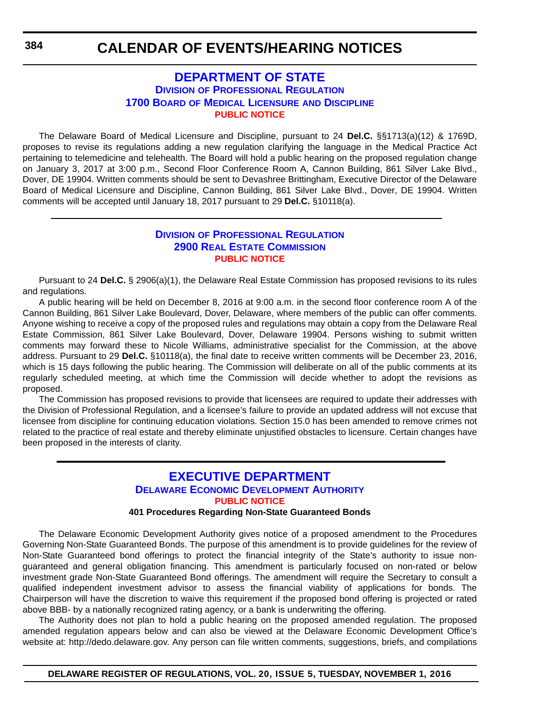### **[DEPARTMENT OF STATE](http://sos.delaware.gov/) DIVISION [OF PROFESSIONAL REGULATION](http://dpr.delaware.gov/) 1700 BOARD [OF MEDICAL LICENSURE](http://dpr.delaware.gov/boards/medicalpractice/index.shtml) AND DISCIPLINE [PUBLIC NOTICE](#page-4-0)**

<span id="page-54-0"></span>The Delaware Board of Medical Licensure and Discipline, pursuant to 24 **Del.C.** §§1713(a)(12) & 1769D, proposes to revise its regulations adding a new regulation clarifying the language in the Medical Practice Act pertaining to telemedicine and telehealth. The Board will hold a public hearing on the proposed regulation change on January 3, 2017 at 3:00 p.m., Second Floor Conference Room A, Cannon Building, 861 Silver Lake Blvd., Dover, DE 19904. Written comments should be sent to Devashree Brittingham, Executive Director of the Delaware Board of Medical Licensure and Discipline, Cannon Building, 861 Silver Lake Blvd., Dover, DE 19904. Written comments will be accepted until January 18, 2017 pursuant to 29 **Del.C.** §10118(a).

### **DIVISION [OF PROFESSIONAL REGULATION](http://dpr.delaware.gov/) [2900 REAL ESTATE COMMISSION](http://dpr.delaware.gov/boards/realestate/index.shtml) [PUBLIC NOTICE](#page-4-0)**

Pursuant to 24 **Del.C.** § 2906(a)(1), the Delaware Real Estate Commission has proposed revisions to its rules and regulations.

A public hearing will be held on December 8, 2016 at 9:00 a.m. in the second floor conference room A of the Cannon Building, 861 Silver Lake Boulevard, Dover, Delaware, where members of the public can offer comments. Anyone wishing to receive a copy of the proposed rules and regulations may obtain a copy from the Delaware Real Estate Commission, 861 Silver Lake Boulevard, Dover, Delaware 19904. Persons wishing to submit written comments may forward these to Nicole Williams, administrative specialist for the Commission, at the above address. Pursuant to 29 **Del.C.** §10118(a), the final date to receive written comments will be December 23, 2016, which is 15 days following the public hearing. The Commission will deliberate on all of the public comments at its regularly scheduled meeting, at which time the Commission will decide whether to adopt the revisions as proposed.

The Commission has proposed revisions to provide that licensees are required to update their addresses with the Division of Professional Regulation, and a licensee's failure to provide an updated address will not excuse that licensee from discipline for continuing education violations. Section 15.0 has been amended to remove crimes not related to the practice of real estate and thereby eliminate unjustified obstacles to licensure. Certain changes have been proposed in the interests of clarity.

### **[EXECUTIVE DEPARTMENT](http://dedo.delaware.gov/) [DELAWARE ECONOMIC DEVELOPMENT AUTHORITY](http://dedo.delaware.gov/) [PUBLIC NOTICE](#page-4-0) 401 Procedures Regarding Non-State Guaranteed Bonds**

The Delaware Economic Development Authority gives notice of a proposed amendment to the Procedures Governing Non-State Guaranteed Bonds. The purpose of this amendment is to provide guidelines for the review of Non-State Guaranteed bond offerings to protect the financial integrity of the State's authority to issue nonguaranteed and general obligation financing. This amendment is particularly focused on non-rated or below investment grade Non-State Guaranteed Bond offerings. The amendment will require the Secretary to consult a qualified independent investment advisor to assess the financial viability of applications for bonds. The Chairperson will have the discretion to waive this requirement if the proposed bond offering is projected or rated above BBB- by a nationally recognized rating agency, or a bank is underwriting the offering.

The Authority does not plan to hold a public hearing on the proposed amended regulation. The proposed amended regulation appears below and can also be viewed at the Delaware Economic Development Office's website at: http://dedo.delaware.gov. Any person can file written comments, suggestions, briefs, and compilations